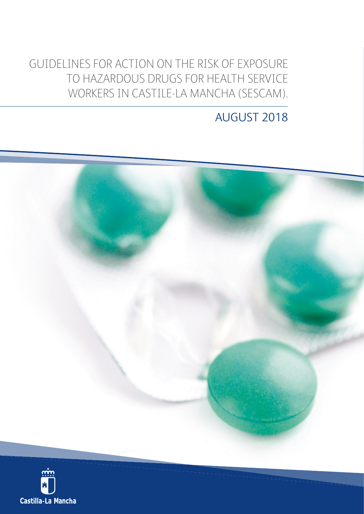GUIDELINES FOR ACTION ON THE RISK OF EXPOSURE TO HAZARDOUS DRUGS FOR HEALTH SERVICE WORKERS IN CASTILE-LA MANCHA (SESCAM).

# AUGUST 2018



Castilla-La Mancha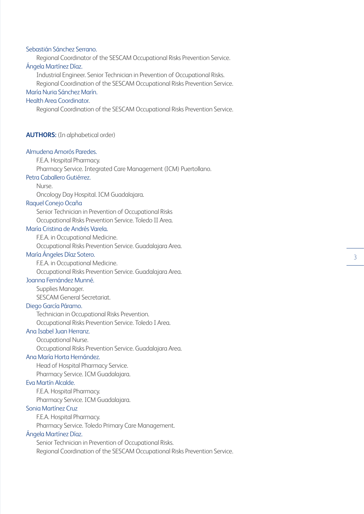#### Sebastián Sánchez Serrano.

Regional Coordinator of the SESCAM Occupational Risks Prevention Service. Ángela Martínez Díaz.

Industrial Engineer. Senior Technician in Prevention of Occupational Risks.

Regional Coordination of the SESCAM Occupational Risks Prevention Service.

# María Nuria Sánchez Marín.

# Health Area Coordinator.

Regional Coordination of the SESCAM Occupational Risks Prevention Service.

#### **AUTHORS:** (In alphabetical order)

#### Almudena Amorós Paredes.

F.E.A. Hospital Pharmacy.

Pharmacy Service. Integrated Care Management (ICM) Puertollano.

# Petra Caballero Gutiérrez.

Nurse.

Oncology Day Hospital. ICM Guadalajara.

#### Raquel Conejo Ocaña

Senior Technician in Prevention of Occupational Risks Occupational Risks Prevention Service. Toledo II Area.

#### María Cristina de Andrés Varela.

F.E.A. in Occupational Medicine.

Occupational Risks Prevention Service. Guadalajara Area.

#### María Ángeles Díaz Sotero.

F.E.A. in Occupational Medicine. Occupational Risks Prevention Service. Guadalajara Area.

# Joanna Fernández Munné.

Supplies Manager. SESCAM General Secretariat.

#### Diego García Páramo.

Technician in Occupational Risks Prevention. Occupational Risks Prevention Service. Toledo I Area.

# Ana Isabel Juan Herranz.

Occupational Nurse. Occupational Risks Prevention Service. Guadalajara Area.

#### Ana María Horta Hernández.

Head of Hospital Pharmacy Service.

Pharmacy Service. ICM Guadalajara.

# Eva Martín Alcalde.

F.E.A. Hospital Pharmacy. Pharmacy Service. ICM Guadalajara.

#### Sonia Martínez Cruz

F.E.A. Hospital Pharmacy.

Pharmacy Service. Toledo Primary Care Management.

#### Ángela Martínez Díaz.

Senior Technician in Prevention of Occupational Risks. Regional Coordination of the SESCAM Occupational Risks Prevention Service.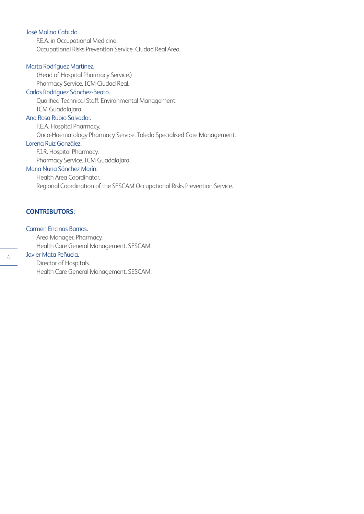#### José Molina Cabildo.

F.E.A. in Occupational Medicine. Occupational Risks Prevention Service. Ciudad Real Area.

# Marta Rodríguez Martínez.

(Head of Hospital Pharmacy Service.)

# Pharmacy Service. ICM Ciudad Real.

Carlos Rodríguez Sánchez-Beato.

Qualified Technical Staff. Environmental Management. ICM Guadalajara.

#### Ana Rosa Rubio Salvador.

F.E.A. Hospital Pharmacy.

Onco-Haematology Pharmacy Service. Toledo Specialised Care Management.

#### Lorena Ruiz González.

F.I.R. Hospital Pharmacy.

Pharmacy Service. ICM Guadalajara.

# Maria Nuria Sánchez Marín.

Health Area Coordinator. Regional Coordination of the SESCAM Occupational Risks Prevention Service.

# **CONTRIBUTORS:**

#### Carmen Encinas Barrios.

Area Manager. Pharmacy.

Health Care General Management. SESCAM.

# Javier Mata Peñuela.

Director of Hospitals. Health Care General Management. SESCAM.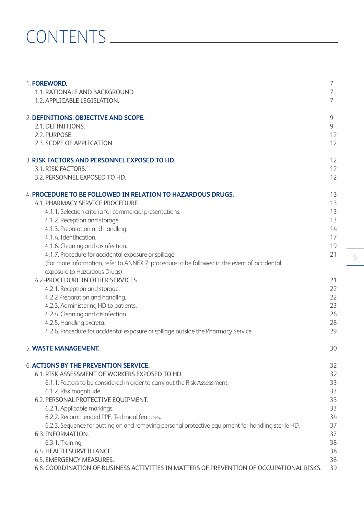# CONTENTS

| 1. FOREWORD.<br>1.1. RATIONALE AND BACKGROUND.<br>1.2. APPLICABLE LEGISLATION.                                 | 7<br>7<br>7 |
|----------------------------------------------------------------------------------------------------------------|-------------|
|                                                                                                                |             |
| 2. DEFINITIONS, OBJECTIVE AND SCOPE.                                                                           | 9           |
| 2.1. DEFINITIONS.                                                                                              | 9           |
| 2.2. PURPOSE.                                                                                                  | 12          |
| 2.3. SCOPE OF APPLICATION.                                                                                     | 12          |
| 3. RISK FACTORS AND PERSONNEL EXPOSED TO HD.                                                                   | 12          |
| 3.1. RISK FACTORS.                                                                                             | 12          |
| 3.2. PERSONNEL EXPOSED TO HD.                                                                                  | 12          |
| 4. PROCEDURE TO BE FOLLOWED IN RELATION TO HAZARDOUS DRUGS.                                                    | 13          |
| 4.1. PHARMACY SERVICE PROCEDURE.                                                                               | 13          |
| 4.1.1. Selection criteria for commercial presentations.                                                        | 13          |
| 4.1.2. Reception and storage.                                                                                  | 13          |
| 4.1.3. Preparation and handling.                                                                               | 14          |
| 4.1.4. Identification.                                                                                         | 17          |
| 4.1.6. Cleaning and disinfection.                                                                              | 19          |
| 4.1.7. Procedure for accidental exposure or spillage.                                                          | 21          |
| (For more information, refer to ANNEX 7: procedure to be followed in the event of accidental                   |             |
| exposure to Hazardous Drugs).                                                                                  |             |
| 4.2.-PROCEDURE IN OTHER SERVICES.                                                                              | 21          |
| 4.2.1. Reception and storage.                                                                                  | 22          |
| 4.2.2 Preparation and handling.                                                                                | 22          |
| 4.2.3. Administering HD to patients.                                                                           | 23          |
| 4.2.4. Cleaning and disinfection.                                                                              | 26          |
| 4.2.5. Handling excreta.<br>4.2.6. Procedure for accidental exposure or spillage outside the Pharmacy Service. | 28<br>29    |
|                                                                                                                |             |
| 5. WASTE MANAGEMENT.                                                                                           | 30          |
| <b>6. ACTIONS BY THE PREVENTION SERVICE.</b>                                                                   | 32          |
| 6.1. RISK ASSESSMENT OF WORKERS EXPOSED TO HD.                                                                 | 32          |
| 6.1.1. Factors to be considered in order to carry out the Risk Assessment.                                     | 33          |
| 6.1.2. Risk magnitude.                                                                                         | 33          |
| 6.2. PERSONAL PROTECTIVE EQUIPMENT.                                                                            | 33          |
| 6.2.1. Applicable markings.                                                                                    | 33          |
| 6.2.2. Recommended PPE. Technical features.                                                                    | 34          |
| 6.2.3. Sequence for putting on and removing personal protective equipment for handling sterile HD.             | 37          |
| 6.3. INFORMATION.                                                                                              | 37          |
| 6.3.1. Training.                                                                                               | 38          |
| 6.4. HEALTH SURVEILLANCE.                                                                                      | 38          |
| 6.5. EMERGENCY MEASURES.                                                                                       | 38          |
| 6.6. COORDINATION OF BUSINESS ACTIVITIES IN MATTERS OF PREVENTION OF OCCUPATIONAL RISKS.                       | 39          |

5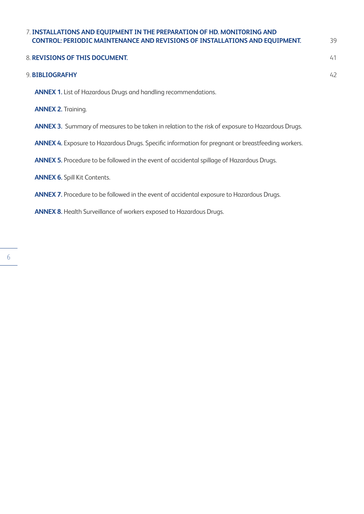# 7. **INSTALLATIONS AND EQUIPMENT IN THE PREPARATION OF HD. MONITORING AND CONTROL: PERIODIC MAINTENANCE AND REVISIONS OF INSTALLATIONS AND EQUIPMENT.** 39

| 8. REVISIONS OF THIS DOCUMENT.                                        | 41 |
|-----------------------------------------------------------------------|----|
|                                                                       |    |
| 9. BIBLIOGRAFHY                                                       | 42 |
| <b>ANNEX 1.</b> List of Hazardous Drugs and handling recommendations. |    |
|                                                                       |    |

**ANNEX 2.** Training.

**ANNEX 3.** Summary of measures to be taken in relation to the risk of exposure to Hazardous Drugs.

**ANNEX 4.** Exposure to Hazardous Drugs. Specific information for pregnant or breastfeeding workers.

**ANNEX 5.** Procedure to be followed in the event of accidental spillage of Hazardous Drugs.

**ANNEX 6.** Spill Kit Contents.

# **ANNEX 7.** Procedure to be followed in the event of accidental exposure to Hazardous Drugs.

**ANNEX 8.** Health Surveillance of workers exposed to Hazardous Drugs.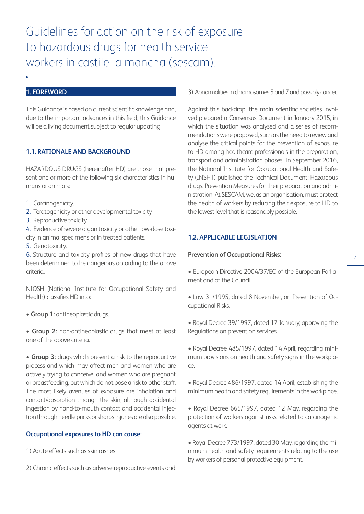# **1. FOREWORD**

This Guidance is based on current scientific knowledge and, due to the important advances in this field, this Guidance will be a living document subject to regular updating.

#### **1.1. RATIONALE AND BACKGROUND**

HAZARDOUS DRUGS (hereinafter HD) are those that present one or more of the following six characteristics in humans or animals:

- 1. Carcinogenicity.
- 2. Teratogenicity or other developmental toxicity.
- 3. Reproductive toxicity.

4. Evidence of severe organ toxicity or other low-dose toxicity in animal specimens or in treated patients.

5. Genotoxicity.

6. Structure and toxicity profiles of new drugs that have been determined to be dangerous according to the above criteria.

NIOSH (National Institute for Occupational Safety and Health) classifies HD into:

**• Group 1:** antineoplastic drugs.

**• Group 2:** non-antineoplastic drugs that meet at least one of the above criteria.

• **Group 3:** drugs which present a risk to the reproductive process and which may affect men and women who are actively trying to conceive, and women who are pregnant or breastfeeding, but which do not pose a risk to other staff. The most likely avenues of exposure are inhalation and contact/absorption through the skin, although accidental ingestion by hand-to-mouth contact and accidental injection through needle pricks or sharps injuries are also possible.

# **Occupational exposures to HD can cause:**

1) Acute effects such as skin rashes.

2) Chronic effects such as adverse reproductive events and

3) Abnormalities in chromosomes 5 and 7 and possibly cancer.

Against this backdrop, the main scientific societies involved prepared a Consensus Document in January 2015, in which the situation was analysed and a series of recommendations were proposed, such as the need to review and analyse the critical points for the prevention of exposure to HD among healthcare professionals in the preparation, transport and administration phases. In September 2016, the National Institute for Occupational Health and Safety (INSHT) published the Technical Document: Hazardous drugs. Prevention Measures for their preparation and administration. At SESCAM, we, as an organisation, must protect the health of workers by reducing their exposure to HD to the lowest level that is reasonably possible.

#### **1.2. APPLICABLE LEGISLATION**

#### **Prevention of Occupational Risks:**

- European Directive 2004/37/EC of the European Parliament and of the Council.
- Law 31/1995, dated 8 November, on Prevention of Occupational Risks.
- Royal Decree 39/1997, dated 17 January, approving the Regulations on prevention services.

• Royal Decree 485/1997, dated 14 April, regarding minimum provisions on health and safety signs in the workplace.

• Royal Decree 486/1997, dated 14 April, establishing the minimum health and safety requirements in the workplace.

• Royal Decree 665/1997, dated 12 May, regarding the protection of workers against risks related to carcinogenic agents at work.

• Royal Decree 773/1997, dated 30 May, regarding the minimum health and safety requirements relating to the use by workers of personal protective equipment.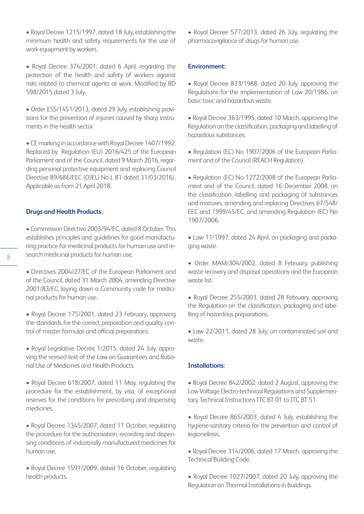• Royal Decree 1215/1997, dated 18 July, establishing the minimum health and safety requirements for the use of work equipment by workers.

• Royal Decree 374/2001, dated 6 April, regarding the protection of the health and safety of workers against risks related to chemical agents at work. Modified by RD 598/2015 dated 3 July.

• Order ESS/1451/2013, dated 29 July, establishing provisions for the prevention of injuries caused by sharp instruments in the health sector.

• CE marking in accordance with Royal Decree 1407/1992. Replaced by Regulation (EU) 2016/425 of the European Parliament and of the Council, dated 9 March 2016, regarding personal protective equipment and replacing Council Directive 89/686/EEC (OJEU No L 81 dated 31/03/2016). Applicable as from 21 April 2018.

#### **Drugs and Health Products:**

• Commission Directive 2003/94/EC, dated 8 October. This establishes principles and guidelines for good manufacturing practice for medicinal products for human use and research medicinal products for human use.

• Directives 2004/27/EC of the European Parliament and of the Council, dated 31 March 2004, amending Directive 2001/83/EC, laying down a Community code for medicinal products for human use.

• Royal Decree 175/2001, dated 23 February, approving the standards for the correct preparation and quality control of master formulas and official preparations.

• Royal Legislative Decree 1/2015, dated 24 July, approving the revised text of the Law on Guarantees and Rational Use of Medicines and Health Products.

• Royal Decree 618/2007, dated 11 May, regulating the procedure for the establishment, by visa, of exceptional reserves for the conditions for prescribing and dispensing medicines.

• Royal Decree 1345/2007, dated 11 October, regulating the procedure for the authorisation, recording and dispensing conditions of industrially manufactured medicines for human use.

• Royal Decree 1591/2009, dated 16 October, regulating health products.

• Royal Decree 577/2013, dated 26 July, regulating the pharmacovigilance of drugs for human use.

#### **Environment:**

• Royal Decree 833/1988, dated 20 July, approving the Regulations for the implementation of Law 20/1986, on basic toxic and hazardous waste.

• Royal Decree 363/1995, dated 10 March, approving the Regulation on the classification, packaging and labelling of hazardous substances.

• Regulation (EC) No 1907/2006 of the European Parliament and of the Council (REACH Regulation).

• Regulation (EC) No 1272/2008 of the European Parliament and of the Council, dated 16 December 2008, on the classification, labelling and packaging of substances and mixtures, amending and replacing Directives 67/548/ EEC and 1999/45/EC, and amending Regulation (EC) No 1907/2006.

• Law 11/1997, dated 24 April, on packaging and packaging waste.

• Order MAM/304/2002, dated 8 February, publishing waste recovery and disposal operations and the European waste list.

• Royal Decree 255/2003, dated 28 February, approving the Regulation on the classification, packaging and labelling of hazardous preparations.

• Law 22/2011, dated 28 July, on contaminated soil and waste.

#### **Installations:**

• Royal Decree 842/2002, dated 2 August, approving the Low Voltage Electro-technical Regulations and Supplementary Technical Instructions ITC BT 01 to ITC BT 51.

• Royal Decree 865/2003, dated 4 July, establishing the hygiene-sanitary criteria for the prevention and control of legionellosis.

• Royal Decree 314/2006, dated 17 March, approving the Technical Building Code.

• Royal Decree 1027/2007, dated 20 July, approving the Regulation on Thermal Installations in Buildings.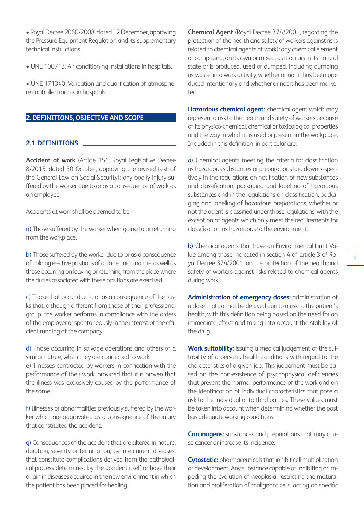• Royal Decree 2060/2008, dated 12 December, approving the Pressure Equipment Regulation and its supplementary technical instructions.

• UNE 100713. Air conditioning installations in hospitals.

• UNE 171340. Validation and qualification of atmosphere controlled rooms in hospitals.

# **2. DEFINITIONS, OBJECTIVE AND SCOPE**

#### **2.1. DEFINITIONS**

**Accident at work** (Article 156, Royal Legislative Decree 8/2015, dated 30 October, approving the revised text of the General Law on Social Security): any bodily injury suffered by the worker due to or as a consequence of work as an employee.

Accidents at work shall be deemed to be:

a) Those suffered by the worker when going to or returning from the workplace.

b) Those suffered by the worker due to or as a consequence of holding elective positions of a trade union nature, as well as those occurring on leaving or returning from the place where the duties associated with these positions are exercised.

c) Those that occur due to or as a consequence of the tasks that, although different from those of their professional group, the worker performs in compliance with the orders of the employer or spontaneously in the interest of the efficient running of the company.

d) Those occurring in salvage operations and others of a similar nature, when they are connected to work.

e) Illnesses contracted by workers in connection with the performance of their work, provided that it is proven that the illness was exclusively caused by the performance of the same.

f) Illnesses or abnormalities previously suffered by the worker which are aggravated as a consequence of the injury that constituted the accident.

g) Consequences of the accident that are altered in nature, duration, severity or termination, by intercurrent diseases, that constitute complications derived from the pathological process determined by the accident itself or have their origin in diseases acquired in the new environment in which the patient has been placed for healing.

**Chemical Agent** (Royal Decree 374/2001, regarding the protection of the health and safety of workers against risks related to chemical agents at work): any chemical element or compound, on its own or mixed, as it occurs in its natural state or is produced, used or dumped, including dumping as waste, in a work activity, whether or not it has been produced intentionally and whether or not it has been marketed.

**Hazardous chemical agent:** chemical agent which may represent a risk to the health and safety of workers because of its physico-chemical, chemical or toxicological properties and the way in which it is used or present in the workplace. Included in this definition, in particular are:

a) Chemical agents meeting the criteria for classification as hazardous substances or preparations laid down respectively in the regulations on notification of new substances and classification, packaging and labelling of hazardous substances and in the regulations on classification, packaging and labelling of hazardous preparations, whether or not the agent is classified under those regulations, with the exception of agents which only meet the requirements for classification as hazardous to the environment.

b) Chemical agents that have an Environmental Limit Value among those indicated in section 4 of article 3 of Royal Decree 374/2001, on the protection of the health and safety of workers against risks related to chemical agents during work.

**Administration of emergency doses:** administration of a dose that cannot be delayed due to a risk to the patient's health, with this definition being based on the need for an immediate effect and taking into account the stability of the drug.

**Work suitability:** issuing a medical judgement of the suitability of a person's health conditions with regard to the characteristics of a given job. This judgement must be based on the non-existence of psychophysical deficiencies that prevent the normal performance of the work and on the identification of individual characteristics that pose a risk to the individual or to third parties. These values must be taken into account when determining whether the post has adequate working conditions.

**Carcinogens:** substances and preparations that may cause cancer or increase its incidence.

**Cytostatic:** pharmaceuticals that inhibit cell multiplication or development. Any substance capable of inhibiting or impeding the evolution of neoplasia, restricting the maturation and proliferation of malignant cells, acting on specific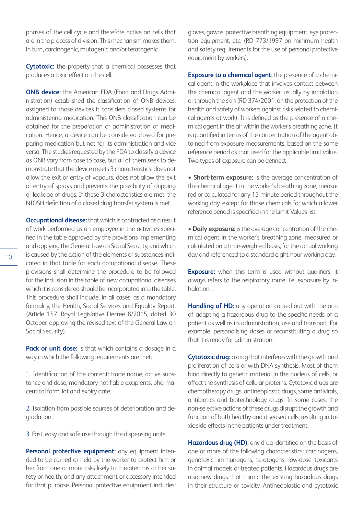phases of the cell cycle and therefore active on cells that are in the process of division. This mechanism makes them, in turn, carcinogenic, mutagenic and/or teratogenic.

**Cytotoxic:** the property that a chemical possesses that produces a toxic effect on the cell.

**ONB device:** the American FDA (Food and Drugs Administration) established the classification of ONB devices, assigned to those devices it considers closed systems for administering medication. This ONB classification can be obtained for the preparation or administration of medication. Hence, a device can be considered closed for preparing medication but not for its administration and vice versa. The studies requested by the FDA to classify a device as ONB vary from case to case, but all of them seek to demonstrate that the device meets 3 characteristics: does not allow the exit or entry of vapours, does not allow the exit or entry of sprays and prevents the possibility of dripping or leakage of drugs. If these 3 characteristics are met, the NIOSH definition of a closed drug transfer system is met.

**Occupational disease:** that which is contracted as a result of work performed as an employee in the activities specified in the table approved by the provisions implementing and applying the General Law on Social Security, and which is caused by the action of the elements or substances indicated in that table for each occupational disease. These provisions shall determine the procedure to be followed for the inclusion in the table of new occupational diseases which it is considered should be incorporated into the table. This procedure shall include, in all cases, as a mandatory formality, the Health, Social Services and Equality Report. (Article 157, Royal Legislative Decree 8/2015, dated 30 October, approving the revised text of the General Law on Social Security).

Pack or unit dose: is that which contains a dosage in a way in which the following requirements are met:

1. Identification of the content: trade name, active substance and dose, mandatory notifiable excipients, pharmaceutical form, lot and expiry date.

2. Isolation from possible sources of deterioration and degradation.

3. Fast, easy and safe use through the dispensing units.

**Personal protective equipment:** any equipment intended to be carried or held by the worker to protect him or her from one or more risks likely to threaten his or her safety or health, and any attachment or accessory intended for that purpose. Personal protective equipment includes: gloves, gowns, protective breathing equipment, eye protection equipment, etc. (RD 773/1997 on minimum health and safety requirements for the use of personal protective equipment by workers).

**Exposure to a chemical agent:** the presence of a chemical agent in the workplace that involves contact between the chemical agent and the worker, usually by inhalation or through the skin (RD 374/2001, on the protection of the health and safety of workers against risks related to chemical agents at work). It is defined as the presence of a chemical agent in the air within the worker's breathing zone. It is quantified in terms of the concentration of the agent obtained from exposure measurements, based on the same reference period as that used for the applicable limit value. Two types of exposure can be defined:

**• Short-term exposure:** is the average concentration of the chemical agent in the worker's breathing zone, measured or calculated for any 15-minute period throughout the working day, except for those chemicals for which a lower reference period is specified in the Limit Values list.

**• Daily exposure:** is the average concentration of the chemical agent in the worker's breathing zone, measured or calculated on a time-weighted basis, for the actual working day and referenced to a standard eight-hour working day.

**Exposure:** when this term is used without qualifiers, it always refers to the respiratory route, i.e. exposure by inhalation.

**Handling of HD:** any operation carried out with the aim of adapting a hazardous drug to the specific needs of a patient as well as its administration, use and transport. For example, personalising doses or reconstituting a drug so that it is ready for administration.

**Cytotoxic drug:** a drug that interferes with the growth and proliferation of cells or with DNA synthesis. Most of them bind directly to genetic material in the nucleus of cells, or affect the synthesis of cellular proteins. Cytotoxic drugs are chemotherapy drugs, antineoplastic drugs, some antivirals, antibiotics and biotechnology drugs. In some cases, the non-selective actions of these drugs disrupt the growth and function of both healthy and diseased cells, resulting in toxic side effects in the patients under treatment.

**Hazardous drug (HD):** any drug identified on the basis of one or more of the following characteristics: carcinogens, genotoxic, immunogens, teratogens, low-dose toxicants in animal models or treated patients. Hazardous drugs are also new drugs that mimic the existing hazardous drugs in their structure or toxicity. Antineoplastic and cytotoxic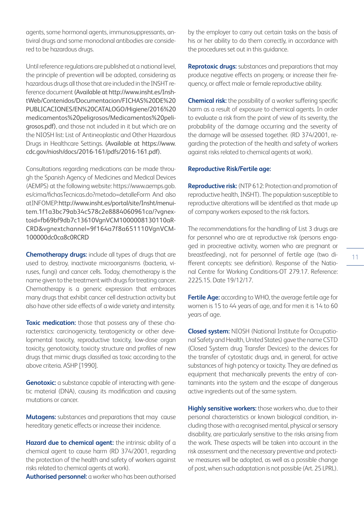agents, some hormonal agents, immunosuppressants, antiviral drugs and some monoclonal antibodies are considered to be hazardous drugs.

Until reference regulations are published at a national level, the principle of prevention will be adopted, considering as hazardous drugs all those that are included in the INSHT reference document (Available at http://www.insht.es/InshtWeb/Contenidos/Documentacion/FICHAS%20DE%20 PUBLICACIONES/EN%20CATALOGO/Higiene/2016%20 medicamentos%20peligrosos/Medicamentos%20peligrosos.pdf), and those not included in it but which are on the NIOSH list: List of Antineoplastic and Other Hazardous Drugs in Healthcare Settings. (Available at https://www. cdc.gov/niosh/docs/2016-161/pdfs/2016-161.pdf).

Consultations regarding medications can be made through the Spanish Agency of Medicines and Medical Devices (AEMPS) at the following website: https://www.aemps.gob. es/cima/fichasTecnicas.do?metodo=detalleForm And also at INFOMEP: http://www.insht.es/portal/site/Insht/menuitem.1f1a3bc79ab34c578c2e8884060961ca/?vgnextoid=fb69bf9db7c13610VgnVCM1000008130110aR-CRD&vgnextchannel=9f164a7f8a651110VgnVCM-100000dc0ca8c0RCRD

**Chemotherapy drugs:** include all types of drugs that are used to destroy, inactivate microorganisms (bacteria, viruses, fungi) and cancer cells. Today, chemotherapy is the name given to the treatment with drugs for treating cancer. Chemotherapy is a generic expression that embraces many drugs that exhibit cancer cell destruction activity but also have other side effects of a wide variety and intensity.

**Toxic medication:** those that possess any of these characteristics: carcinogenicity, teratogenicity or other developmental toxicity, reproductive toxicity, low-dose organ toxicity, genotoxicity, toxicity structure and profiles of new drugs that mimic drugs classified as toxic according to the above criteria. ASHP [1990].

**Genotoxic:** a substance capable of interacting with genetic material (DNA), causing its modification and causing mutations or cancer.

**Mutagens:** substances and preparations that may cause hereditary genetic effects or increase their incidence.

Hazard due to chemical agent: the intrinsic ability of a chemical agent to cause harm (RD 374/2001, regarding the protection of the health and safety of workers against risks related to chemical agents at work).

**Authorised personnel:** a worker who has been authorised

by the employer to carry out certain tasks on the basis of his or her ability to do them correctly, in accordance with the procedures set out in this guidance.

**Reprotoxic drugs:** substances and preparations that may produce negative effects on progeny, or increase their frequency, or affect male or female reproductive ability.

**Chemical risk:** the possibility of a worker suffering specific harm as a result of exposure to chemical agents. In order to evaluate a risk from the point of view of its severity, the probability of the damage occurring and the severity of the damage will be assessed together. (RD 374/2001, regarding the protection of the health and safety of workers against risks related to chemical agents at work).

#### **Reproductive Risk/Fertile age:**

**Reproductive risk:** (NTP 612: Protection and promotion of reproductive health, INSHT). The population susceptible to reproductive alterations will be identified as that made up of company workers exposed to the risk factors.

The recommendations for the handling of List 3 drugs are for personnel who are at reproductive risk (persons engaged in procreative activity, women who are pregnant or breastfeeding), not for personnel of fertile age (two different concepts: see definition). Response of the National Centre for Working Conditions-OT 279.17. Reference: 2225.15. Date 19/12/17.

**Fertile Age:** according to WHO, the average fertile age for women is 15 to 44 years of age, and for men it is 14 to 60 years of age.

**Closed system:** NIOSH (National Institute for Occupational Safety and Health, United States) gave the name CSTD (Closed System drug Transfer Devices) to the devices for the transfer of cytostatic drugs and, in general, for active substances of high potency or toxicity. They are defined as equipment that mechanically prevents the entry of contaminants into the system and the escape of dangerous active ingredients out of the same system.

**Highly sensitive workers:** those workers who, due to their personal characteristics or known biological condition, including those with a recognised mental, physical or sensory disability, are particularly sensitive to the risks arising from the work. These aspects will be taken into account in the risk assessment and the necessary preventive and protective measures will be adopted, as well as a possible change of post, when such adaptation is not possible (Art. 25 LPRL).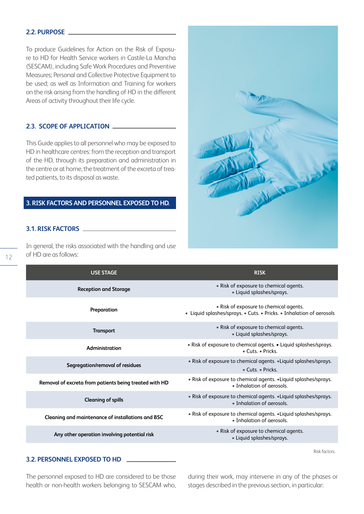#### **2.2. PURPOSE**

To produce Guidelines for Action on the Risk of Exposure to HD for Health Service workers in Castile-La Mancha (SESCAM), including Safe Work Procedures and Preventive Measures; Personal and Collective Protective Equipment to be used; as well as Information and Training for workers on the risk arising from the handling of HD in the different Areas of activity throughout their life cycle.

#### **2.3. SCOPE OF APPLICATION**

This Guide applies to all personnel who may be exposed to HD in healthcare centres: from the reception and transport of the HD, through its preparation and administration in the centre or at home, the treatment of the excreta of treated patients, to its disposal as waste.

#### **3. RISK FACTORS AND PERSONNEL EXPOSED TO HD.**

# **3.1. RISK FACTORS**

In general, the risks associated with the handling and use of HD are as follows:



| <b>USE STAGE</b>                                       | <b>RISK</b>                                                                                                    |
|--------------------------------------------------------|----------------------------------------------------------------------------------------------------------------|
| <b>Reception and Storage</b>                           | • Risk of exposure to chemical agents.<br>· Liquid splashes/sprays.                                            |
| Preparation                                            | • Risk of exposure to chemical agents.<br>• Liquid splashes/sprays. • Cuts. • Pricks. • Inhalation of aerosols |
| <b>Transport</b>                                       | • Risk of exposure to chemical agents.<br>• Liquid splashes/sprays.                                            |
| Administration                                         | • Risk of exposure to chemical agents. • Liquid splashes/sprays.<br>$\bullet$ Cuts. $\bullet$ Pricks.          |
| Segregation/removal of residues                        | • Risk of exposure to chemical agents. • Liquid splashes/sprays.<br>• Cuts. • Pricks.                          |
| Removal of excreta from patients being treated with HD | • Risk of exposure to chemical agents. • Liquid splashes/sprays.<br>• Inhalation of gerosols.                  |
| <b>Cleaning of spills</b>                              | . Risk of exposure to chemical agents. . Liquid splashes/sprays.<br>• Inhalation of aerosols.                  |
| Cleaning and maintenance of installations and BSC      | • Risk of exposure to chemical agents. • Liquid splashes/sprays.<br>• Inhalation of gerosols.                  |
| Any other operation involving potential risk           | • Risk of exposure to chemical agents.<br>• Liquid splashes/sprays.                                            |

Risk factors.

#### **3.2. PERSONNEL EXPOSED TO HD**

The personnel exposed to HD are considered to be those health or non-health workers belonging to SESCAM who, during their work, may intervene in any of the phases or stages described in the previous section, in particular: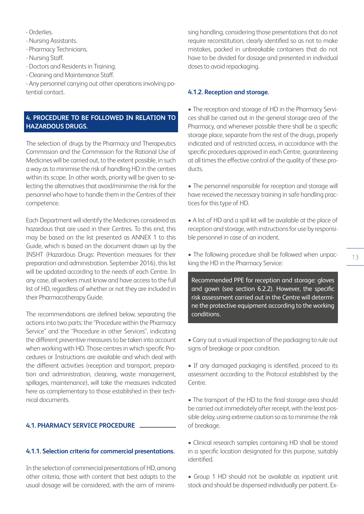- Orderlies.

- Nursing Assistants.

- Pharmacy Technicians.

- Nursing Staff.

- Doctors and Residents in Training.

- Cleaning and Maintenance Staff.

- Any personnel carrying out other operations involving potential contact.

# **4. PROCEDURE TO BE FOLLOWED IN RELATION TO HAZARDOUS DRUGS.**

The selection of drugs by the Pharmacy and Therapeutics Commission and the Commission for the Rational Use of Medicines will be carried out, to the extent possible, in such a way as to minimise the risk of handling HD in the centres within its scope. In other words, priority will be given to selecting the alternatives that avoid/minimise the risk for the personnel who have to handle them in the Centres of their competence.

Each Department will identify the Medicines considered as hazardous that are used in their Centres. To this end, this may be based on the list presented as ANNEX 1 to this Guide, which is based on the document drawn up by the INSHT (Hazardous Drugs: Prevention measures for their preparation and administration. September 2016), this list will be updated according to the needs of each Centre. In any case, all workers must know and have access to the full list of HD, regardless of whether or not they are included in their Pharmacotherapy Guide.

The recommendations are defined below, separating the actions into two parts: the "Procedure within the Pharmacy Service" and the "Procedure in other Services", indicating the different preventive measures to be taken into account when working with HD. Those centres in which specific Procedures or Instructions are available and which deal with the different activities (reception and transport, preparation and administration, cleaning, waste management, spillages, maintenance), will take the measures indicated here as complementary to those established in their technical documents.

# **4.1. PHARMACY SERVICE PROCEDURE**

# **4.1.1. Selection criteria for commercial presentations.**

In the selection of commercial presentations of HD, among other criteria, those with content that best adapts to the usual dosage will be considered, with the aim of minimising handling, considering those presentations that do not require reconstitution, clearly identified so as not to make mistakes, packed in unbreakable containers that do not have to be divided for dosage and presented in individual doses to avoid repackaging.

# **4.1.2. Reception and storage.**

• The reception and storage of HD in the Pharmacy Services shall be carried out in the general storage area of the Pharmacy, and whenever possible there shall be a specific storage place, separate from the rest of the drugs, properly indicated and of restricted access, in accordance with the specific procedures approved in each Centre, guaranteeing at all times the effective control of the quality of these products.

• The personnel responsible for reception and storage will have received the necessary training in safe handling practices for this type of HD.

• A list of HD and a spill kit will be available at the place of reception and storage, with instructions for use by responsible personnel in case of an incident.

• The following procedure shall be followed when unpacking the HD in the Pharmacy Service:

Recommended PPE for reception and storage: gloves and gown (see section 6.2.2). However, the specific risk assessment carried out in the Centre will determine the protective equipment according to the working conditions.

• Carry out a visual inspection of the packaging to rule out signs of breakage or poor condition.

• If any damaged packaging is identified, proceed to its assessment according to the Protocol established by the Centre.

• The transport of the HD to the final storage area should be carried out immediately after receipt, with the least possible delay, using extreme caution so as to minimise the risk of breakage.

• Clinical research samples containing HD shall be stored in a specific location designated for this purpose, suitably identified.

• Group 1 HD should not be available as inpatient unit stock and should be dispensed individually per patient. Ex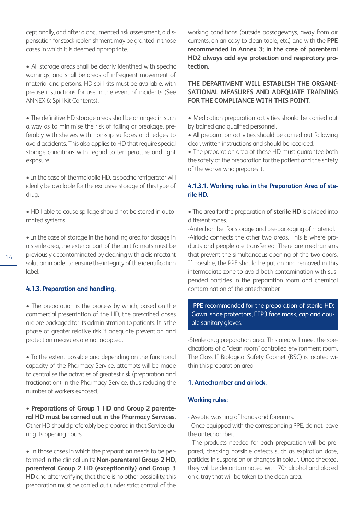ceptionally, and after a documented risk assessment, a dispensation for stock replenishment may be granted in those cases in which it is deemed appropriate.

• All storage areas shall be clearly identified with specific warnings, and shall be areas of infrequent movement of material and persons. HD spill kits must be available, with precise instructions for use in the event of incidents (See ANNEX 6: Spill Kit Contents).

• The definitive HD storage areas shall be arranged in such a way as to minimise the risk of falling or breakage, preferably with shelves with non-slip surfaces and ledges to avoid accidents. This also applies to HD that require special storage conditions with regard to temperature and light exposure.

• In the case of thermolabile HD, a specific refrigerator will ideally be available for the exclusive storage of this type of drug.

• HD liable to cause spillage should not be stored in automated systems.

• In the case of storage in the handling area for dosage in a sterile area, the exterior part of the unit formats must be previously decontaminated by cleaning with a disinfectant solution in order to ensure the integrity of the identification label.

#### **4.1.3. Preparation and handling.**

• The preparation is the process by which, based on the commercial presentation of the HD, the prescribed doses are pre-packaged for its administration to patients. It is the phase of greater relative risk if adequate prevention and protection measures are not adopted.

• To the extent possible and depending on the functional capacity of the Pharmacy Service, attempts will be made to centralise the activities of greatest risk (preparation and fractionation) in the Pharmacy Service, thus reducing the number of workers exposed.

• **Preparations of Group 1 HD and Group 2 parenteral HD must be carried out in the Pharmacy Services.** Other HD should preferably be prepared in that Service during its opening hours.

• In those cases in which the preparation needs to be performed in the clinical units: **Non-parenteral Group 2 HD, parenteral Group 2 HD (exceptionally) and Group 3 HD** and after verifying that there is no other possibility, this preparation must be carried out under strict control of the

working conditions (outside passageways, away from air currents, on an easy to clean table, etc.) and with the **PPE recommended in Annex 3; in the case of parenteral HD2 always add eye protection and respiratory protection.**

# **THE DEPARTMENT WILL ESTABLISH THE ORGANI-SATIONAL MEASURES AND ADEQUATE TRAINING FOR THE COMPLIANCE WITH THIS POINT.**

• Medication preparation activities should be carried out by trained and qualified personnel.

• All preparation activities should be carried out following clear, written instructions and should be recorded.

• The preparation area of these HD must guarantee both the safety of the preparation for the patient and the safety of the worker who prepares it.

#### **4.1.3.1. Working rules in the Preparation Area of sterile HD.**

• The area for the preparation **of sterile HD** is divided into different zones.

-Antechamber for storage and pre-packaging of material. -Airlock: connects the other two areas. This is where products and people are transferred. There are mechanisms that prevent the simultaneous opening of the two doors. If possible, the PPE should be put on and removed in this intermediate zone to avoid both contamination with suspended particles in the preparation room and chemical contamination of the antechamber.

-PPE recommended for the preparation of sterile HD: Gown, shoe protectors, FFP3 face mask, cap and double sanitary gloves.

-Sterile drug preparation area: This area will meet the specifications of a "clean room" controlled environment room. The Class II Biological Safety Cabinet (BSC) is located within this preparation area.

# **1. Antechamber and airlock.**

#### **Working rules:**

- Aseptic washing of hands and forearms.

- Once equipped with the corresponding PPE, do not leave the antechamber.

- The products needed for each preparation will be prepared, checking possible defects such as expiration date, particles in suspension or changes in colour. Once checked, they will be decontaminated with 70º alcohol and placed on a tray that will be taken to the clean area.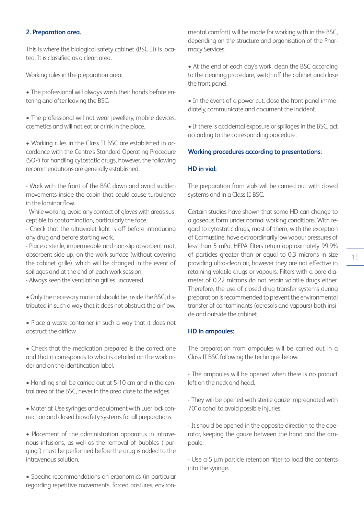#### **2. Preparation area.**

This is where the biological safety cabinet (BSC II) is located. It is classified as a clean area.

Working rules in the preparation area:

• The professional will always wash their hands before entering and after leaving the BSC.

• The professional will not wear jewellery, mobile devices, cosmetics and will not eat or drink in the place.

• Working rules in the Class II BSC are established in accordance with the Centre's Standard Operating Procedure (SOP) for handling cytostatic drugs, however, the following recommendations are generally established:

- Work with the front of the BSC down and avoid sudden movements inside the cabin that could cause turbulence in the laminar flow.

- While working, avoid any contact of gloves with areas susceptible to contamination, particularly the face.

- Check that the ultraviolet light is off before introducing any drug and before starting work.

- Place a sterile, impermeable and non-slip absorbent mat, absorbent side up, on the work surface (without covering the cabinet grille), which will be changed in the event of spillages and at the end of each work session.

- Always keep the ventilation grilles uncovered.

• Only the necessary material should be inside the BSC, distributed in such a way that it does not obstruct the airflow.

• Place a waste container in such a way that it does not obstruct the airflow.

• Check that the medication prepared is the correct one and that it corresponds to what is detailed on the work order and on the identification label.

• Handling shall be carried out at 5-10 cm and in the central area of the BSC, never in the area close to the edges.

• Material: Use syringes and equipment with Luer lock connection and closed biosafety systems for all preparations.

• Placement of the administration apparatus in intravenous infusions, as well as the removal of bubbles ("purging") must be performed before the drug is added to the intravenous solution.

• Specific recommendations on ergonomics (in particular regarding repetitive movements, forced postures, environmental comfort) will be made for working with in the BSC, depending on the structure and organisation of the Pharmacy Services.

• At the end of each day's work, clean the BSC according to the cleaning procedure, switch off the cabinet and close the front panel.

• In the event of a power cut, close the front panel immediately, communicate and document the incident.

• If there is accidental exposure or spillages in the BSC, act according to the corresponding procedure.

#### **Working procedures according to presentations:**

#### **HD in vial:**

The preparation from vials will be carried out with closed systems and in a Class II BSC.

Certain studies have shown that some HD can change to a gaseous form under normal working conditions. With regard to cytostatic drugs, most of them, with the exception of Carmustine, have extraordinarily low vapour pressures of less than 5 mPa. HEPA filters retain approximately 99.9% of particles greater than or equal to 0.3 microns in size providing ultra-clean air, however they are not effective in retaining volatile drugs or vapours. Filters with a pore diameter of 0.22 microns do not retain volatile drugs either. Therefore, the use of closed drug transfer systems during preparation is recommended to prevent the environmental transfer of contaminants (aerosols and vapours) both inside and outside the cabinet.

#### **HD in ampoules:**

The preparation from ampoules will be carried out in a Class II BSC following the technique below:

- The ampoules will be opened when there is no product left on the neck and head.

- They will be opened with sterile gauze impregnated with 70° alcohol to avoid possible injuries.

- It should be opened in the opposite direction to the operator, keeping the gauze between the hand and the ampoule.

- Use a 5 μm particle retention filter to load the contents into the syringe.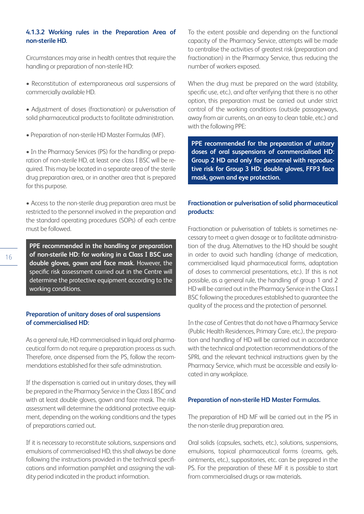# **4.1.3.2 Working rules in the Preparation Area of non-sterile HD.**

Circumstances may arise in health centres that require the handling or preparation of non-sterile HD:

- Reconstitution of extemporaneous oral suspensions of commercially available HD.
- Adjustment of doses (fractionation) or pulverisation of solid pharmaceutical products to facilitate administration.
- Preparation of non-sterile HD Master Formulas (MF).

• In the Pharmacy Services (PS) for the handling or preparation of non-sterile HD, at least one class I BSC will be required. This may be located in a separate area of the sterile drug preparation area, or in another area that is prepared for this purpose.

• Access to the non-sterile drug preparation area must be restricted to the personnel involved in the preparation and the standard operating procedures (SOPs) of each centre must be followed.

**PPE recommended in the handling or preparation of non-sterile HD: for working in a Class I BSC use double gloves, gown and face mask.** However, the specific risk assessment carried out in the Centre will determine the protective equipment according to the working conditions.

# **Preparation of unitary doses of oral suspensions of commercialised HD:**

As a general rule, HD commercialised in liquid oral pharmaceutical form do not require a preparation process as such. Therefore, once dispensed from the PS, follow the recommendations established for their safe administration.

If the dispensation is carried out in unitary doses, they will be prepared in the Pharmacy Service in the Class I BSC and with at least double gloves, gown and face mask. The risk assessment will determine the additional protective equipment, depending on the working conditions and the types of preparations carried out.

If it is necessary to reconstitute solutions, suspensions and emulsions of commercialised HD, this shall always be done following the instructions provided in the technical specifications and information pamphlet and assigning the validity period indicated in the product information.

To the extent possible and depending on the functional capacity of the Pharmacy Service, attempts will be made to centralise the activities of greatest risk (preparation and fractionation) in the Pharmacy Service, thus reducing the number of workers exposed.

When the drug must be prepared on the ward (stability, specific use, etc.), and after verifying that there is no other option, this preparation must be carried out under strict control of the working conditions (outside passageways, away from air currents, on an easy to clean table, etc.) and with the following PPE:

**PPE recommended for the preparation of unitary doses of oral suspensions of commercialised HD: Group 2 HD and only for personnel with reproductive risk for Group 3 HD: double gloves, FFP3 face mask, gown and eye protection.**

# **Fractionation or pulverisation of solid pharmaceutical products:**

Fractionation or pulverisation of tablets is sometimes necessary to meet a given dosage or to facilitate administration of the drug. Alternatives to the HD should be sought in order to avoid such handling (change of medication, commercialised liquid pharmaceutical forms, adaptation of doses to commercial presentations, etc.). If this is not possible, as a general rule, the handling of group 1 and 2 HD will be carried out in the Pharmacy Service in the Class I BSC following the procedures established to guarantee the quality of the process and the protection of personnel.

In the case of Centres that do not have a Pharmacy Service (Public Health Residences, Primary Care, etc.), the preparation and handling of HD will be carried out in accordance with the technical and protection recommendations of the SPRL and the relevant technical instructions given by the Pharmacy Service, which must be accessible and easily located in any workplace.

#### **Preparation of non-sterile HD Master Formulas.**

The preparation of HD MF will be carried out in the PS in the non-sterile drug preparation area.

Oral solids (capsules, sachets, etc.), solutions, suspensions, emulsions, topical pharmaceutical forms (creams, gels, ointments, etc.), suppositories, etc. can be prepared in the PS. For the preparation of these MF it is possible to start from commercialised drugs or raw materials.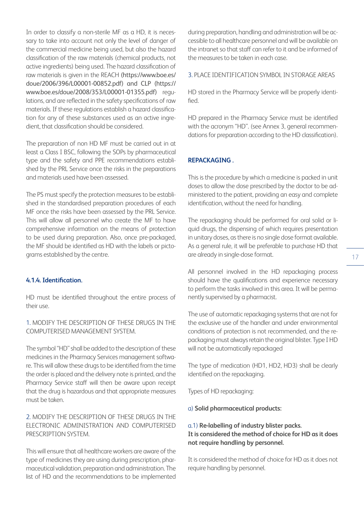In order to classify a non-sterile MF as a HD, it is necessary to take into account not only the level of danger of the commercial medicine being used, but also the hazard classification of the raw materials (chemical products, not active ingredients) being used. The hazard classification of raw materials is given in the REACH (https://www.boe.es/ doue/2006/396/L00001-00852.pdf) and CLP (https:// www.boe.es/doue/2008/353/L00001-01355.pdf) regulations, and are reflected in the safety specifications of raw materials. If these regulations establish a hazard classification for any of these substances used as an active ingredient, that classification should be considered.

The preparation of non HD MF must be carried out in at least a Class I BSC, following the SOPs by pharmaceutical type and the safety and PPE recommendations established by the PRL Service once the risks in the preparations and materials used have been assessed.

The PS must specify the protection measures to be established in the standardised preparation procedures of each MF once the risks have been assessed by the PRL Service. This will allow all personnel who create the MF to have comprehensive information on the means of protection to be used during preparation. Also, once pre-packaged, the MF should be identified as HD with the labels or pictograms established by the centre.

#### **4.1.4. Identification.**

HD must be identified throughout the entire process of their use.

1. MODIFY THE DESCRIPTION OF THESE DRUGS IN THE COMPUTERISED MANAGEMENT SYSTEM.

The symbol "HD" shall be added to the description of these medicines in the Pharmacy Services management software. This will allow these drugs to be identified from the time the order is placed and the delivery note is printed, and the Pharmacy Service staff will then be aware upon receipt that the drug is hazardous and that appropriate measures must be taken.

2. MODIFY THE DESCRIPTION OF THESE DRUGS IN THE ELECTRONIC ADMINISTRATION AND COMPUTERISED PRESCRIPTION SYSTEM.

This will ensure that all healthcare workers are aware of the type of medicines they are using during prescription, pharmaceutical validation, preparation and administration. The list of HD and the recommendations to be implemented during preparation, handling and administration will be accessible to all healthcare personnel and will be available on the intranet so that staff can refer to it and be informed of the measures to be taken in each case.

#### 3. PLACE IDENTIFICATION SYMBOL IN STORAGE AREAS

HD stored in the Pharmacy Service will be properly identified.

HD prepared in the Pharmacy Service must be identified with the acronym "HD". (see Annex 3, general recommendations for preparation according to the HD classification).

#### **REPACKAGING .**

This is the procedure by which a medicine is packed in unit doses to allow the dose prescribed by the doctor to be administered to the patient, providing an easy and complete identification, without the need for handling.

The repackaging should be performed for oral solid or liquid drugs, the dispensing of which requires presentation in unitary doses, as there is no single dose format available. As a general rule, it will be preferable to purchase HD that are already in single-dose format.

All personnel involved in the HD repackaging process should have the qualifications and experience necessary to perform the tasks involved in this area. It will be permanently supervised by a pharmacist.

The use of automatic repackaging systems that are not for the exclusive use of the handler and under environmental conditions of protection is not recommended, and the repackaging must always retain the original blister. Type I HD will not be automatically repackaged

The type of medication (HD1, HD2, HD3) shall be clearly identified on the repackaging.

Types of HD repackaging:

a) **Solid pharmaceutical products:**

# a.1) **Re-labelling of industry blister packs. It is considered the method of choice for HD as it does not require handling by personnel.**

It is considered the method of choice for HD as it does not require handling by personnel.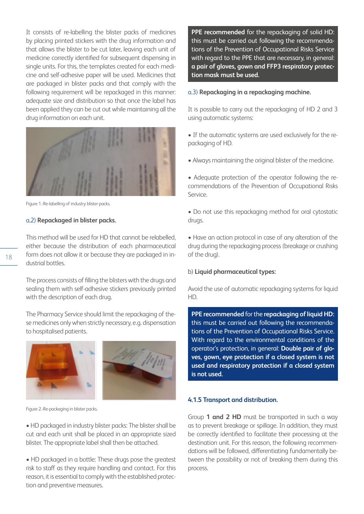It consists of re-labelling the blister packs of medicines by placing printed stickers with the drug information and that allows the blister to be cut later, leaving each unit of medicine correctly identified for subsequent dispensing in single units. For this, the templates created for each medicine and self-adhesive paper will be used. Medicines that are packaged in blister packs and that comply with the following requirement will be repackaged in this manner: adequate size and distribution so that once the label has been applied they can be cut out while maintaining all the drug information on each unit.



Figure 1.-Re-labelling of industry blister packs.

#### a.2) **Repackaged in blister packs.**

This method will be used for HD that cannot be relabelled, either because the distribution of each pharmaceutical form does not allow it or because they are packaged in industrial bottles.

The process consists of filling the blisters with the drugs and sealing them with self-adhesive stickers previously printed with the description of each drug.

The Pharmacy Service should limit the repackaging of these medicines only when strictly necessary, e.g. dispensation to hospitalised patients.



Figure 2.-Re-packaging in blister packs.

• HD packaged in industry blister packs: The blister shall be cut and each unit shall be placed in an appropriate sized blister. The appropriate label shall then be attached.

• HD packaged in a bottle: These drugs pose the greatest risk to staff as they require handling and contact. For this reason, it is essential to comply with the established protection and preventive measures.

**PPE recommended** for the repackaging of solid HD: this must be carried out following the recommendations of the Prevention of Occupational Risks Service with regard to the PPE that are necessary, in general: **a pair of gloves, gown and FFP3 respiratory protection mask must be used.**

# a.3) **Repackaging in a repackaging machine.**

It is possible to carry out the repackaging of HD 2 and 3 using automatic systems:

- If the automatic systems are used exclusively for the repackaging of HD.
- Always maintaining the original blister of the medicine.

• Adequate protection of the operator following the recommendations of the Prevention of Occupational Risks Service.

• Do not use this repackaging method for oral cytostatic drugs.

• Have an action protocol in case of any alteration of the drug during the repackaging process (breakage or crushing of the drug).

# b) **Liquid pharmaceutical types:**

Avoid the use of automatic repackaging systems for liquid HD.

**PPE recommended** for the **repackaging of liquid HD:**  this must be carried out following the recommendations of the Prevention of Occupational Risks Service. With regard to the environmental conditions of the operator's protection, in general: **Double pair of gloves, gown, eye protection if a closed system is not used and respiratory protection if a closed system is not used.**

# **4.1.5 Transport and distribution.**

Group **1 and 2 HD** must be transported in such a way as to prevent breakage or spillage. In addition, they must be correctly identified to facilitate their processing at the destination unit. For this reason, the following recommendations will be followed, differentiating fundamentally between the possibility or not of breaking them during this process.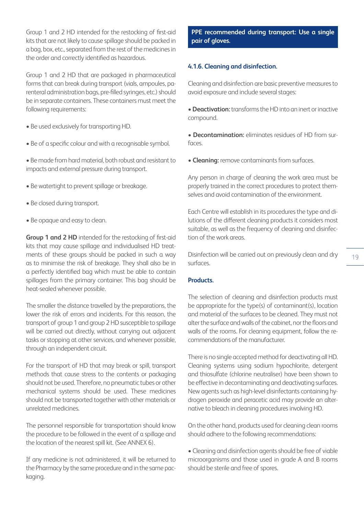Group 1 and 2 HD intended for the restocking of first-aid kits that are not likely to cause spillage should be packed in a bag, box, etc., separated from the rest of the medicines in the order and correctly identified as hazardous.

Group 1 and 2 HD that are packaged in pharmaceutical forms that can break during transport (vials, ampoules, parenteral administration bags, pre-filled syringes, etc.) should be in separate containers. These containers must meet the following requirements:

- Be used exclusively for transporting HD.
- Be of a specific colour and with a recognisable symbol.
- Be made from hard material, both robust and resistant to impacts and external pressure during transport.
- Be watertight to prevent spillage or breakage.
- Be closed during transport.
- Be opaque and easy to clean.

**Group 1 and 2 HD** intended for the restocking of first-aid kits that may cause spillage and individualised HD treatments of these groups should be packed in such a way as to minimise the risk of breakage. They shall also be in a perfectly identified bag which must be able to contain spillages from the primary container. This bag should be heat-sealed whenever possible.

The smaller the distance travelled by the preparations, the lower the risk of errors and incidents. For this reason, the transport of group 1 and group 2 HD susceptible to spillage will be carried out directly, without carrying out adjacent tasks or stopping at other services, and whenever possible, through an independent circuit.

For the transport of HD that may break or spill, transport methods that cause stress to the contents or packaging should not be used. Therefore, no pneumatic tubes or other mechanical systems should be used. These medicines should not be transported together with other materials or unrelated medicines.

The personnel responsible for transportation should know the procedure to be followed in the event of a spillage and the location of the nearest spill kit. (See ANNEX 6).

If any medicine is not administered, it will be returned to the Pharmacy by the same procedure and in the same packaging.

**PPE recommended during transport: Use a single pair of gloves.**

#### **4.1.6. Cleaning and disinfection.**

Cleaning and disinfection are basic preventive measures to avoid exposure and include several stages:

• **Deactivation:** transforms the HD into an inert or inactive compound.

• **Decontamination:** eliminates residues of HD from surfaces.

• **Cleaning:** remove contaminants from surfaces.

Any person in charge of cleaning the work area must be properly trained in the correct procedures to protect themselves and avoid contamination of the environment.

Each Centre will establish in its procedures the type and dilutions of the different cleaning products it considers most suitable, as well as the frequency of cleaning and disinfection of the work areas.

Disinfection will be carried out on previously clean and dry surfaces.

#### **Products.**

The selection of cleaning and disinfection products must be appropriate for the type(s) of contaminant(s), location and material of the surfaces to be cleaned. They must not alter the surface and walls of the cabinet, nor the floors and walls of the rooms. For cleaning equipment, follow the recommendations of the manufacturer.

There is no single accepted method for deactivating all HD. Cleaning systems using sodium hypochlorite, detergent and thiosulfate (chlorine neutraliser) have been shown to be effective in decontaminating and deactivating surfaces. New agents such as high-level disinfectants containing hydrogen peroxide and peracetic acid may provide an alternative to bleach in cleaning procedures involving HD.

On the other hand, products used for cleaning clean rooms should adhere to the following recommendations:

• Cleaning and disinfection agents should be free of viable microorganisms and those used in grade A and B rooms should be sterile and free of spores.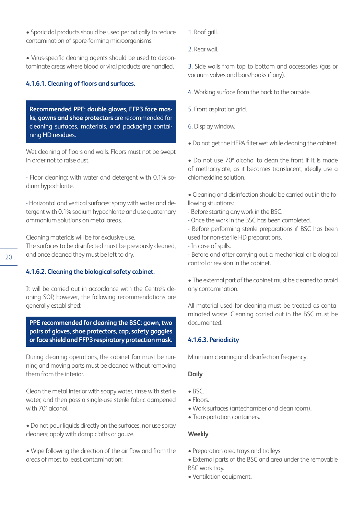• Sporicidal products should be used periodically to reduce contamination of spore-forming microorganisms.

• Virus-specific cleaning agents should be used to decontaminate areas where blood or viral products are handled.

#### **4.1.6.1. Cleaning of floors and surfaces.**

**Recommended PPE: double gloves, FFP3 face masks, gowns and shoe protectors** are recommended for cleaning surfaces, materials, and packaging containing HD residues.

Wet cleaning of floors and walls. Floors must not be swept in order not to raise dust.

- Floor cleaning: with water and detergent with 0.1% sodium hypochlorite.

- Horizontal and vertical surfaces: spray with water and detergent with 0.1% sodium hypochlorite and use quaternary ammonium solutions on metal areas.

Cleaning materials will be for exclusive use.

The surfaces to be disinfected must be previously cleaned, and once cleaned they must be left to dry.

#### **4.1.6.2. Cleaning the biological safety cabinet.**

It will be carried out in accordance with the Centre's cleaning SOP, however, the following recommendations are generally established:

**PPE recommended for cleaning the BSC: gown, two pairs of gloves, shoe protectors, cap, safety goggles or face shield and FFP3 respiratory protection mask.**

During cleaning operations, the cabinet fan must be running and moving parts must be cleaned without removing them from the interior.

Clean the metal interior with soapy water, rinse with sterile water, and then pass a single-use sterile fabric dampened with 70º alcohol.

- Do not pour liquids directly on the surfaces, nor use spray cleaners; apply with damp cloths or gauze.
- Wipe following the direction of the air flow and from the areas of most to least contamination:
- 1. Roof grill.
- 2. Rear wall.

3. Side walls from top to bottom and accessories (gas or vacuum valves and bars/hooks if any).

- 4. Working surface from the back to the outside.
- 5. Front aspiration grid.
- 6. Display window.
- Do not get the HEPA filter wet while cleaning the cabinet.

• Do not use 70º alcohol to clean the front if it is made of methacrylate, as it becomes translucent; ideally use a chlorhexidine solution.

• Cleaning and disinfection should be carried out in the following situations:

- Before starting any work in the BSC.
- Once the work in the BSC has been completed.

- Before performing sterile preparations if BSC has been used for non-sterile HD preparations.

- In case of spills.

- Before and after carrying out a mechanical or biological control or revision in the cabinet.

• The external part of the cabinet must be cleaned to avoid any contamination.

All material used for cleaning must be treated as contaminated waste. Cleaning carried out in the BSC must be documented.

# **4.1.6.3. Periodicity**

Minimum cleaning and disinfection frequency:

#### **Daily**

- BSC.
- Floors.
- Work surfaces (antechamber and clean room).
- Transportation containers.

#### **Weekly**

- Preparation area trays and trolleys.
- External parts of the BSC and area under the removable
- BSC work tray.
- Ventilation equipment.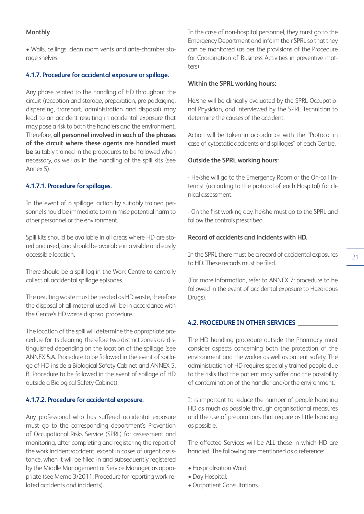# **Monthly**

• Walls, ceilings, clean room vents and ante-chamber storage shelves.

# **4.1.7. Procedure for accidental exposure or spillage.**

Any phase related to the handling of HD throughout the circuit (reception and storage, preparation, pre-packaging, dispensing, transport, administration and disposal) may lead to an accident resulting in accidental exposure that may pose a risk to both the handlers and the environment. Therefore, **all personnel involved in each of the phases of the circuit where these agents are handled must be** suitably trained in the procedures to be followed when necessary, as well as in the handling of the spill kits (see Annex 5).

# **4.1.7.1. Procedure for spillages.**

In the event of a spillage, action by suitably trained personnel should be immediate to minimise potential harm to other personnel or the environment.

Spill kits should be available in all areas where HD are stored and used, and should be available in a visible and easily accessible location.

There should be a spill log in the Work Centre to centrally collect all accidental spillage episodes.

The resulting waste must be treated as HD waste, therefore the disposal of all material used will be in accordance with the Centre's HD waste disposal procedure.

The location of the spill will determine the appropriate procedure for its cleaning, therefore two distinct zones are distinguished depending on the location of the spillage (see ANNEX 5.A. Procedure to be followed in the event of spillage of HD inside a Biological Safety Cabinet and ANNEX 5. B. Procedure to be followed in the event of spillage of HD outside a Biological Safety Cabinet).

#### **4.1.7.2. Procedure for accidental exposure.**

Any professional who has suffered accidental exposure must go to the corresponding department's Prevention of Occupational Risks Service (SPRL) for assessment and monitoring, after completing and registering the report of the work incident/accident, except in cases of urgent assistance, when it will be filled in and subsequently registered by the Middle Management or Service Manager, as appropriate (see Memo 3/2011: Procedure for reporting work-related accidents and incidents).

In the case of non-hospital personnel, they must go to the Emergency Department and inform their SPRL so that they can be monitored (as per the provisions of the Procedure for Coordination of Business Activities in preventive matters).

#### **Within the SPRL working hours:**

He/she will be clinically evaluated by the SPRL Occupational Physician, and interviewed by the SPRL Technician to determine the causes of the accident.

Action will be taken in accordance with the "Protocol in case of cytostatic accidents and spillages" of each Centre.

#### **Outside the SPRL working hours:**

- He/she will go to the Emergency Room or the On-call Internist (according to the protocol of each Hospital) for clinical assessment.

- On the first working day, he/she must go to the SPRL and follow the controls prescribed.

# **Record of accidents and incidents with HD.**

In the SPRL there must be a record of accidental exposures to HD. These records must be filed.

(For more information, refer to ANNEX 7: procedure to be followed in the event of accidental exposure to Hazardous Drugs).

#### **4.2. PROCEDURE IN OTHER SERVICES**

The HD handling procedure outside the Pharmacy must consider aspects concerning both the protection of the environment and the worker as well as patient safety. The administration of HD requires specially trained people due to the risks that the patient may suffer and the possibility of contamination of the handler and/or the environment.

It is important to reduce the number of people handling HD as much as possible through organisational measures and the use of preparations that require as little handling as possible.

The affected Services will be ALL those in which HD are handled. The following are mentioned as a reference:

- Hospitalisation Ward.
- Day Hospital.
- Outpatient Consultations.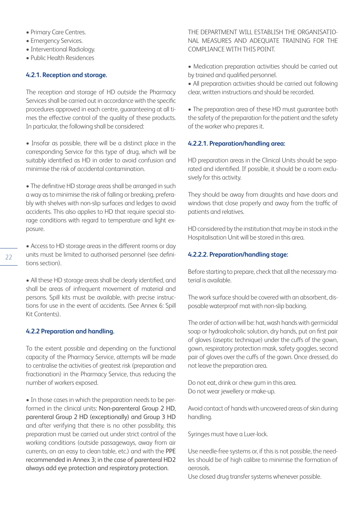- Primary Care Centres.
- Emergency Services.
- Interventional Radiology.
- Public Health Residences

#### **4.2.1. Reception and storage.**

The reception and storage of HD outside the Pharmacy Services shall be carried out in accordance with the specific procedures approved in each centre, guaranteeing at all times the effective control of the quality of these products. In particular, the following shall be considered:

• Insofar as possible, there will be a distinct place in the corresponding Service for this type of drug, which will be suitably identified as HD in order to avoid confusion and minimise the risk of accidental contamination.

• The definitive HD storage areas shall be arranged in such a way as to minimise the risk of falling or breaking, preferably with shelves with non-slip surfaces and ledges to avoid accidents. This also applies to HD that require special storage conditions with regard to temperature and light exposure.

• Access to HD storage areas in the different rooms or day units must be limited to authorised personnel (see definitions section).

• All these HD storage areas shall be clearly identified, and shall be areas of infrequent movement of material and persons. Spill kits must be available, with precise instructions for use in the event of accidents. (See Annex 6: Spill Kit Contents).

#### **4.2.2 Preparation and handling.**

To the extent possible and depending on the functional capacity of the Pharmacy Service, attempts will be made to centralise the activities of greatest risk (preparation and fractionation) in the Pharmacy Service, thus reducing the number of workers exposed.

• In those cases in which the preparation needs to be performed in the clinical units: Non-parenteral Group 2 HD, parenteral Group 2 HD (exceptionally) and Group 3 HD and after verifying that there is no other possibility, this preparation must be carried out under strict control of the working conditions (outside passageways, away from air currents, on an easy to clean table, etc.) and with the PPE recommended in Annex 3; in the case of parenteral HD2 always add eye protection and respiratory protection.

THE DEPARTMENT WILL ESTABLISH THE ORGANISATIO-NAL MEASURES AND ADEQUATE TRAINING FOR THE COMPLIANCE WITH THIS POINT.

• Medication preparation activities should be carried out by trained and qualified personnel.

• All preparation activities should be carried out following clear, written instructions and should be recorded.

• The preparation area of these HD must guarantee both the safety of the preparation for the patient and the safety of the worker who prepares it.

#### **4.2.2.1. Preparation/handling area:**

HD preparation areas in the Clinical Units should be separated and identified. If possible, it should be a room exclusively for this activity.

They should be away from draughts and have doors and windows that close properly and away from the traffic of patients and relatives.

HD considered by the institution that may be in stock in the Hospitalisation Unit will be stored in this area.

#### **4.2.2.2. Preparation/handling stage:**

Before starting to prepare, check that all the necessary material is available.

The work surface should be covered with an absorbent, disposable waterproof mat with non-slip backing.

The order of action will be: hat, wash hands with germicidal soap or hydroalcoholic solution, dry hands, put on first pair of gloves (aseptic technique) under the cuffs of the gown, gown, respiratory protection mask, safety goggles, second pair of gloves over the cuffs of the gown. Once dressed, do not leave the preparation area.

Do not eat, drink or chew gum in this area. Do not wear jewellery or make-up.

Avoid contact of hands with uncovered areas of skin during handling.

Syringes must have a Luer-lock.

Use needle-free systems or, if this is not possible, the needles should be of high calibre to minimise the formation of aerosols.

Use closed drug transfer systems whenever possible.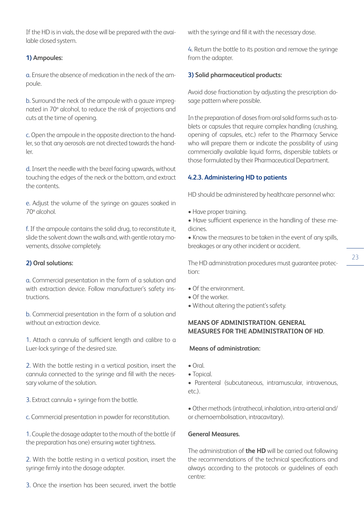If the HD is in vials, the dose will be prepared with the available closed system.

# **1) Ampoules:**

a. Ensure the absence of medication in the neck of the ampoule.

b. Surround the neck of the ampoule with a gauze impregnated in 70º alcohol, to reduce the risk of projections and cuts at the time of opening.

c. Open the ampoule in the opposite direction to the handler, so that any aerosols are not directed towards the handler.

d. Insert the needle with the bezel facing upwards, without touching the edges of the neck or the bottom, and extract the contents.

e. Adjust the volume of the syringe on gauzes soaked in 70º alcohol.

f. If the ampoule contains the solid drug, to reconstitute it, slide the solvent down the walls and, with gentle rotary movements, dissolve completely.

# **2) Oral solutions:**

a. Commercial presentation in the form of a solution and with extraction device. Follow manufacturer's safety instructions.

b. Commercial presentation in the form of a solution and without an extraction device.

1. Attach a cannula of sufficient length and calibre to a Luer-lock syringe of the desired size.

2. With the bottle resting in a vertical position, insert the cannula connected to the syringe and fill with the necessary volume of the solution.

3. Extract cannula + syringe from the bottle.

c. Commercial presentation in powder for reconstitution.

1. Couple the dosage adapter to the mouth of the bottle (if the preparation has one) ensuring water tightness.

2. With the bottle resting in a vertical position, insert the syringe firmly into the dosage adapter.

3. Once the insertion has been secured, invert the bottle

with the syringe and fill it with the necessary dose.

4. Return the bottle to its position and remove the syringe from the adapter.

#### **3) Solid pharmaceutical products:**

Avoid dose fractionation by adjusting the prescription dosage pattern where possible.

In the preparation of doses from oral solid forms such as tablets or capsules that require complex handling (crushing, opening of capsules, etc.) refer to the Pharmacy Service who will prepare them or indicate the possibility of using commercially available liquid forms, dispersible tablets or those formulated by their Pharmaceutical Department.

#### **4.2.3. Administering HD to patients**

HD should be administered by healthcare personnel who:

- Have proper training.
- Have sufficient experience in the handling of these medicines.

• Know the measures to be taken in the event of any spills, breakages or any other incident or accident.

The HD administration procedures must guarantee protection:

- Of the environment.
- Of the worker.
- Without altering the patient's safety.

# **MEANS OF ADMINISTRATION. GENERAL MEASURES FOR THE ADMINISTRATION OF HD**.

#### **Means of administration:**

- Oral.
- Topical.
- Parenteral (subcutaneous, intramuscular, intravenous, etc.).

• Other methods (intrathecal, inhalation, intra-arterial and/ or chemoembolisation, intracavitary).

# **General Measures.**

The administration of **the HD** will be carried out following the recommendations of the technical specifications and always according to the protocols or guidelines of each centre: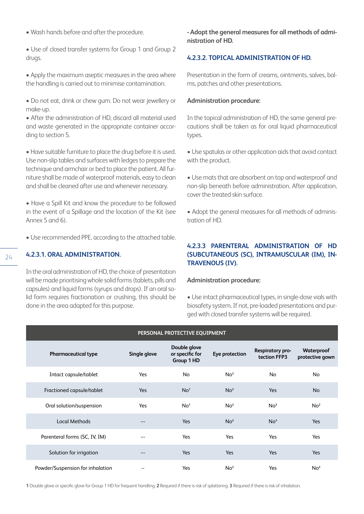• Wash hands before and after the procedure.

• Use of closed transfer systems for Group 1 and Group 2 drugs.

• Apply the maximum aseptic measures in the area where the handling is carried out to minimise contamination.

• Do not eat, drink or chew gum. Do not wear jewellery or make-up.

• After the administration of HD, discard all material used and waste generated in the appropriate container according to section 5.

• Have suitable furniture to place the drug before it is used. Use non-slip tables and surfaces with ledges to prepare the technique and armchair or bed to place the patient. All furniture shall be made of waterproof materials, easy to clean and shall be cleaned after use and whenever necessary.

• Have a Spill Kit and know the procedure to be followed in the event of a Spillage and the location of the Kit (see Annex 5 and 6).

• Use recommended PPE, according to the attached table.

#### **4.2.3.1. ORAL ADMINISTRATION.**

In the oral administration of HD, the choice of presentation will be made prioritising whole solid forms (tablets, pills and capsules) and liquid forms (syrups and drops). If an oral solid form requires fractionation or crushing, this should be done in the area adapted for this purpose.

**- Adopt the general measures for all methods of administration of HD.**

# **4.2.3.2. TOPICAL ADMINISTRATION OF HD.**

Presentation in the form of creams, ointments, salves, balms, patches and other presentations.

#### **Administration procedure:**

In the topical administration of HD, the same general precautions shall be taken as for oral liquid pharmaceutical types.

• Use spatulas or other application aids that avoid contact with the product.

• Use mats that are absorbent on top and waterproof and non-slip beneath before administration. After application, cover the treated skin surface.

• Adopt the general measures for all methods of administration of HD.

# **4.2.3.3 PARENTERAL ADMINISTRATION OF HD (SUBCUTANEOUS (SC), INTRAMUSCULAR (IM), IN-TRAVENOUS (IV).**

#### **Administration procedure:**

• Use intact pharmaceutical types, in single-dose vials with biosafety system. If not, pre-loaded presentations and purged with closed transfer systems will be required.

| PERSONAL PROTECTIVE EQUIPMENT    |                          |                                               |                 |                                  |                               |  |
|----------------------------------|--------------------------|-----------------------------------------------|-----------------|----------------------------------|-------------------------------|--|
| Pharmaceutical type              | Single glove             | Double glove<br>or specific for<br>Group 1 HD | Eye protection  | Respiratory pro-<br>tection FFP3 | Waterproof<br>protective gown |  |
| Intact capsule/tablet            | Yes                      | No                                            | No <sup>2</sup> | No                               | No                            |  |
| Fractioned capsule/tablet        | <b>Yes</b>               | No <sup>1</sup>                               | No <sup>2</sup> | Yes                              | <b>No</b>                     |  |
| Oral solution/suspension         | Yes                      | No <sup>1</sup>                               | No <sup>2</sup> | No <sup>3</sup>                  | No <sup>2</sup>               |  |
| <b>Local Methods</b>             | ---                      | Yes                                           | No <sup>2</sup> | No <sup>3</sup>                  | Yes                           |  |
| Parenteral forms (SC, IV, IM)    | ---                      | Yes                                           | Yes             | Yes                              | Yes                           |  |
| Solution for irrigation          | ---                      | Yes                                           | Yes             | Yes                              | Yes                           |  |
| Powder/Suspension for inhalation | $\overline{\phantom{a}}$ | Yes                                           | No <sup>2</sup> | Yes                              | No <sup>2</sup>               |  |

**1** Double glove or specific glove for Group 1 HD for frequent handling. **2** Required if there is risk of splattering. **3** Required if there is risk of inhalation.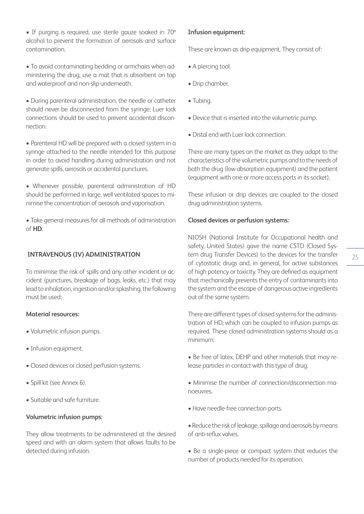- If purging is required, use sterile gauze soaked in 70º alcohol to prevent the formation of aerosols and surface contamination.
- To avoid contaminating bedding or armchairs when administering the drug, use a mat that is absorbent on top and waterproof and non-slip underneath.
- During parenteral administration, the needle or catheter should never be disconnected from the syringe; Luer lock connections should be used to prevent accidental disconnection.
- Parenteral HD will be prepared with a closed system in a syringe attached to the needle intended for this purpose in order to avoid handling during administration and not generate spills, aerosols or accidental punctures.
- Whenever possible, parenteral administration of HD should be performed in large, well ventilated spaces to minimise the concentration of aerosols and vaporisation.
- Take general measures for all methods of administration of **HD.**

# **INTRAVENOUS (IV) ADMINISTRATION**

To minimise the risk of spills and any other incident or accident (punctures, breakage of bags, leaks, etc.) that may lead to inhalation, ingestion and/or splashing, the following must be used:

# **Material resources:**

- Volumetric infusion pumps.
- Infusion equipment.
- Closed devices or closed perfusion systems.
- Spill kit (see Annex 6).
- Suitable and safe furniture.

# **Volumetric infusion pumps:**

They allow treatments to be administered at the desired speed and with an alarm system that allows faults to be detected during infusion.

#### **Infusion equipment:**

These are known as drip equipment. They consist of:

- A piercing tool.
- Drip chamber.
- Tubing.
- Device that is inserted into the volumetric pump.
- Distal end with Luer lock connection.

There are many types on the market as they adapt to the characteristics of the volumetric pumps and to the needs of both the drug (low absorption equipment) and the patient (equipment with one or more access ports in its socket).

These infusion or drip devices are coupled to the closed drug administration systems.

#### **Closed devices or perfusion systems:**

NIOSH (National Institute for Occupational health and safety, United States) gave the name CSTD (Closed System drug Transfer Devices) to the devices for the transfer of cytostatic drugs and, in general, for active substances of high potency or toxicity. They are defined as equipment that mechanically prevents the entry of contaminants into the system and the escape of dangerous active ingredients out of the same system.

There are different types of closed systems for the administration of HD, which can be coupled to infusion pumps as required. These closed administration systems should as a minimum:

- Be free of latex, DEHP and other materials that may release particles in contact with this type of drug.
- Minimise the number of connection/disconnection manoeuvres.
- Have needle-free connection ports.
- •Reduce the risk of leakage, spillage and aerosols by means of anti-reflux valves.
- Be a single-piece or compact system that reduces the number of products needed for its operation.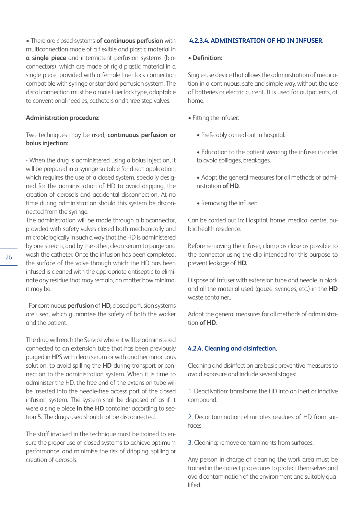• There are closed systems **of continuous perfusion** with multiconnection made of a flexible and plastic material in **a single piece** and intermittent perfusion systems (bioconnectors), which are made of rigid plastic material in a single piece, provided with a female Luer lock connection compatible with syringe or standard perfusion system. The distal connection must be a male Luer lock type, adaptable to conventional needles, catheters and three-step valves.

#### **Administration procedure:**

# Two techniques may be used; **continuous perfusion or bolus injection:**

- When the drug is administered using a bolus injection, it will be prepared in a syringe suitable for direct application, which requires the use of a closed system, specially designed for the administration of HD to avoid dripping, the creation of aerosols and accidental disconnection. At no time during administration should this system be disconnected from the syringe.

The administration will be made through a bioconnector, provided with safety valves closed both mechanically and microbiologically in such a way that the HD is administered by one stream, and by the other, clean serum to purge and wash the catheter. Once the infusion has been completed, the surface of the valve through which the HD has been infused is cleaned with the appropriate antiseptic to eliminate any residue that may remain, no matter how minimal it may be.

- For continuous **perfusion** of **HD,** closed perfusion systems are used, which guarantee the safety of both the worker and the patient.

The drug will reach the Service where it will be administered connected to an extension tube that has been previously purged in HPS with clean serum or with another innocuous solution, to avoid spilling the **HD** during transport or connection to the administration system. When it is time to administer the HD, the free end of the extension tube will be inserted into the needle-free access port of the closed infusion system. The system shall be disposed of as if it were a single piece **in the HD** container according to section 5. The drugs used should not be disconnected.

The staff involved in the technique must be trained to ensure the proper use of closed systems to achieve optimum performance, and minimise the risk of dripping, spilling or creation of aerosols.

#### **4.2.3.4. ADMINISTRATION OF HD IN INFUSER.**

#### **• Definition:**

Single-use device that allows the administration of medication in a continuous, safe and simple way, without the use of batteries or electric current. It is used for outpatients, at home.

- Fitting the infuser:
	- Preferably carried out in hospital.
	- Education to the patient wearing the infuser in order to avoid spillages, breakages.
	- Adopt the general measures for all methods of administration **of HD.**
	- Removing the infuser:

Can be carried out in: Hospital, home, medical centre, public health residence.

Before removing the infuser, clamp as close as possible to the connector using the clip intended for this purpose to prevent leakage of **HD.**

Dispose of Infuser with extension tube and needle in block and all the material used (gauze, syringes, etc.) in the **HD** waste container..

Adopt the general measures for all methods of administration **of HD.**

#### **4.2.4. Cleaning and disinfection.**

Cleaning and disinfection are basic preventive measures to avoid exposure and include several stages:

1. Deactivation: transforms the HD into an inert or inactive compound.

2. Decontamination: eliminates residues of HD from surfaces.

3. Cleaning: remove contaminants from surfaces.

Any person in charge of cleaning the work area must be trained in the correct procedures to protect themselves and avoid contamination of the environment and suitably qualified.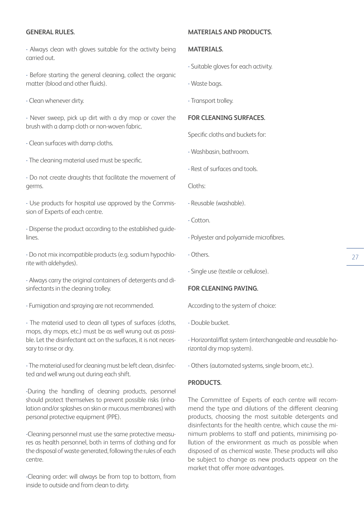#### **GENERAL RULES.**

- Always clean with gloves suitable for the activity being carried out.

- Before starting the general cleaning, collect the organic matter (blood and other fluids).

- Clean whenever dirty.

- Never sweep, pick up dirt with a dry mop or cover the brush with a damp cloth or non-woven fabric.

- Clean surfaces with damp cloths.
- The cleaning material used must be specific.
- Do not create draughts that facilitate the movement of germs.

- Use products for hospital use approved by the Commission of Experts of each centre.

- Dispense the product according to the established guidelines.

- Do not mix incompatible products (e.g. sodium hypochlorite with aldehydes).

- Always carry the original containers of detergents and disinfectants in the cleaning trolley.

- Fumigation and spraying are not recommended.

- The material used to clean all types of surfaces (cloths, mops, dry mops, etc.) must be as well wrung out as possible. Let the disinfectant act on the surfaces, it is not necessary to rinse or dry.

- The material used for cleaning must be left clean, disinfected and well wrung out during each shift.

-During the handling of cleaning products, personnel should protect themselves to prevent possible risks (inhalation and/or splashes on skin or mucous membranes) with personal protective equipment (PPE).

-Cleaning personnel must use the same protective measures as health personnel, both in terms of clothing and for the disposal of waste generated, following the rules of each centre.

-Cleaning order: will always be from top to bottom, from inside to outside and from clean to dirty.

#### **MATERIALS AND PRODUCTS.**

#### **MATERIALS.**

- Suitable gloves for each activity.
- Waste bags.
- Transport trolley.

#### **FOR CLEANING SURFACES.**

Specific cloths and buckets for:

- Washbasin, bathroom.
- Rest of surfaces and tools.

Cloths:

- Reusable (washable).
- Cotton.
- Polyester and polyamide microfibres.
- Others.

- Single use (textile or cellulose).

#### **FOR CLEANING PAVING.**

According to the system of choice:

- Double bucket.

- Horizontal/flat system (interchangeable and reusable horizontal dry mop system).

- Others (automated systems, single broom, etc.).

#### **PRODUCTS.**

The Committee of Experts of each centre will recommend the type and dilutions of the different cleaning products, choosing the most suitable detergents and disinfectants for the health centre, which cause the minimum problems to staff and patients, minimising pollution of the environment as much as possible when disposed of as chemical waste. These products will also be subject to change as new products appear on the market that offer more advantages.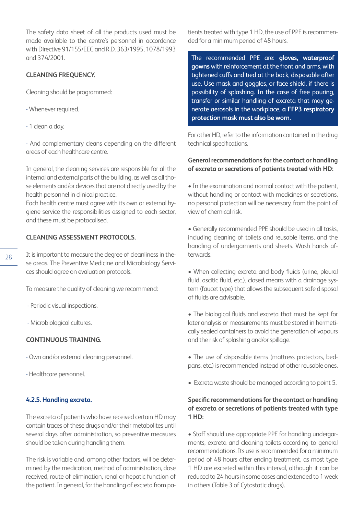The safety data sheet of all the products used must be made available to the centre's personnel in accordance with Directive 91/155/EEC and R.D. 363/1995, 1078/1993 and 374/2001.

# **CLEANING FREQUENCY.**

Cleaning should be programmed:

- Whenever required.
- 1 clean a day.

- And complementary cleans depending on the different areas of each healthcare centre.

In general, the cleaning services are responsible for all the internal and external parts of the building, as well as all those elements and/or devices that are not directly used by the health personnel in clinical practice.

Each health centre must agree with its own or external hygiene service the responsibilities assigned to each sector, and these must be protocolised.

# **CLEANING ASSESSMENT PROTOCOLS.**

- It is important to measure the degree of cleanliness in these areas. The Preventive Medicine and Microbiology Services should agree on evaluation protocols.
	- To measure the quality of cleaning we recommend:
	- Periodic visual inspections.
	- Microbiological cultures.

# **CONTINUOUS TRAINING.**

- Own and/or external cleaning personnel.
- Healthcare personnel.

#### **4.2.5. Handling excreta.**

The excreta of patients who have received certain HD may contain traces of these drugs and/or their metabolites until several days after administration, so preventive measures should be taken during handling them.

The risk is variable and, among other factors, will be determined by the medication, method of administration, dose received, route of elimination, renal or hepatic function of the patient. In general, for the handling of excreta from patients treated with type 1 HD, the use of PPE is recommended for a minimum period of 48 hours.

The recommended PPE are: **gloves, waterproof gowns** with reinforcement at the front and arms, with tightened cuffs and tied at the back, disposable after use. Use mask and goggles, or face shield, if there is possibility of splashing. In the case of free pouring, transfer or similar handling of excreta that may generate aerosols in the workplace, **a FFP3 respiratory protection mask must also be worn.**

For other HD, refer to the information contained in the drug technical specifications.

# **General recommendations for the contact or handling of excreta or secretions of patients treated with HD:**

• In the examination and normal contact with the patient, without handling or contact with medicines or secretions, no personal protection will be necessary, from the point of view of chemical risk.

• Generally recommended PPE should be used in all tasks, including cleaning of toilets and reusable items, and the handling of undergarments and sheets. Wash hands afterwards.

• When collecting excreta and body fluids (urine, pleural fluid, ascitic fluid, etc.), closed means with a drainage system (faucet type) that allows the subsequent safe disposal of fluids are advisable.

• The biological fluids and excreta that must be kept for later analysis or measurements must be stored in hermetically sealed containers to avoid the generation of vapours and the risk of splashing and/or spillage.

- The use of disposable items (mattress protectors, bedpans, etc.) is recommended instead of other reusable ones.
- Excreta waste should be managed according to point 5.

# **Specific recommendations for the contact or handling of excreta or secretions of patients treated with type 1 HD:**

• Staff should use appropriate PPE for handling undergarments, excreta and cleaning toilets according to general recommendations. Its use is recommended for a minimum period of 48 hours after ending treatment, as most type 1 HD are excreted within this interval, although it can be reduced to 24 hours in some cases and extended to 1 week in others (Table 3 of Cytostatic drugs).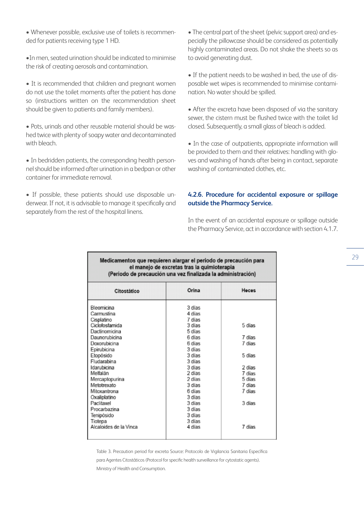• Whenever possible, exclusive use of toilets is recommended for patients receiving type 1 HD.

•In men, seated urination should be indicated to minimise the risk of creating aerosols and contamination.

• It is recommended that children and pregnant women do not use the toilet moments after the patient has done so (instructions written on the recommendation sheet should be given to patients and family members).

• Pots, urinals and other reusable material should be washed twice with plenty of soapy water and decontaminated with bleach.

• In bedridden patients, the corresponding health personnel should be informed after urination in a bedpan or other container for immediate removal.

• If possible, these patients should use disposable underwear. If not, it is advisable to manage it specifically and separately from the rest of the hospital linens.

• The central part of the sheet (pelvic support area) and especially the pillowcase should be considered as potentially highly contaminated areas. Do not shake the sheets so as to avoid generating dust.

• If the patient needs to be washed in bed, the use of disposable wet wipes is recommended to minimise contamination. No water should be spilled.

• After the excreta have been disposed of via the sanitary sewer, the cistern must be flushed twice with the toilet lid closed. Subsequently, a small glass of bleach is added.

• In the case of outpatients, appropriate information will be provided to them and their relatives: handling with gloves and washing of hands after being in contact, separate washing of contaminated clothes, etc.

# **4.2.6. Procedure for accidental exposure or spillage outside the Pharmacy Service.**

In the event of an accidental exposure or spillage outside the Pharmacy Service, act in accordance with section 4.1.7.

#### Medicamentos que requieren alargar el periodo de precaución para el manejo de excretas tras la quimioterapia (Periodo de precaución una vez finalizada la administración)

| Citostático            | Orina  | <b>Heces</b> |  |  |
|------------------------|--------|--------------|--|--|
| Bleomicina             | 3 días |              |  |  |
| Carmustina             | 4 días |              |  |  |
| Cisplatino             | 7 dias |              |  |  |
| Ciclofosfamida         | 3 días | 5 días       |  |  |
| Dactinomicina          | 5 días |              |  |  |
| Daunorubicina          | 6 días | 7 días       |  |  |
| Doxorubicina           | 6 dias | 7 dias       |  |  |
| Epirubicina            | 3 días |              |  |  |
| Etopósido              | 3 días | 5 días       |  |  |
| Fludarabina            | 3 días |              |  |  |
| Idarubicina            | 3 días | 2 días       |  |  |
| Melfalán               | 2 días | 7 días       |  |  |
| Mercaptopurina         | 2 días | 5 días       |  |  |
| Metotrexato            | 3 días | 7 dias       |  |  |
| Mitoxantrona           | 6 días | 7 días       |  |  |
| Oxaliplatino           | 3 días |              |  |  |
| Paclitaxel             | 3 dias | 3 dias       |  |  |
| Procarbazina           | 3 días |              |  |  |
| Tenipósido             | 3 días |              |  |  |
| Tiotepa                | 3 días |              |  |  |
| Alcaloides de la Vinca | 4 dias | 7 dias       |  |  |
|                        |        |              |  |  |
|                        |        |              |  |  |

Table 3. Precaution period for excreta Source: Protocolo de Vigilancia Sanitaria Específica para Agentes Citostáticos (Protocol for specific health surveillance for cytostatic agents). Ministry of Health and Consumption.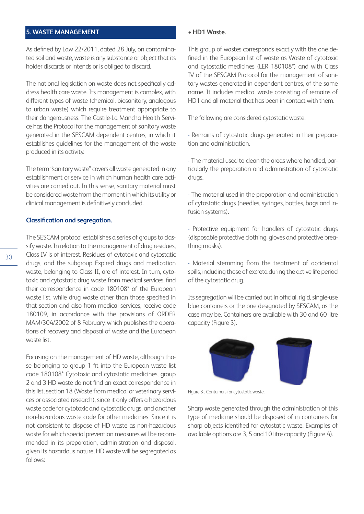# **5. WASTE MANAGEMENT**

As defined by Law 22/2011, dated 28 July, on contaminated soil and waste, waste is any substance or object that its holder discards or intends or is obliged to discard.

The national legislation on waste does not specifically address health care waste. Its management is complex, with different types of waste (chemical, biosanitary, analogous to urban waste) which require treatment appropriate to their dangerousness. The Castile-La Mancha Health Service has the Protocol for the management of sanitary waste generated in the SESCAM dependent centres, in which it establishes guidelines for the management of the waste produced in its activity.

The term "sanitary waste" covers all waste generated in any establishment or service in which human health care activities are carried out. In this sense, sanitary material must be considered waste from the moment in which its utility or clinical management is definitively concluded.

#### **Classification and segregation.**

The SESCAM protocol establishes a series of groups to classify waste. In relation to the management of drug residues, Class IV is of interest. Residues of cytotoxic and cytostatic drugs, and the subgroup Expired drugs and medication waste, belonging to Class II, are of interest. In turn, cytotoxic and cytostatic drug waste from medical services, find their correspondence in code 180108\* of the European waste list, while drug waste other than those specified in that section and also from medical services, receive code 180109, in accordance with the provisions of ORDER MAM/304/2002 of 8 February, which publishes the operations of recovery and disposal of waste and the European waste list.

Focusing on the management of HD waste, although those belonging to group 1 fit into the European waste list code 180108\* Cytotoxic and cytostatic medicines, group 2 and 3 HD waste do not find an exact correspondence in this list, section 18 (Waste from medical or veterinary services or associated research), since it only offers a hazardous waste code for cytotoxic and cytostatic drugs, and another non-hazardous waste code for other medicines. Since it is not consistent to dispose of HD waste as non-hazardous waste for which special prevention measures will be recommended in its preparation, administration and disposal, given its hazardous nature, HD waste will be segregated as follows:

#### • **HD1 Waste.**

This group of wastes corresponds exactly with the one defined in the European list of waste as Waste of cytotoxic and cytostatic medicines (LER 180108\*) and with Class IV of the SESCAM Protocol for the management of sanitary wastes generated in dependent centres, of the same name. It includes medical waste consisting of remains of HD1 and all material that has been in contact with them.

The following are considered cytostatic waste:

- Remains of cytostatic drugs generated in their preparation and administration.

- The material used to clean the areas where handled, particularly the preparation and administration of cytostatic drugs.

- The material used in the preparation and administration of cytostatic drugs (needles, syringes, bottles, bags and infusion systems).

- Protective equipment for handlers of cytostatic drugs (disposable protective clothing, gloves and protective breathing masks).

- Material stemming from the treatment of accidental spills, including those of excreta during the active life period of the cytostatic drug.

Its segregation will be carried out in official, rigid, single-use blue containers or the one designated by SESCAM, as the case may be. Containers are available with 30 and 60 litre capacity (Figure 3).



Figure 3-. Containers for cytostatic waste.

Sharp waste generated through the administration of this type of medicine should be disposed of in containers for sharp objects identified for cytostatic waste. Examples of available options are 3, 5 and 10 litre capacity (Figure 4).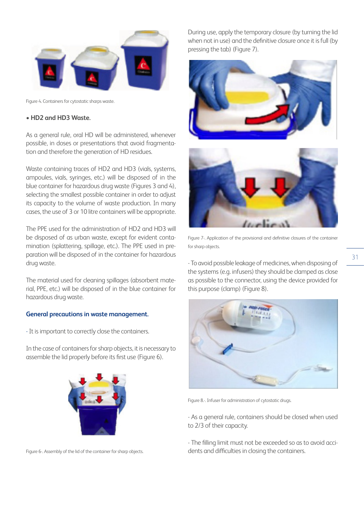

Figure 4. Containers for cytostatic sharps waste.

# **• HD2 and HD3 Waste.**

As a general rule, oral HD will be administered, whenever possible, in doses or presentations that avoid fragmentation and therefore the generation of HD residues.

Waste containing traces of HD2 and HD3 (vials, systems, ampoules, vials, syringes, etc.) will be disposed of in the blue container for hazardous drug waste (Figures 3 and 4), selecting the smallest possible container in order to adjust its capacity to the volume of waste production. In many cases, the use of 3 or 10 litre containers will be appropriate.

The PPE used for the administration of HD2 and HD3 will be disposed of as urban waste, except for evident contamination (splattering, spillage, etc.). The PPE used in preparation will be disposed of in the container for hazardous drug waste.

The material used for cleaning spillages (absorbent material, PPE, etc.) will be disposed of in the blue container for hazardous drug waste.

#### **General precautions in waste management.**

- It is important to correctly close the containers.

In the case of containers for sharp objects, it is necessary to assemble the lid properly before its first use (Figure 6).



Figure 6-. Assembly of the lid of the container for sharp objects.

During use, apply the temporary closure (by turning the lid when not in use) and the definitive closure once it is full (by pressing the tab) (Figure 7).





Figure 7-. Application of the provisional and definitive closures of the container for sharp objects.

- To avoid possible leakage of medicines, when disposing of the systems (e.g. infusers) they should be clamped as close as possible to the connector, using the device provided for this purpose (clamp) (Figure 8).



Figure 8.-. Infuser for administration of cytostatic drugs.

- As a general rule, containers should be closed when used to 2/3 of their capacity.

- The filling limit must not be exceeded so as to avoid accidents and difficulties in closing the containers.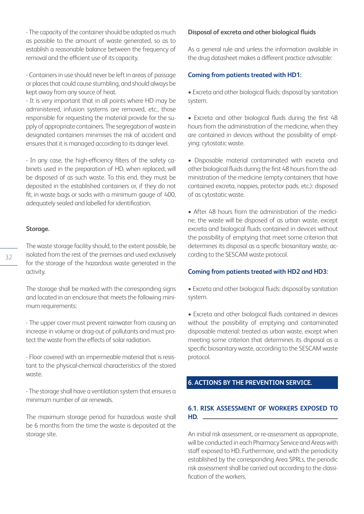- The capacity of the container should be adapted as much as possible to the amount of waste generated, so as to establish a reasonable balance between the frequency of removal and the efficient use of its capacity.

- Containers in use should never be left in areas of passage or places that could cause stumbling, and should always be kept away from any source of heat.

- It is very important that in all points where HD may be administered, infusion systems are removed, etc., those responsible for requesting the material provide for the supply of appropriate containers. The segregation of waste in designated containers minimises the risk of accident and ensures that it is managed according to its danger level.

- In any case, the high-efficiency filters of the safety cabinets used in the preparation of HD, when replaced, will be disposed of as such waste. To this end, they must be deposited in the established containers or, if they do not fit, in waste bags or sacks with a minimum gauge of 400, adequately sealed and labelled for identification.

#### **Storage.**

The waste storage facility should, to the extent possible, be isolated from the rest of the premises and used exclusively for the storage of the hazardous waste generated in the activity.

The storage shall be marked with the corresponding signs and located in an enclosure that meets the following minimum requirements:

- The upper cover must prevent rainwater from causing an increase in volume or drag-out of pollutants and must protect the waste from the effects of solar radiation.

- Floor covered with an impermeable material that is resistant to the physical-chemical characteristics of the stored waste.

- The storage shall have a ventilation system that ensures a minimum number of air renewals.

The maximum storage period for hazardous waste shall be 6 months from the time the waste is deposited at the storage site.

#### **Disposal of excreta and other biological fluids**

As a general rule and unless the information available in the drug datasheet makes a different practice advisable:

#### **Coming from patients treated with HD1:**

• Excreta and other biological fluids: disposal by sanitation system.

• Excreta and other biological fluids during the first 48 hours from the administration of the medicine, when they are contained in devices without the possibility of emptying: cytostatic waste.

• Disposable material contaminated with excreta and other biological fluids during the first 48 hours from the administration of the medicine (empty containers that have contained excreta, nappies, protector pads, etc.): disposed of as cytostatic waste.

• After 48 hours from the administration of the medicine, the waste will be disposed of as urban waste, except excreta and biological fluids contained in devices without the possibility of emptying that meet some criterion that determines its disposal as a specific biosanitary waste, according to the SESCAM waste protocol.

#### **Coming from patients treated with HD2 and HD3:**

• Excreta and other biological fluids: disposal by sanitation system.

• Excreta and other biological fluids contained in devices without the possibility of emptying and contaminated disposable material: treated as urban waste, except when meeting some criterion that determines its disposal as a specific biosanitary waste, according to the SESCAM waste protocol.

# **6. ACTIONS BY THE PREVENTION SERVICE.**

#### **6.1. RISK ASSESSMENT OF WORKERS EXPOSED TO HD.**

An initial risk assessment, or re-assessment as appropriate, will be conducted in each Pharmacy Service and Areas with staff exposed to HD. Furthermore, and with the periodicity established by the corresponding Area SPRLs, the periodic risk assessment shall be carried out according to the classification of the workers.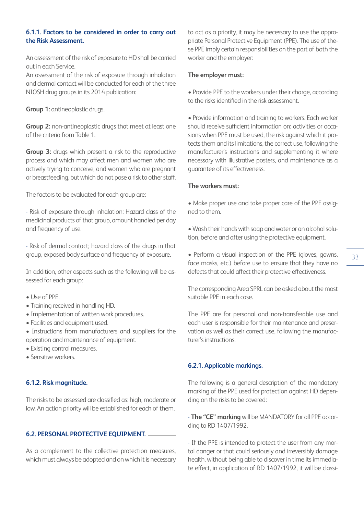# **6.1.1. Factors to be considered in order to carry out the Risk Assessment.**

An assessment of the risk of exposure to HD shall be carried out in each Service.

An assessment of the risk of exposure through inhalation and dermal contact will be conducted for each of the three NIOSH drug groups in its 2014 publication:

**Group 1:** antineoplastic drugs.

**Group 2:** non-antineoplastic drugs that meet at least one of the criteria from Table 1.

**Group 3:** drugs which present a risk to the reproductive process and which may affect men and women who are actively trying to conceive, and women who are pregnant or breastfeeding, but which do not pose a risk to other staff.

The factors to be evaluated for each group are:

- Risk of exposure through inhalation: Hazard class of the medicinal products of that group, amount handled per day and frequency of use.

- Risk of dermal contact; hazard class of the drugs in that group, exposed body surface and frequency of exposure.

In addition, other aspects such as the following will be assessed for each group:

- Use of PPE.
- Training received in handling HD.
- Implementation of written work procedures.
- Facilities and equipment used.
- Instructions from manufacturers and suppliers for the operation and maintenance of equipment.
- Existing control measures.
- Sensitive workers.

# **6.1.2. Risk magnitude.**

The risks to be assessed are classified as: high, moderate or low. An action priority will be established for each of them.

# **6.2. PERSONAL PROTECTIVE EQUIPMENT.**

As a complement to the collective protection measures, which must always be adopted and on which it is necessary to act as a priority, it may be necessary to use the appropriate Personal Protective Equipment (PPE). The use of these PPE imply certain responsibilities on the part of both the worker and the employer:

#### **The employer must:**

• Provide PPE to the workers under their charge, according to the risks identified in the risk assessment.

• Provide information and training to workers. Each worker should receive sufficient information on: activities or occasions when PPE must be used, the risk against which it protects them and its limitations, the correct use, following the manufacturer's instructions and supplementing it where necessary with illustrative posters, and maintenance as a guarantee of its effectiveness.

# **The workers must:**

• Make proper use and take proper care of the PPE assigned to them.

• Wash their hands with soap and water or an alcohol solution, before and after using the protective equipment.

• Perform a visual inspection of the PPE (gloves, gowns, face masks, etc.) before use to ensure that they have no defects that could affect their protective effectiveness.

The corresponding Area SPRL can be asked about the most suitable PPE in each case.

The PPE are for personal and non-transferable use and each user is responsible for their maintenance and preservation as well as their correct use, following the manufacturer's instructions.

#### **6.2.1. Applicable markings.**

The following is a general description of the mandatory marking of the PPE used for protection against HD depending on the risks to be covered:

- **The "CE" marking** will be MANDATORY for all PPE according to RD 1407/1992.

- If the PPE is intended to protect the user from any mortal danger or that could seriously and irreversibly damage health, without being able to discover in time its immediate effect, in application of RD 1407/1992, it will be classi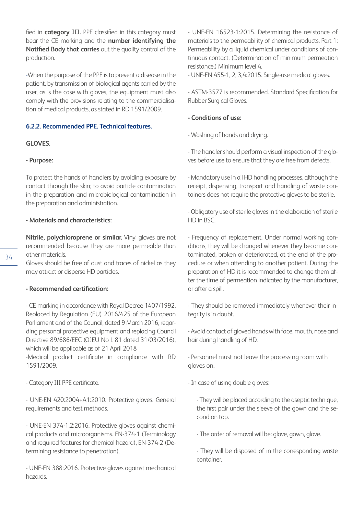fied in **category III.** PPE classified in this category must bear the CE marking and the **number identifying the Notified Body that carries** out the quality control of the production.

-When the purpose of the PPE is to prevent a disease in the patient, by transmission of biological agents carried by the user, as is the case with gloves, the equipment must also comply with the provisions relating to the commercialisation of medical products, as stated in RD 1591/2009.

# **6.2.2. Recommended PPE. Technical features.**

#### **GLOVES.**

#### **- Purpose:**

To protect the hands of handlers by avoiding exposure by contact through the skin; to avoid particle contamination in the preparation and microbiological contamination in the preparation and administration.

#### **- Materials and characteristics:**

**Nitrile, polychloroprene or similar.** Vinyl gloves are not recommended because they are more permeable than other materials.

Gloves should be free of dust and traces of nickel as they may attract or disperse HD particles.

#### **- Recommended certification:**

- CE marking in accordance with Royal Decree 1407/1992. Replaced by Regulation (EU) 2016/425 of the European Parliament and of the Council, dated 9 March 2016, regarding personal protective equipment and replacing Council Directive 89/686/EEC (OJEU No L 81 dated 31/03/2016), which will be applicable as of 21 April 2018

-Medical product certificate in compliance with RD 1591/2009.

- Category III PPE certificate.

- UNE-EN 420:2004+A1:2010. Protective gloves. General requirements and test methods.

- UNE-EN 374-1,2:2016. Protective gloves against chemical products and microorganisms. EN-374-1 (Terminology and required features for chemical hazard), EN-374-2 (Determining resistance to penetration).

- UNE-EN 388:2016. Protective gloves against mechanical hazards.

- UNE-EN 16523-1:2015. Determining the resistance of materials to the permeability of chemical products. Part 1: Permeability by a liquid chemical under conditions of continuous contact. (Determination of minimum permeation resistance.) Minimum level 4.

- UNE-EN 455-1, 2, 3,4:2015. Single-use medical gloves.

- ASTM-3577 is recommended. Standard Specification for Rubber Surgical Gloves.

# **- Conditions of use:**

- Washing of hands and drying.

- The handler should perform a visual inspection of the gloves before use to ensure that they are free from defects.

- Mandatory use in all HD handling processes, although the receipt, dispensing, transport and handling of waste containers does not require the protective gloves to be sterile.

- Obligatory use of sterile gloves in the elaboration of sterile HD in BSC.

- Frequency of replacement. Under normal working conditions, they will be changed whenever they become contaminated, broken or deteriorated, at the end of the procedure or when attending to another patient. During the preparation of HD it is recommended to change them after the time of permeation indicated by the manufacturer, or after a spill.

- They should be removed immediately whenever their integrity is in doubt.

- Avoid contact of gloved hands with face, mouth, nose and hair during handling of HD.

- Personnel must not leave the processing room with gloves on.

- In case of using double gloves:

- They will be placed according to the aseptic technique, the first pair under the sleeve of the gown and the second on top.

- The order of removal will be: glove, gown, glove.

- They will be disposed of in the corresponding waste container.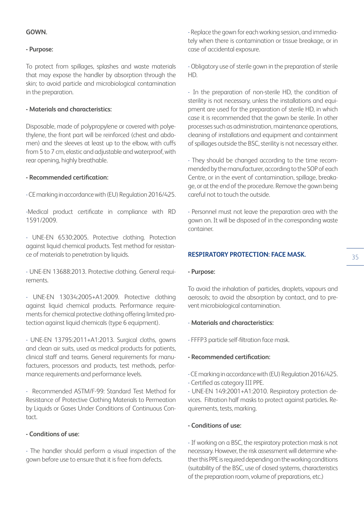# **GOWN.**

# **- Purpose:**

To protect from spillages, splashes and waste materials that may expose the handler by absorption through the skin; to avoid particle and microbiological contamination in the preparation.

# **- Materials and characteristics:**

Disposable, made of polypropylene or covered with polyethylene, the front part will be reinforced (chest and abdomen) and the sleeves at least up to the elbow, with cuffs from 5 to 7 cm, elastic and adjustable and waterproof, with rear opening, highly breathable.

# **- Recommended certification:**

- CE marking in accordance with (EU) Regulation 2016/425.

-Medical product certificate in compliance with RD 1591/2009.

- UNE-EN 6530:2005. Protective clothing. Protection against liquid chemical products. Test method for resistance of materials to penetration by liquids.

- UNE-EN 13688:2013. Protective clothing. General requirements.

- UNE-EN 13034:2005+A1:2009. Protective clothing against liquid chemical products. Performance requirements for chemical protective clothing offering limited protection against liquid chemicals (type 6 equipment).

- UNE-EN 13795:2011+A1:2013. Surgical cloths, gowns and clean air suits, used as medical products for patients, clinical staff and teams. General requirements for manufacturers, processors and products, test methods, performance requirements and performance levels.

- Recommended ASTM/F-99: Standard Test Method for Resistance of Protective Clothing Materials to Permeation by Liquids or Gases Under Conditions of Continuous Contact.

# **- Conditions of use:**

- The handler should perform a visual inspection of the gown before use to ensure that it is free from defects.

- Replace the gown for each working session, and immediately when there is contamination or tissue breakage, or in case of accidental exposure.

- Obligatory use of sterile gown in the preparation of sterile HD.

- In the preparation of non-sterile HD, the condition of sterility is not necessary, unless the installations and equipment are used for the preparation of sterile HD, in which case it is recommended that the gown be sterile. In other processes such as administration, maintenance operations, cleaning of installations and equipment and containment of spillages outside the BSC, sterility is not necessary either.

- They should be changed according to the time recommended by the manufacturer, according to the SOP of each Centre, or in the event of contamination, spillage, breakage, or at the end of the procedure. Remove the gown being careful not to touch the outside.

- Personnel must not leave the preparation area with the gown on. It will be disposed of in the corresponding waste container.

# **RESPIRATORY PROTECTION: FACE MASK.**

#### **- Purpose:**

To avoid the inhalation of particles, droplets, vapours and aerosols; to avoid the absorption by contact, and to prevent microbiological contamination.

# - **Materials and characteristics:**

- FFFP3 particle self-filtration face mask.

# **- Recommended certification:**

- CE marking in accordance with (EU) Regulation 2016/425.

- Certified as category III PPE.

- UNE-EN 149:2001+A1:2010. Respiratory protection devices. Filtration half masks to protect against particles. Requirements, tests, marking.

# **- Conditions of use:**

- If working on a BSC, the respiratory protection mask is not necessary. However, the risk assessment will determine whether this PPE is required depending on the working conditions (suitability of the BSC, use of closed systems, characteristics of the preparation room, volume of preparations, etc.)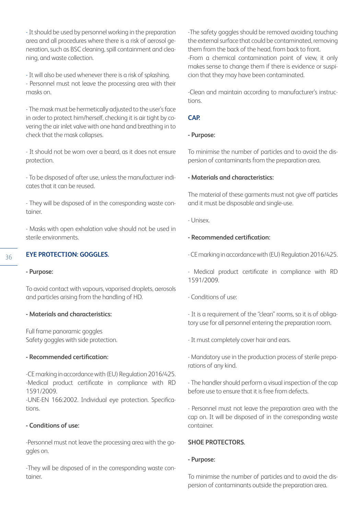- It should be used by personnel working in the preparation area and all procedures where there is a risk of aerosol generation, such as BSC cleaning, spill containment and cleaning, and waste collection.

- It will also be used whenever there is a risk of splashing. - Personnel must not leave the processing area with their masks on.

- The mask must be hermetically adjusted to the user's face in order to protect him/herself, checking it is air tight by covering the air inlet valve with one hand and breathing in to check that the mask collapses.

- It should not be worn over a beard, as it does not ensure protection.

- To be disposed of after use, unless the manufacturer indicates that it can be reused.

- They will be disposed of in the corresponding waste container.

- Masks with open exhalation valve should not be used in sterile environments.

# **EYE PROTECTION: GOGGLES.**

#### **- Purpose:**

To avoid contact with vapours, vaporised droplets, aerosols and particles arising from the handling of HD.

#### **- Materials and characteristics:**

Full frame panoramic goggles Safety goggles with side protection.

# **- Recommended certification:**

-CE marking in accordance with (EU) Regulation 2016/425. -Medical product certificate in compliance with RD 1591/2009.

-UNE-EN 166:2002. Individual eye protection. Specifications.

# **- Conditions of use:**

-Personnel must not leave the processing area with the goggles on.

-They will be disposed of in the corresponding waste container.

-The safety goggles should be removed avoiding touching the external surface that could be contaminated, removing them from the back of the head, from back to front. -From a chemical contamination point of view, it only makes sense to change them if there is evidence or suspicion that they may have been contaminated.

-Clean and maintain according to manufacturer's instructions.

#### **CAP.**

#### **- Purpose:**

To minimise the number of particles and to avoid the dispersion of contaminants from the preparation area.

#### **- Materials and characteristics:**

The material of these garments must not give off particles and it must be disposable and single-use.

- Unisex.

# **- Recommended certification:**

- CE marking in accordance with (EU) Regulation 2016/425.

- Medical product certificate in compliance with RD 1591/2009.

- Conditions of use:

- It is a requirement of the "clean" rooms, so it is of obligatory use for all personnel entering the preparation room.

- It must completely cover hair and ears.

- Mandatory use in the production process of sterile preparations of any kind.

- The handler should perform a visual inspection of the cap before use to ensure that it is free from defects.

- Personnel must not leave the preparation area with the cap on. It will be disposed of in the corresponding waste container.

#### **SHOE PROTECTORS.**

#### **- Purpose:**

To minimise the number of particles and to avoid the dispersion of contaminants outside the preparation area.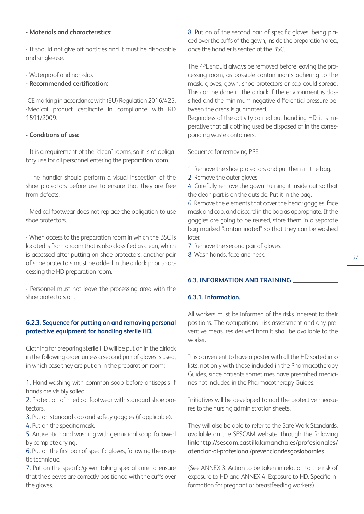## **- Materials and characteristics:**

- It should not give off particles and it must be disposable and single-use.

- Waterproof and non-slip.

## **- Recommended certification:**

-CE marking in accordance with (EU) Regulation 2016/425. -Medical product certificate in compliance with RD 1591/2009.

## **- Conditions of use:**

- It is a requirement of the "clean" rooms, so it is of obligatory use for all personnel entering the preparation room.

- The handler should perform a visual inspection of the shoe protectors before use to ensure that they are free from defects.

- Medical footwear does not replace the obligation to use shoe protectors.

- When access to the preparation room in which the BSC is located is from a room that is also classified as clean, which is accessed after putting on shoe protectors, another pair of shoe protectors must be added in the airlock prior to accessing the HD preparation room.

- Personnel must not leave the processing area with the shoe protectors on.

# **6.2.3. Sequence for putting on and removing personal protective equipment for handling sterile HD.**

Clothing for preparing sterile HD will be put on in the airlock in the following order, unless a second pair of gloves is used, in which case they are put on in the preparation room:

1. Hand-washing with common soap before antisepsis if hands are visibly soiled.

2. Protection of medical footwear with standard shoe protectors.

3. Put on standard cap and safety goggles (if applicable).

4. Put on the specific mask.

5. Antiseptic hand washing with germicidal soap, followed by complete drying.

6. Put on the first pair of specific gloves, following the aseptic technique.

7. Put on the specific/gown, taking special care to ensure that the sleeves are correctly positioned with the cuffs over the gloves.

8. Put on of the second pair of specific gloves, being placed over the cuffs of the gown, inside the preparation area, once the handler is seated at the BSC.

The PPE should always be removed before leaving the processing room, as possible contaminants adhering to the mask, gloves, gown, shoe protectors or cap could spread. This can be done in the airlock if the environment is classified and the minimum negative differential pressure between the areas is guaranteed.

Regardless of the activity carried out handling HD, it is imperative that all clothing used be disposed of in the corresponding waste containers.

Sequence for removing PPE:

- 1. Remove the shoe protectors and put them in the bag.
- 2. Remove the outer gloves.

4. Carefully remove the gown, turning it inside out so that the clean part is on the outside. Put it in the bag.

6. Remove the elements that cover the head: goggles, face mask and cap, and discard in the bag as appropriate. If the goggles are going to be reused, store them in a separate bag marked "contaminated" so that they can be washed later.

7. Remove the second pair of gloves.

8. Wash hands, face and neck.

# **6.3. INFORMATION AND TRAINING**

## **6.3.1. Information.**

All workers must be informed of the risks inherent to their positions. The occupational risk assessment and any preventive measures derived from it shall be available to the worker.

It is convenient to have a poster with all the HD sorted into lists, not only with those included in the Pharmacotherapy Guides, since patients sometimes have prescribed medicines not included in the Pharmacotherapy Guides.

Initiatives will be developed to add the protective measures to the nursing administration sheets.

They will also be able to refer to the Safe Work Standards, available on the SESCAM website, through the following link:http://sescam.castillalamancha.es/profesionales/ atencion-al-profesional/prevencionriesgoslaborales

(See ANNEX 3: Action to be taken in relation to the risk of exposure to HD and ANNEX 4: Exposure to HD. Specific information for pregnant or breastfeeding workers).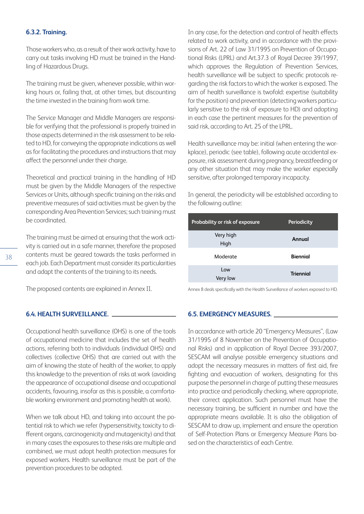#### **6.3.2. Training.**

Those workers who, as a result of their work activity, have to carry out tasks involving HD must be trained in the Handling of Hazardous Drugs.

The training must be given, whenever possible, within working hours or, failing that, at other times, but discounting the time invested in the training from work time.

The Service Manager and Middle Managers are responsible for verifying that the professional is properly trained in those aspects determined in the risk assessment to be related to HD, for conveying the appropriate indications as well as for facilitating the procedures and instructions that may affect the personnel under their charge.

Theoretical and practical training in the handling of HD must be given by the Middle Managers of the respective Services or Units, although specific training on the risks and preventive measures of said activities must be given by the corresponding Area Prevention Services; such training must be coordinated.

The training must be aimed at ensuring that the work activity is carried out in a safe manner, therefore the proposed contents must be geared towards the tasks performed in each job. Each Department must consider its particularities and adapt the contents of the training to its needs.

The proposed contents are explained in Annex II.

#### **6.4. HEALTH SURVEILLANCE.**

Occupational health surveillance (OHS) is one of the tools of occupational medicine that includes the set of health actions, referring both to individuals (individual OHS) and collectives (collective OHS) that are carried out with the aim of knowing the state of health of the worker, to apply this knowledge to the prevention of risks at work (avoiding the appearance of occupational disease and occupational accidents, favouring, insofar as this is possible, a comfortable working environment and promoting health at work).

When we talk about HD, and taking into account the potential risk to which we refer (hypersensitivity, toxicity to different organs, carcinogenicity and mutagenicity) and that in many cases the exposures to these risks are multiple and combined, we must adopt health protection measures for exposed workers. Health surveillance must be part of the prevention procedures to be adopted.

In any case, for the detection and control of health effects related to work activity, and in accordance with the provisions of Art. 22 of Law 31/1995 on Prevention of Occupational Risks (LPRL) and Art.37.3 of Royal Decree 39/1997, which approves the Regulation of Prevention Services, health surveillance will be subject to specific protocols regarding the risk factors to which the worker is exposed. The aim of health surveillance is twofold: expertise (suitability for the position) and prevention (detecting workers particularly sensitive to the risk of exposure to HD) and adopting in each case the pertinent measures for the prevention of said risk, according to Art. 25 of the LPRL.

Health surveillance may be: initial (when entering the workplace), periodic (see table), following acute accidental exposure, risk assessment during pregnancy, breastfeeding or any other situation that may make the worker especially sensitive, after prolonged temporary incapacity.

In general, the periodicity will be established according to the following outline:

| Probability or risk of exposure | <b>Periodicity</b> |
|---------------------------------|--------------------|
| Very high<br>High               | Annual             |
| Moderate                        | <b>Biennial</b>    |
| Low<br>Very low                 | <b>Triennial</b>   |

Annex 8 deals specifically with the Health Surveillance of workers exposed to HD.

#### **6.5. EMERGENCY MEASURES.**

In accordance with article 20 "Emergency Measures", (Law 31/1995 of 8 November on the Prevention of Occupational Risks) and in application of Royal Decree 393/2007, SESCAM will analyse possible emergency situations and adopt the necessary measures in matters of first aid, fire fighting and evacuation of workers, designating for this purpose the personnel in charge of putting these measures into practice and periodically checking, where appropriate, their correct application. Such personnel must have the necessary training, be sufficient in number and have the appropriate means available. It is also the obligation of SESCAM to draw up, implement and ensure the operation of Self-Protection Plans or Emergency Measure Plans based on the characteristics of each Centre.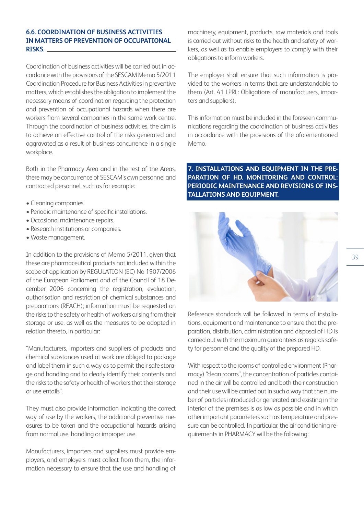## **6.6. COORDINATION OF BUSINESS ACTIVITIES IN MATTERS OF PREVENTION OF OCCUPATIONAL RISKS.**

Coordination of business activities will be carried out in accordance with the provisions of the SESCAM Memo 5/2011 Coordination Procedure for Business Activities in preventive matters, which establishes the obligation to implement the necessary means of coordination regarding the protection and prevention of occupational hazards when there are workers from several companies in the same work centre. Through the coordination of business activities, the aim is to achieve an effective control of the risks generated and aggravated as a result of business concurrence in a single workplace.

Both in the Pharmacy Area and in the rest of the Areas, there may be concurrence of SESCAM's own personnel and contracted personnel, such as for example:

- Cleaning companies.
- Periodic maintenance of specific installations.
- Occasional maintenance repairs.
- Research institutions or companies.
- Waste management.

In addition to the provisions of Memo 5/2011, given that these are pharmaceutical products not included within the scope of application by REGULATION (EC) No 1907/2006 of the European Parliament and of the Council of 18 December 2006 concerning the registration, evaluation, authorisation and restriction of chemical substances and preparations (REACH); information must be requested on the risks to the safety or health of workers arising from their storage or use, as well as the measures to be adopted in relation thereto, in particular:

"Manufacturers, importers and suppliers of products and chemical substances used at work are obliged to package and label them in such a way as to permit their safe storage and handling and to clearly identify their contents and the risks to the safety or health of workers that their storage or use entails".

They must also provide information indicating the correct way of use by the workers, the additional preventive measures to be taken and the occupational hazards arising from normal use, handling or improper use.

Manufacturers, importers and suppliers must provide employers, and employers must collect from them, the information necessary to ensure that the use and handling of machinery, equipment, products, raw materials and tools is carried out without risks to the health and safety of workers, as well as to enable employers to comply with their obligations to inform workers.

The employer shall ensure that such information is provided to the workers in terms that are understandable to them (Art. 41 LPRL: Obligations of manufacturers, importers and suppliers).

This information must be included in the foreseen communications regarding the coordination of business activities in accordance with the provisions of the aforementioned Memo.

**7. INSTALLATIONS AND EQUIPMENT IN THE PRE-PARATION OF HD. MONITORING AND CONTROL: PERIODIC MAINTENANCE AND REVISIONS OF INS-TALLATIONS AND EQUIPMENT.**



Reference standards will be followed in terms of installations, equipment and maintenance to ensure that the preparation, distribution, administration and disposal of HD is carried out with the maximum guarantees as regards safety for personnel and the quality of the prepared HD.

With respect to the rooms of controlled environment (Pharmacy) "clean rooms", the concentration of particles contained in the air will be controlled and both their construction and their use will be carried out in such a way that the number of particles introduced or generated and existing in the interior of the premises is as low as possible and in which other important parameters such as temperature and pressure can be controlled. In particular, the air conditioning requirements in PHARMACY will be the following: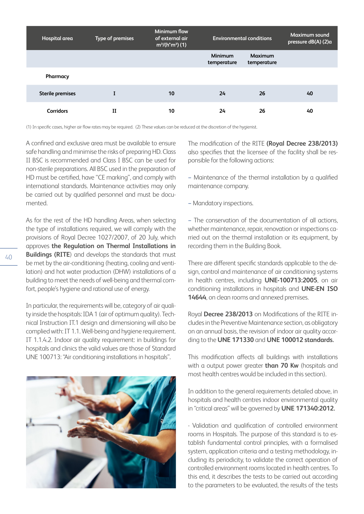| Hospital area           | Type of premises | Minimum flow<br>of external air<br>$m^3/(h^*m^2)$ (1) |                        | <b>Environmental conditions</b> | <b>Maximum sound</b><br>pressure dB(A) (2)a |
|-------------------------|------------------|-------------------------------------------------------|------------------------|---------------------------------|---------------------------------------------|
|                         |                  |                                                       | Minimum<br>temperature | Maximum<br>temperature          |                                             |
| Pharmacy                |                  |                                                       |                        |                                 |                                             |
| <b>Sterile premises</b> |                  | 10                                                    | 24                     | 26                              | 40                                          |
| <b>Corridors</b>        | п                | 10                                                    | 24                     | 26                              | 40                                          |

(1) In specific cases, higher air flow rates may be required. (2) These values can be reduced at the discretion of the hygienist.

A confined and exclusive area must be available to ensure safe handling and minimise the risks of preparing HD. Class II BSC is recommended and Class I BSC can be used for non-sterile preparations. All BSC used in the preparation of HD must be certified, have "CE marking", and comply with international standards. Maintenance activities may only be carried out by qualified personnel and must be documented.

As for the rest of the HD handling Areas, when selecting the type of installations required, we will comply with the provisions of Royal Decree 1027/2007, of 20 July, which approves **the Regulation on Thermal Installations in Buildings (RITE**) and develops the standards that must be met by the air-conditioning (heating, cooling and ventilation) and hot water production (DHW) installations of a building to meet the needs of well-being and thermal comfort, people's hygiene and rational use of energy.

In particular, the requirements will be, category of air quality inside the hospitals: IDA 1 (air of optimum quality). Technical Instruction IT.1 design and dimensioning will also be complied with: IT 1.1. Well-being and hygiene requirement. IT 1.1.4.2. Indoor air quality requirement: in buildings for hospitals and clinics the valid values are those of Standard UNE 100713: "Air conditioning installations in hospitals".



The modification of the RITE **(Royal Decree 238/2013)**  also specifies that the licensee of the facility shall be responsible for the following actions:

− Maintenance of the thermal installation by a qualified maintenance company.

− Mandatory inspections.

− The conservation of the documentation of all actions, whether maintenance, repair, renovation or inspections carried out on the thermal installation or its equipment, by recording them in the Building Book.

There are different specific standards applicable to the design, control and maintenance of air conditioning systems in health centres, including **UNE-100713:2005**, on air conditioning installations in hospitals and **UNE-EN ISO 14644**, on clean rooms and annexed premises.

Royal **Decree 238/2013** on Modifications of the RITE includes in the Preventive Maintenance section, as obligatory on an annual basis, the revision of indoor air quality according to the **UNE 171330** and **UNE 100012 standards.**

This modification affects all buildings with installations with a output power greater **than 70 Kw** (hospitals and most health centres would be included in this section).

In addition to the general requirements detailed above, in hospitals and health centres indoor environmental quality in "critical areas" will be governed by **UNE 171340:2012.**

- Validation and qualification of controlled environment rooms in Hospitals. The purpose of this standard is to establish fundamental control principles, with a formalised system, application criteria and a testing methodology, including its periodicity, to validate the correct operation of controlled environment rooms located in health centres. To this end, it describes the tests to be carried out according to the parameters to be evaluated, the results of the tests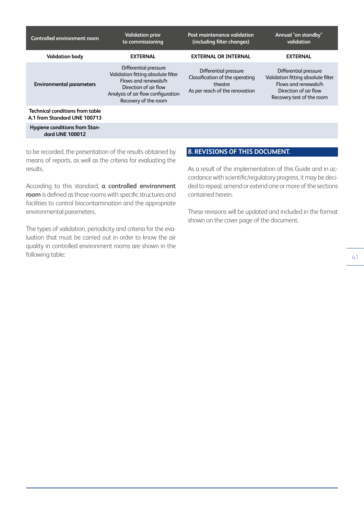| Controlled environment room                                            | <b>Validation prior</b><br>to commissioning                                                                                                                                | Post maintenance validation<br>(including filter changes)                                             | Annual "on standby"<br>validation                                                                                                         |
|------------------------------------------------------------------------|----------------------------------------------------------------------------------------------------------------------------------------------------------------------------|-------------------------------------------------------------------------------------------------------|-------------------------------------------------------------------------------------------------------------------------------------------|
| <b>Validation body</b>                                                 | <b>EXTERNAL</b>                                                                                                                                                            | <b>EXTERNAL OR INTERNAL</b>                                                                           | <b>EXTERNAL</b>                                                                                                                           |
| <b>Environmental parameters</b>                                        | Differential pressure<br>Validation fitting absolute filter<br>Flows and renewals/h<br>Direction of air flow<br>Analysis of air flow configuration<br>Recovery of the room | Differential pressure<br>Classification of the operating<br>theatre<br>As per reach of the renovation | Differential pressure<br>Validation fitting absolute filter<br>Flows and renewals/h<br>Direction of air flow<br>Recovery test of the room |
| <b>Technical conditions from table</b><br>A.1 from Standard UNE 100713 |                                                                                                                                                                            |                                                                                                       |                                                                                                                                           |
| Hygiene conditions from Stan-<br>dard UNE 100012                       |                                                                                                                                                                            |                                                                                                       |                                                                                                                                           |

to be recorded, the presentation of the results obtained by means of reports, as well as the criteria for evaluating the results.

According to this standard, **a controlled environment room** is defined as those rooms with specific structures and facilities to control biocontamination and the appropriate environmental parameters.

The types of validation, periodicity and criteria for the evaluation that must be carried out in order to know the air quality in controlled environment rooms are shown in the following table:

# **8. REVISIONS OF THIS DOCUMENT.**

As a result of the implementation of this Guide and in accordance with scientific/regulatory progress, it may be decided to repeal, amend or extend one or more of the sections contained herein.

These revisions will be updated and included in the format shown on the cover page of the document.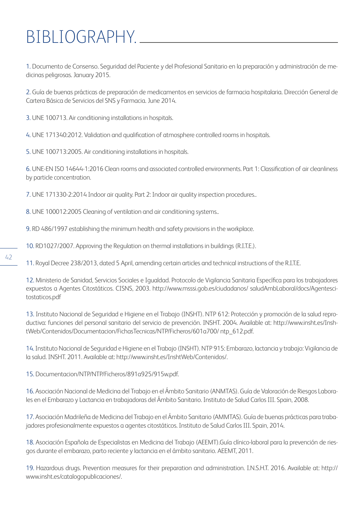# BIBLIOGRAPHY.

1. Documento de Consenso. Seguridad del Paciente y del Profesional Sanitario en la preparación y administración de medicinas peligrosas. January 2015.

2. Guía de buenas prácticas de preparación de medicamentos en servicios de farmacia hospitalaria. Dirección General de Cartera Básica de Servicios del SNS y Farmacia. June 2014.

3. UNE 100713. Air conditioning installations in hospitals.

4. UNE 171340:2012. Validation and qualification of atmosphere controlled rooms in hospitals.

5. UNE 100713:2005. Air conditioning installations in hospitals.

6. UNE-EN ISO 14644-1:2016 Clean rooms and associated controlled environments. Part 1: Classification of air cleanliness by particle concentration.

7. UNE 171330-2:2014 Indoor air quality. Part 2: Indoor air quality inspection procedures..

8. UNE 100012:2005 Cleaning of ventilation and air conditioning systems..

9. RD 486/1997 establishing the minimum health and safety provisions in the workplace.

10. RD1027/2007. Approving the Regulation on thermal installations in buildings (R.I.T.E.).

11. Royal Decree 238/2013, dated 5 April, amending certain articles and technical instructions of the R.I.T.E.

12. Ministerio de Sanidad, Servicios Sociales e Igualdad. Protocolo de Vigilancia Sanitaria Específica para los trabajadores expuestos a Agentes Citostáticos. CISNS, 2003. http://www.msssi.gob.es/ciudadanos/ saludAmbLaboral/docs/Agentescitostaticos.pdf

13. Instituto Nacional de Seguridad e Higiene en el Trabajo (INSHT). NTP 612: Protección y promoción de la salud reproductiva: funciones del personal sanitario del servicio de prevención. INSHT. 2004. Available at: http://www.insht.es/InshtWeb/Contenidos/Documentacion/FichasTecnicas/NTP/Ficheros/601a700/ ntp\_612.pdf.

14. Instituto Nacional de Seguridad e Higiene en el Trabajo (INSHT). NTP 915: Embarazo, lactancia y trabajo: Vigilancia de la salud. INSHT. 2011. Available at: http://www.insht.es/InshtWeb/Contenidos/.

15. Documentacion/NTP/NTP/Ficheros/891a925/915w.pdf.

16. Asociación Nacional de Medicina del Trabajo en el Ámbito Sanitario (ANMTAS). Guía de Valoración de Riesgos Laborales en el Embarazo y Lactancia en trabajadoras del Ámbito Sanitario. Instituto de Salud Carlos III. Spain, 2008.

17. Asociación Madrileña de Medicina del Trabajo en el Ámbito Sanitario (AMMTAS). Guía de buenas prácticas para trabajadores profesionalmente expuestos a agentes citostáticos. Instituto de Salud Carlos III. Spain, 2014.

18. Asociación Española de Especialistas en Medicina del Trabajo (AEEMT).Guía clínico-laboral para la prevención de riesgos durante el embarazo, parto reciente y lactancia en el ámbito sanitario. AEEMT, 2011.

19. Hazardous drugs. Prevention measures for their preparation and administration. I.N.S.H.T. 2016. Available at: http:// www.insht.es/catalogopublicaciones/.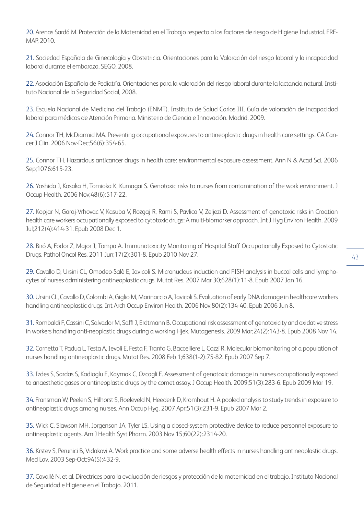20. Arenas Sardá M. Protección de la Maternidad en el Trabajo respecto a los factores de riesgo de Higiene Industrial. FRE-MAP, 2010.

21. Sociedad Española de Ginecología y Obstetricia. Orientaciones para la Valoración del riesgo laboral y la incapacidad laboral durante el embarazo. SEGO, 2008.

22. Asociación Española de Pediatría. Orientaciones para la valoración del riesgo laboral durante la lactancia natural. Instituto Nacional de la Seguridad Social, 2008.

23. Escuela Nacional de Medicina del Trabajo (ENMT). Instituto de Salud Carlos III. Guía de valoración de incapacidad laboral para médicos de Atención Primaria. Ministerio de Ciencia e Innovación. Madrid. 2009.

24. Connor TH, McDiarmid MA. Preventing occupational exposures to antineoplastic drugs in health care settings. CA Cancer J Clin. 2006 Nov-Dec;56(6):354-65.

25. Connor TH. Hazardous anticancer drugs in health care: environmental exposure assessment. Ann N & Acad Sci. 2006 Sep;1076:615-23.

26. Yoshida J, Kosaka H, Tomioka K, Kumagai S. Genotoxic risks to nurses from contamination of the work environment. J Occup Health. 2006 Nov;48(6):517-22.

27. Kopjar N, Garaj-Vrhovac V, Kasuba V, Rozgaj R, Rami S, Pavlica V, Zeljezi D. Assessment of genotoxic risks in Croatian health care workers occupationally exposed to cytotoxic drugs: A multi-biomarker approach. Int J Hyg Environ Health. 2009 Jul;212(4):414-31. Epub 2008 Dec 1.

28. Biró A, Fodor Z, Major J, Tompa A. Immunotoxicity Monitoring of Hospital Staff Occupationally Exposed to Cytostatic Drugs. Pathol Oncol Res. 2011 Jun;17(2):301-8. Epub 2010 Nov 27.

29. Cavallo D, Ursini CL, Omodeo-Salè E, Iavicoli S. Micronucleus induction and FISH analysis in buccal cells and lymphocytes of nurses administering antineoplastic drugs. Mutat Res. 2007 Mar 30;628(1):11-8. Epub 2007 Jan 16.

30. Ursini CL, Cavallo D, Colombi A, Giglio M, Marinaccio A, Iavicoli S. Evaluation of early DNA damage in healthcare workers handling antineoplastic drugs. Int Arch Occup Environ Health. 2006 Nov;80(2):134-40. Epub 2006 Jun 8.

31. Rombaldi F, Cassini C, Salvador M, Saffi J, Erdtmann B. Occupational risk assessment of genotoxicity and oxidative stress in workers handling anti-neoplastic drugs during a working Hjek. Mutagenesis. 2009 Mar;24(2):143-8. Epub 2008 Nov 14.

32. Cornetta T, Padua L, Testa A, Ievoli E, Festa F, Tranfo G, Baccelliere L, Cozzi R. Molecular biomonitoring of a population of nurses handling antineoplastic drugs. Mutat Res. 2008 Feb 1;638(1-2):75-82. Epub 2007 Sep 7.

33. Izdes S, Sardas S, Kadioglu E, Kaymak C, Ozcagli E. Assessment of genotoxic damage in nurses occupationally exposed to anaesthetic gases or antineoplastic drugs by the comet assay. J Occup Health. 2009;51(3):283-6. Epub 2009 Mar 19.

34. Fransman W, Peelen S, Hilhorst S, Roeleveld N, Heederik D, Kromhout H. A pooled analysis to study trends in exposure to antineoplastic drugs among nurses. Ann Occup Hyg. 2007 Apr;51(3):231-9. Epub 2007 Mar 2.

35. Wick C, Slawson MH, Jorgenson JA, Tyler LS. Using a closed-system protective device to reduce personnel exposure to antineoplastic agents. Am J Health Syst Pharm. 2003 Nov 15;60(22):2314-20.

36. Krstev S, Perunici B, Vidakovi A. Work practice and some adverse health effects in nurses handling antineoplastic drugs. Med Lav. 2003 Sep-Oct;94(5):432-9.

37. Cavallé N. et al. Directrices para la evaluación de riesgos y protección de la maternidad en el trabajo. Instituto Nacional de Seguridad e Higiene en el Trabajo. 2011.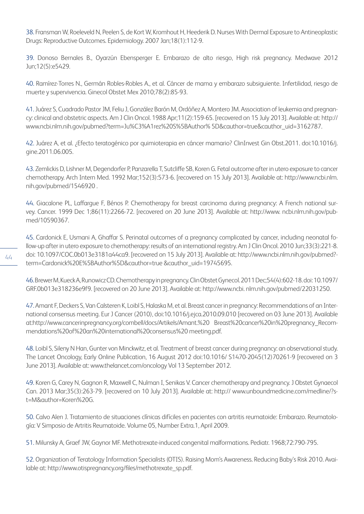38. Fransman W, Roeleveld N, Peelen S, de Kort W, Kromhout H, Heederik D. Nurses With Dermal Exposure to Antineoplastic Drugs: Reproductive Outcomes. Epidemiology. 2007 Jan;18(1):112-9.

39. Donoso Bernales B., Oyarzún Ebensperger E. Embarazo de alto riesgo, High risk pregnancy. Medwave 2012 Jun;12(5):e5429.

40. Ramírez-Torres N., Germán Robles-Robles A., et al. Cáncer de mama y embarazo subsiguiente. Infertilidad, riesgo de muerte y supervivencia. Ginecol Obstet Mex 2010;78(2):85-93.

41. Juárez S, Cuadrado Pastor JM, Feliu J, González Barón M, Ordóñez A, Montero JM. Association of leukemia and pregnancy: clinical and obstetric aspects. Am J Clin Oncol. 1988 Apr;11(2):159-65. [recovered on 15 July 2013]. Available at: http:// www.ncbi.nlm.nih.gov/pubmed?term=Ju%C3%A1rez%20S%5BAuthor% 5D&cauthor=true&cauthor\_uid=3162787.

42. Juárez A, et al. ¿Efecto teratogénico por quimioterapia en cáncer mamario? ClinInvest Gin Obst.2011. doi:10.1016/j. gine.2011.06.005.

43. Zemlickis D, Lishner M, Degendorfer P, Panzarella T, Sutcliffe SB, Koren G. Fetal outcome after in utero exposure to cancer chemotherapy. Arch Intern Med. 1992 Mar;152(3):573-6. [recovered on 15 July 2013]. Available at: http://www.ncbi.nlm. nih.gov/pubmed/1546920 .

44. Giacalone PL, Laffargue F, Bénos P. Chemotherapy for breast carcinoma during pregnancy: A French national survey. Cancer. 1999 Dec 1;86(11):2266-72. [recovered on 20 June 2013]. Available at: http://www. ncbi.nlm.nih.gov/pubmed/10590367.

45. Cardonick E, Usmani A, Ghaffar S. Perinatal outcomes of a pregnancy complicated by cancer, including neonatal follow-up after in utero exposure to chemotherapy: results of an international registry. Am J Clin Oncol. 2010 Jun;33(3):221-8. doi: 10.1097/COC.0b013e3181a44ca9. [recovered on 15 July 2013]. Available at: http://www.ncbi.nlm.nih.gov/pubmed? term=Cardonick%20E%5BAuthor%5D&cauthor=true &cauthor\_uid=19745695.

46. Brewer M, Kueck A, Runowicz CD. Chemotherapy in pregnancy. Clin Obstet Gynecol. 2011 Dec;54(4):602-18. doi: 10.1097/ GRF.0b013e318236e9f9. [recovered on 20 June 2013]. Available at: http://www.ncbi. nlm.nih.gov/pubmed/22031250.

47. Amant F, Deckers S, Van Calsteren K, Loibl S, Halaska M, et al. Breast cancer in pregnancy: Recommendations of an International consensus meeting. Eur J Cancer (2010), doi:10.1016/j.ejca.2010.09.010 [recovered on 03 June 2013]. Available at:http://www.cancerinpregnancy.org/combell/docs/Artikels/Amant.%20 Breast%20cancer%20in%20pregnancy\_Recommendations%20of%20an%20international%20consensus%20 meeting.pdf.

48. Loibl S, Sileny N Han, Gunter von Minckwitz, et al. Treatment of breast cancer during pregnancy: an observational study. The Lancet Oncology, Early Online Publication, 16 August 2012 doi:10.1016/ S1470-2045(12)70261-9 [recovered on 3 June 2013]. Available at: www.thelancet.com/oncology Vol 13 September 2012.

49. Koren G, Carey N, Gagnon R, Maxwell C, Nulman I, Senikas V. Cancer chemotherapy and pregnancy. J Obstet Gynaecol Can. 2013 Mar;35(3):263-79. [recovered on 10 July 2013]. Available at: http:// www.unboundmedicine.com/medline/?st=M&author=Koren%20G.

50. Calvo Alen J. Tratamiento de situaciones clínicas difíciles en pacientes con artritis reumatoide: Embarazo. Reumatología: V Simposio de Artritis Reumatoide. Volume 05, Number Extra.1, April 2009.

51. Milunsky A, Graef JW, Gaynor MF. Methotrexate-induced congenital malformations. Pediatr. 1968;72:790-795.

52. Organization of Teratology Information Specialists (OTIS). Raising Mom's Awareness. Reducing Baby's Risk 2010. Available at: http://www.otispregnancy.org/files/methotrexate\_sp.pdf.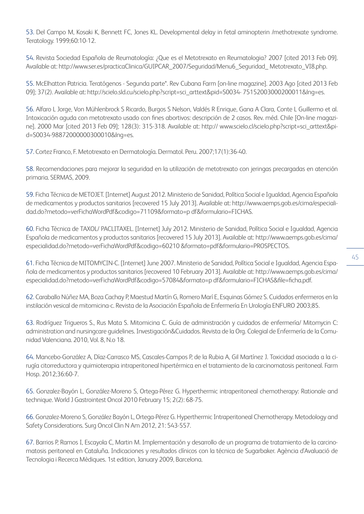53. Del Campo M, Kosaki K, Bennett FC, Jones KL. Developmental delay in fetal aminopterin /methotrexate syndrome. Teratology. 1999;60:10-12.

54. Revista Sociedad Española de Reumatología: ¿Que es el Metotrexato en Reumatologia? 2007 [cited 2013 Feb 09]. Available at: http://www.ser.es/practicaClinica/GUIPCAR\_2007/Seguridad/Menu6\_Seguridad\_ Metotrexato\_VI8.php.

55. McElhatton Patricia. Teratógenos - Segunda parte\*. Rev Cubana Farm [on-line magazine]. 2003 Ago [cited 2013 Feb 09]; 37(2). Available at: http://scielo.sld.cu/scielo.php?script=sci\_arttext&pid=S0034- 75152003000200011&lng=es.

56. Alfaro L Jorge, Von Mühlenbrock S Ricardo, Burgos S Nelson, Valdés R Enrique, Gana A Clara, Conte L Guillermo et al. Intoxicación aguda con metotrexato usado con fines abortivos: descripción de 2 casos. Rev. méd. Chile [On-line magazine]. 2000 Mar [cited 2013 Feb 09]; 128(3): 315-318. Available at: http:// www.scielo.cl/scielo.php?script=sci\_arttext&pid=S0034-98872000000300010&lng=es.

57. Cortez Franco, F. Metotrexato en Dermatología. Dermatol. Peru. 2007;17(1):36-40.

58. Recomendaciones para mejorar la seguridad en la utilización de metotrexato con jeringas precargadas en atención primaria. SERMAS, 2009.

59. Ficha Técnica de METOJET. [Internet] August 2012. Ministerio de Sanidad, Política Social e Igualdad, Agencia Española de medicamentos y productos sanitarios [recovered 15 July 2013]. Available at: http://www.aemps.gob.es/cima/especialidad.do?metodo=verFichaWordPdf&codigo=71109&formato=p df&formulario=FICHAS.

60. Ficha Técnica de TAXOL/ PACLITAXEL. [Internet] July 2012. Ministerio de Sanidad, Política Social e Igualdad, Agencia Española de medicamentos y productos sanitarios [recovered 15 July 2013]. Available at: http://www.aemps.gob.es/cima/ especialidad.do?metodo=verFichaWordPdf&codigo=60210 &formato=pdf&formulario=PROSPECTOS.

61. Ficha Técnica de MITOMYCIN-C. [Internet] June 2007. Ministerio de Sanidad, Política Social e Igualdad, Agencia Española de medicamentos y productos sanitarios [recovered 10 February 2013]. Available at: http://www.aemps.gob.es/cima/ especialidad.do?metodo=verFichaWordPdf&codigo=57084&formato=p df&formulario=FICHAS&file=ficha.pdf.

62. Caraballo Núñez MA, Boza Cachay P, Maestud Martín G, Romero Marí E, Esquinas Gómez S. Cuidados enfermeros en la instilación vesical de mitomicina-c. Revista de la Asociación Española de Enfermería En Urología ENFURO 2003;85.

63. Rodríguez Trigueros S., Rus Mata S. Mitomicina C. Guía de administración y cuidados de enfermería/ Mitomycin C: administration and nursingcare guidelines. Investigación&Cuidados. Revista de la Org. Colegial de Enfermería de la Comunidad Valenciana. 2010, Vol. 8, N.o 18.

64. Mancebo-González A, Díaz-Carrasco MS, Cascales-Campos P, de la Rubia A, Gil Martínez J. Toxicidad asociada a la cirugía citorreductora y quimioterapia intraperitoneal hipertérmica en el tratamiento de la carcinomatosis peritoneal. Farm Hosp. 2012;36:60-7.

65. Gonzalez-Bayón L, González-Moreno S, Ortega-Pérez G. Hyperthermic intraperitoneal chemotherapy: Rationale and technique. World J Gastrointest Oncol 2010 February 15; 2(2): 68-75.

66. Gonzalez-Moreno S, González Bayón L, Ortega-Pérez G. Hyperthermic Intraperitoneal Chemotherapy. Metodology and Safety Considerations. Surg Oncol Clin N Am 2012, 21: 543-557.

67. Barrios P, Ramos I, Escayola C, Martin M. Implementación y desarrollo de un programa de tratamiento de la carcinomatosis peritoneal en Cataluña. Indicaciones y resultados clínicos con la técnica de Sugarbaker. Agència d'Avaluació de Tecnologia i Recerca Mèdiques. 1st edition, January 2009, Barcelona.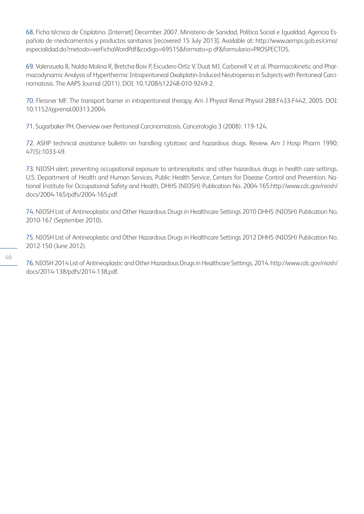68. Ficha técnica de Cisplatino. [Internet] December 2007. Ministerio de Sanidad, Política Social e Igualdad, Agencia Española de medicamentos y productos sanitarios [recovered 15 July 2013]. Available at: http://www.aemps.gob.es/cima/ especialidad.do?metodo=verFichaWordPdf&codigo=69515&formato=p df&formulario=PROSPECTOS.

69. Valenzuela B, Nalda-Molina R, Bretcha-Boix P, Escudero-Ortíz V, Duat MJ, Carbonell V, et al. Pharmacokinetic and Pharmacodynamic Analysis of Hyperthermic Intraperitoneal Oxaliplatin-Induced Neutropenia in Subjects with Peritoneal Carcinomatosis. The AAPS Journal (2011). DOI: 10.1208/s12248-010-9249-2.

70. Flessner MF. The transport barrier in intraperitoneal therapy. Am J Physiol Renal Physiol 288:F433-F442, 2005. DOI: 10.1152/ajprenal.00313.2004.

71. Sugarbaker PH. Overview over Peritoneal Carcinomatosis. Cancerología 3 (2008): 119-124.

72. ASHP technical assistance bulletin on handling cytotoxic and hazardous drugs. Review. Am J Hosp Pharm 1990; 47(5):1033-49.

73. NIOSH alert: preventing occupational exposure to antineoplastic and other hazardous drugs in health care settings. U.S. Department of Health and Human Services, Public Health Service, Centers for Disease Control and Prevention, National Institute for Occupational Safety and Health, DHHS (NIOSH) Publication No. 2004-165.http://www.cdc.gov/niosh/ docs/2004-165/pdfs/2004-165.pdf.

74. NIOSH List of Antineoplastic and Other Hazardous Drugs in Healthcare Settings 2010 DHHS (NIOSH) Publication No. 2010-167 (September 2010).

75. NIOSH List of Antineoplastic and Other Hazardous Drugs in Healthcare Settings 2012 DHHS (NIOSH) Publication No. 2012-150 (June 2012).

76. NIOSH 2014 List of Antineoplastic and Other Hazardous Drugs in Healthcare Settings, 2014. http://www.cdc.gov/niosh/ docs/2014-138/pdfs/2014-138.pdf.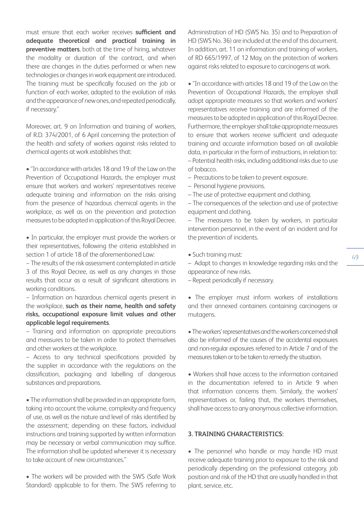must ensure that each worker receives **sufficient and adequate theoretical and practical training in preventive matters**, both at the time of hiring, whatever the modality or duration of the contract, and when there are changes in the duties performed or when new technologies or changes in work equipment are introduced. The training must be specifically focused on the job or function of each worker, adapted to the evolution of risks and the appearance of new ones, and repeated periodically, if necessary."

Moreover, art. 9 on Information and training of workers, of R.D. 374/2001, of 6 April concerning the protection of the health and safety of workers against risks related to chemical agents at work establishes that:

• "In accordance with articles 18 and 19 of the Law on the Prevention of Occupational Hazards, the employer must ensure that workers and workers' representatives receive adequate training and information on the risks arising from the presence of hazardous chemical agents in the workplace, as well as on the prevention and protection measures to be adopted in application of this Royal Decree.

• In particular, the employer must provide the workers or their representatives, following the criteria established in section 1 of article 18 of the aforementioned Law:

− The results of the risk assessment contemplated in article 3 of this Royal Decree, as well as any changes in those results that occur as a result of significant alterations in working conditions.

− Information on hazardous chemical agents present in the workplace, **such as their name, health and safety risks, occupational exposure limit values and other applicable legal requirements**.

− Training and information on appropriate precautions and measures to be taken in order to protect themselves and other workers at the workplace.

− Access to any technical specifications provided by the supplier in accordance with the regulations on the classification, packaging and labelling of dangerous substances and preparations.

• The information shall be provided in an appropriate form, taking into account the volume, complexity and frequency of use, as well as the nature and level of risks identified by the assessment; depending on these factors, individual instructions and training supported by written information may be necessary or verbal communication may suffice. The information shall be updated whenever it is necessary to take account of new circumstances."

• The workers will be provided with the SWS (Safe Work Standard) applicable to for them. The SWS referring to

Administration of HD (SWS No. 35) and to Preparation of HD (SWS No. 36) are included at the end of this document. In addition, art. 11 on information and training of workers, of RD 665/1997, of 12 May, on the protection of workers against risks related to exposure to carcinogens at work.

• "In accordance with articles 18 and 19 of the Law on the Prevention of Occupational Hazards, the employer shall adopt appropriate measures so that workers and workers' representatives receive training and are informed of the measures to be adopted in application of this Royal Decree. Furthermore, the employer shall take appropriate measures to ensure that workers receive sufficient and adequate training and accurate information based on all available data, in particular in the form of instructions, in relation to: – Potential health risks, including additional risks due to use

of tobacco.

– Precautions to be taken to prevent exposure.

- Personal hygiene provisions.
- The use of protective equipment and clothing.

– The consequences of the selection and use of protective equipment and clothing.

– The measures to be taken by workers, in particular intervention personnel, in the event of an incident and for the prevention of incidents.

• Such training must:

– Adapt to changes in knowledge regarding risks and the appearance of new risks.

– Repeat periodically if necessary.

• The employer must inform workers of installations and their annexed containers containing carcinogens or mutagens.

• The workers' representatives and the workers concerned shall also be informed of the causes of the accidental exposures and non-regular exposures referred to in Article 7 and of the measures taken or to be taken to remedy the situation.

• Workers shall have access to the information contained in the documentation referred to in Article 9 when that information concerns them. Similarly, the workers' representatives or, failing that, the workers themselves, shall have access to any anonymous collective information.

## **3. TRAINING CHARACTERISTICS:**

• The personnel who handle or may handle HD must receive adequate training prior to exposure to the risk and periodically depending on the professional category, job position and risk of the HD that are usually handled in that plant, service, etc.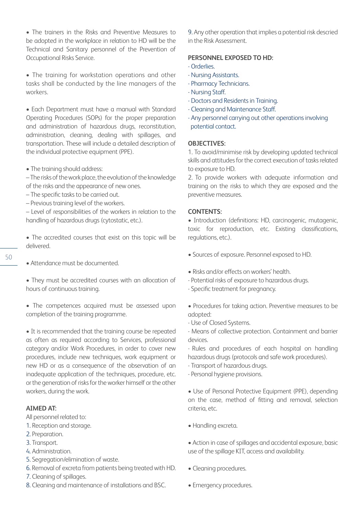• The trainers in the Risks and Preventive Measures to be adopted in the workplace in relation to HD will be the Technical and Sanitary personnel of the Prevention of Occupational Risks Service.

• The training for workstation operations and other tasks shall be conducted by the line managers of the workers.

• Each Department must have a manual with Standard Operating Procedures (SOPs) for the proper preparation and administration of hazardous drugs, reconstitution, administration, cleaning, dealing with spillages, and transportation. These will include a detailed description of the individual protective equipment (PPE).

• The training should address:

– The risks of the work place, the evolution of the knowledge of the risks and the appearance of new ones.

- The specific tasks to be carried out.
- Previous training level of the workers.

– Level of responsibilities of the workers in relation to the handling of hazardous drugs (cytostatic, etc.).

• The accredited courses that exist on this topic will be delivered.

- Attendance must be documented.
- They must be accredited courses with an allocation of hours of continuous training.

• The competences acquired must be assessed upon completion of the training programme.

• It is recommended that the training course be repeated as often as required according to Services, professional category and/or Work Procedures, in order to cover new procedures, include new techniques, work equipment or new HD or as a consequence of the observation of an inadequate application of the techniques, procedure, etc. or the generation of risks for the worker himself or the other workers, during the work.

#### **AIMED AT:**

All personnel related to:

- 1. Reception and storage.
- 2. Preparation.
- 3. Transport.
- 4. Administration.
- 5. Segregation/elimination of waste.
- 6. Removal of excreta from patients being treated with HD.
- 7. Cleaning of spillages.
- 8. Cleaning and maintenance of installations and BSC.

9. Any other operation that implies a potential risk descried in the Risk Assessment.

## **PERSONNEL EXPOSED TO HD:**

- Orderlies.
- Nursing Assistants.
- Pharmacy Technicians.
- Nursing Staff.
- Doctors and Residents in Training.
- Cleaning and Maintenance Staff.
- Any personnel carrying out other operations involving potential contact.

#### **OBJECTIVES:**

1. To avoid/minimise risk by developing updated technical skills and attitudes for the correct execution of tasks related to exposure to HD.

2. To provide workers with adequate information and training on the risks to which they are exposed and the preventive measures.

#### **CONTENTS:**

• Introduction (definitions: HD, carcinogenic, mutagenic, toxic for reproduction, etc. Existing classifications, regulations, etc.).

- Sources of exposure. Personnel exposed to HD.
- Risks and/or effects on workers' health.
- Potential risks of exposure to hazardous drugs.
- Specific treatment for pregnancy.
- Procedures for taking action. Preventive measures to be adopted:
- Use of Closed Systems.
- Means of collective protection. Containment and barrier devices.
- Rules and procedures of each hospital on handling hazardous drugs (protocols and safe work procedures).
- Transport of hazardous drugs.
- Personal hygiene provisions.

• Use of Personal Protective Equipment (PPE), depending on the case, method of fitting and removal, selection criteria, etc.

- Handling excreta.
- Action in case of spillages and accidental exposure, basic use of the spillage KIT, access and availability.
- Cleaning procedures.
- Emergency procedures.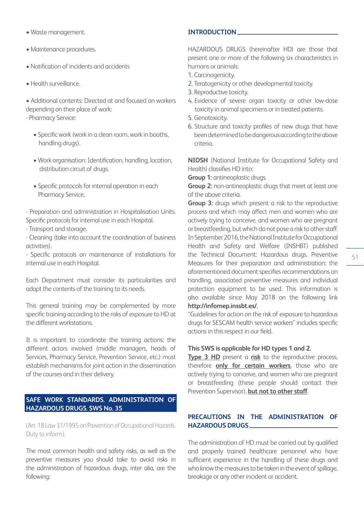- Waste management.
- Maintenance procedures.
- Notification of incidents and accidents
- Health surveillance.

• Additional contents: Directed at and focused on workers depending on their place of work:

- Pharmacy Service:

- Specific work (work in a clean room, work in booths, handling drugs).
- Work organisation: Identification, handling, location, distribution circuit of drugs.
- Specific protocols for internal operation in each Pharmacy Service.

- Preparation and administration in Hospitalisation Units. Specific protocols for internal use in each Hospital.

- Transport and storage.

- Cleaning (take into account the coordination of business activities).

- Specific protocols on maintenance of installations for internal use in each Hospital.

Each Department must consider its particularities and adapt the contents of the training to its needs.

This general training may be complemented by more specific training according to the risks of exposure to HD at the different workstations.

It is important to coordinate the training actions; the different actors involved (middle managers, heads of Services, Pharmacy Service, Prevention Service, etc.) must establish mechanisms for joint action in the dissemination of the courses and in their delivery.

## **SAFE WORK STANDARDS. ADMINISTRATION OF HAZARDOUS DRUGS. SWS No. 35**

(Art. 18 Law 31/1995 on Prevention of Occupational Hazards. Duty to inform).

The most common health and safety risks, as well as the preventive measures you should take to avoid risks in the administration of hazardous drugs, inter alia, are the following:

## **INTRODUCTION**

HAZARDOUS DRUGS (hereinafter HD) are those that present one or more of the following six characteristics in humans or animals:

- 1. Carcinogenicity.
- 2. Teratogenicity or other developmental toxicity.
- 3. Reproductive toxicity.
- 4. Evidence of severe organ toxicity or other low-dose toxicity in animal specimens or in treated patients.
- 5. Genotoxicity.
- 6. Structure and toxicity profiles of new drugs that have been determined to be dangerous according to the above criteria.

**NIOSH** (National Institute for Occupational Safety and Health) classifies HD into:

**Group 1:** antineoplastic drugs.

**Group 2:** non-antineoplastic drugs that meet at least one of the above criteria.

**Group 3:** drugs which present a risk to the reproductive process and which may affect men and women who are actively trying to conceive, and women who are pregnant or breastfeeding, but which do not pose a risk to other staff. In September 2016, the National Institute for Occupational Health and Safety and Welfare (INSHBT) published the Technical Document: Hazardous drugs. Preventive Measures for their preparation and administration; the aforementioned document specifies recommendations on handling, associated preventive measures and individual protection equipment to be used. This information is also available since May 2018 on the following link **http://infomep.inssbt.es/.**

51

"Guidelines for action on the risk of exposure to hazardous drugs for SESCAM health service workers" includes specific actions in this respect in our field.

## **This SWS is applicable for HD types 1 and 2.**

**Type 3 HD** present a **risk** to the reproductive process, therefore **only for certain workers**, those who are actively trying to conceive, and women who are pregnant or breastfeeding (these people should contact their Prevention Supervisor), **but not to other staff**.

## **PRECAUTIONS IN THE ADMINISTRATION OF HAZARDOUS DRUGS**

The administration of HD must be carried out by qualified and properly trained healthcare personnel who have sufficient experience in the handling of these drugs and who know the measures to be taken in the event of spillage, breakage or any other incident or accident.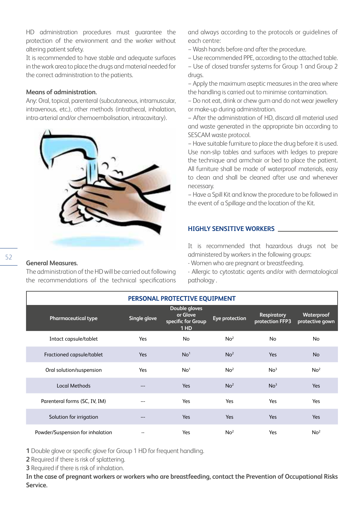HD administration procedures must guarantee the protection of the environment and the worker without altering patient safety.

It is recommended to have stable and adequate surfaces in the work area to place the drugs and material needed for the correct administration to the patients.

## **Means of administration.**

Any: Oral, topical, parenteral (subcutaneous, intramuscular, intravenous, etc.), other methods (intrathecal, inhalation, intra-arterial and/or chemoembolisation, intracavitary).



#### **General Measures.**

The administration of the HD will be carried out following the recommendations of the technical specifications

and always according to the protocols or guidelines of each centre:

− Wash hands before and after the procedure.

− Use recommended PPE, according to the attached table.

− Use of closed transfer systems for Group 1 and Group 2 drugs.

− Apply the maximum aseptic measures in the area where the handling is carried out to minimise contamination.

− Do not eat, drink or chew gum and do not wear jewellery or make-up during administration.

− After the administration of HD, discard all material used and waste generated in the appropriate bin according to SESCAM waste protocol.

− Have suitable furniture to place the drug before it is used. Use non-slip tables and surfaces with ledges to prepare the technique and armchair or bed to place the patient. All furniture shall be made of waterproof materials, easy to clean and shall be cleaned after use and whenever necessary.

− Have a Spill Kit and know the procedure to be followed in the event of a Spillage and the location of the Kit.

#### **HIGHLY SENSITIVE WORKERS**

It is recommended that hazardous drugs not be administered by workers in the following groups:

- Women who are pregnant or breastfeeding.

- Allergic to cytostatic agents and/or with dermatological pathology .

| PERSONAL PROTECTIVE EQUIPMENT    |              |                                                                     |                 |                                       |                               |
|----------------------------------|--------------|---------------------------------------------------------------------|-----------------|---------------------------------------|-------------------------------|
| Pharmaceutical type              | Single glove | Double gloves<br>or Glove<br>specific for Group<br>1 H <sub>D</sub> | Eye protection  | <b>Respiratory</b><br>protection FFP3 | Waterproof<br>protective gown |
| Intact capsule/tablet            | Yes          | No                                                                  | No <sup>2</sup> | <b>No</b>                             | No                            |
| Fractioned capsule/tablet        | <b>Yes</b>   | No <sup>1</sup>                                                     | No <sup>2</sup> | Yes                                   | <b>No</b>                     |
| Oral solution/suspension         | Yes          | No <sup>1</sup>                                                     | No <sup>2</sup> | No <sup>3</sup>                       | No <sup>2</sup>               |
| Local Methods                    | ---          | Yes                                                                 | No <sup>2</sup> | No <sup>3</sup>                       | Yes                           |
| Parenteral forms (SC, IV, IM)    | ---          | Yes                                                                 | Yes             | Yes                                   | Yes                           |
| Solution for irrigation          | $---$        | <b>Yes</b>                                                          | Yes             | Yes                                   | Yes                           |
| Powder/Suspension for inhalation |              | Yes                                                                 | No <sup>2</sup> | Yes                                   | No <sup>2</sup>               |

**1** Double glove or specific glove for Group 1 HD for frequent handling.

**2** Required if there is risk of splattering.

**3** Required if there is risk of inhalation.

**In the case of pregnant workers or workers who are breastfeeding, contact the Prevention of Occupational Risks Service.**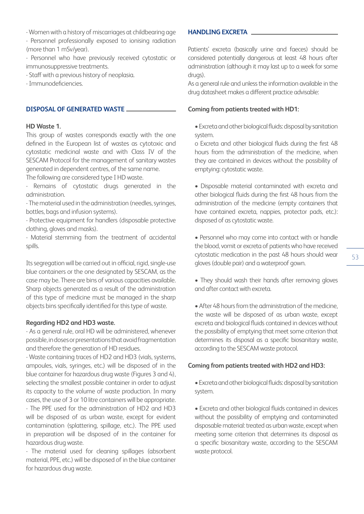- Women with a history of miscarriages at childbearing age

- Personnel professionally exposed to ionising radiation (more than 1 mSv/year).

- Personnel who have previously received cytostatic or immunosuppressive treatments.

- Staff with a previous history of neoplasia.

- Immunodeficiencies.

## **DISPOSAL OF GENERATED WASTE**

## **HD Waste 1.**

This group of wastes corresponds exactly with the one defined in the European list of wastes as cytotoxic and cytostatic medicinal waste and with Class IV of the SESCAM Protocol for the management of sanitary wastes generated in dependent centres, of the same name.

The following are considered type I HD waste.

- Remains of cytostatic drugs generated in the administration.

- The material used in the administration (needles, syringes, bottles, bags and infusion systems).

- Protective equipment for handlers (disposable protective clothing, gloves and masks).

- Material stemming from the treatment of accidental spills.

Its segregation will be carried out in official, rigid, single-use blue containers or the one designated by SESCAM, as the case may be. There are bins of various capacities available. Sharp objects generated as a result of the administration of this type of medicine must be managed in the sharp objects bins specifically identified for this type of waste.

## **Regarding HD2 and HD3 waste.**

- As a general rule, oral HD will be administered, whenever possible, in doses or presentations that avoid fragmentation and therefore the generation of HD residues.

- Waste containing traces of HD2 and HD3 (vials, systems, ampoules, vials, syringes, etc.) will be disposed of in the blue container for hazardous drug waste (Figures 3 and 4), selecting the smallest possible container in order to adjust its capacity to the volume of waste production. In many cases, the use of 3 or 10 litre containers will be appropriate. - The PPE used for the administration of HD2 and HD3 will be disposed of as urban waste, except for evident contamination (splattering, spillage, etc.). The PPE used in preparation will be disposed of in the container for hazardous drug waste.

- The material used for cleaning spillages (absorbent material, PPE, etc.) will be disposed of in the blue container for hazardous drug waste.

## **HANDLING EXCRETA**

Patients' excreta (basically urine and faeces) should be considered potentially dangerous at least 48 hours after administration (although it may last up to a week for some drugs).

As a general rule and unless the information available in the drug datasheet makes a different practice advisable:

## **Coming from patients treated with HD1:**

• Excreta and other biological fluids: disposal by sanitation system.

o Excreta and other biological fluids during the first 48 hours from the administration of the medicine, when they are contained in devices without the possibility of emptying: cytostatic waste.

• Disposable material contaminated with excreta and other biological fluids during the first 48 hours from the administration of the medicine (empty containers that have contained excreta, nappies, protector pads, etc.): disposed of as cytostatic waste.

• Personnel who may come into contact with or handle the blood, vomit or excreta of patients who have received cytostatic medication in the past 48 hours should wear gloves (double pair) and a waterproof gown.

• They should wash their hands after removing gloves and after contact with excreta.

• After 48 hours from the administration of the medicine, the waste will be disposed of as urban waste, except excreta and biological fluids contained in devices without the possibility of emptying that meet some criterion that determines its disposal as a specific biosanitary waste, according to the SESCAM waste protocol.

## **Coming from patients treated with HD2 and HD3:**

• Excreta and other biological fluids: disposal by sanitation system.

• Excreta and other biological fluids contained in devices without the possibility of emptying and contaminated disposable material: treated as urban waste, except when meeting some criterion that determines its disposal as a specific biosanitary waste, according to the SESCAM waste protocol.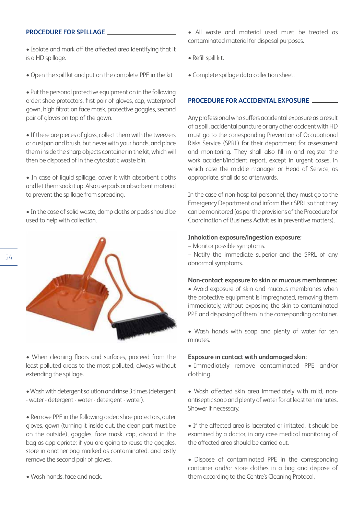#### **PROCEDURE FOR SPILLAGE**

- Isolate and mark off the affected area identifying that it is a HD spillage.
- Open the spill kit and put on the complete PPE in the kit

• Put the personal protective equipment on in the following order: shoe protectors, first pair of gloves, cap, waterproof gown, high filtration face mask, protective goggles, second pair of gloves on top of the gown.

• If there are pieces of glass, collect them with the tweezers or dustpan and brush, but never with your hands, and place them inside the sharp objects container in the kit, which will then be disposed of in the cytostatic waste bin.

• In case of liquid spillage, cover it with absorbent cloths and let them soak it up. Also use pads or absorbent material to prevent the spillage from spreading.

• In the case of solid waste, damp cloths or pads should be used to help with collection.



• When cleaning floors and surfaces, proceed from the least polluted areas to the most polluted, always without extending the spillage.

• Wash with detergent solution and rinse 3 times (detergent - water - detergent - water - detergent - water).

• Remove PPE in the following order: shoe protectors, outer gloves, gown (turning it inside out, the clean part must be on the outside), goggles, face mask, cap, discard in the bag as appropriate; if you are going to reuse the goggles, store in another bag marked as contaminated, and lastly remove the second pair of gloves.

• Wash hands, face and neck.

- All waste and material used must be treated as contaminated material for disposal purposes.
- Refill spill kit.
- Complete spillage data collection sheet.

## **PROCEDURE FOR ACCIDENTAL EXPOSURE**

Any professional who suffers accidental exposure as a result of a spill, accidental puncture or any other accident with HD must go to the corresponding Prevention of Occupational Risks Service (SPRL) for their department for assessment and monitoring. They shall also fill in and register the work accident/incident report, except in urgent cases, in which case the middle manager or Head of Service, as appropriate, shall do so afterwards.

In the case of non-hospital personnel, they must go to the Emergency Department and inform their SPRL so that they can be monitored (as per the provisions of the Procedure for Coordination of Business Activities in preventive matters).

#### **Inhalation exposure/ingestion exposure:**

− Monitor possible symptoms.

− Notify the immediate superior and the SPRL of any abnormal symptoms.

#### **Non-contact exposure to skin or mucous membranes:**

• Avoid exposure of skin and mucous membranes when the protective equipment is impregnated, removing them immediately, without exposing the skin to contaminated PPE and disposing of them in the corresponding container.

• Wash hands with soap and plenty of water for ten minutes.

## **Exposure in contact with undamaged skin:**

• Immediately remove contaminated PPE and/or clothing.

• Wash affected skin area immediately with mild, nonantiseptic soap and plenty of water for at least ten minutes. Shower if necessary.

• If the affected area is lacerated or irritated, it should be examined by a doctor, in any case medical monitoring of the affected area should be carried out.

• Dispose of contaminated PPE in the corresponding container and/or store clothes in a bag and dispose of them according to the Centre's Cleaning Protocol.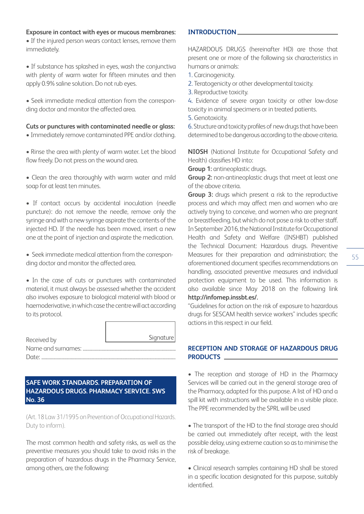#### **Exposure in contact with eyes or mucous membranes:**

• If the injured person wears contact lenses, remove them immediately.

• If substance has splashed in eyes, wash the conjunctiva with plenty of warm water for fifteen minutes and then apply 0.9% saline solution. Do not rub eyes.

• Seek immediate medical attention from the corresponding doctor and monitor the affected area.

**Cuts or punctures with contaminated needle or glass:**

• Immediately remove contaminated PPE and/or clothing.

• Rinse the area with plenty of warm water. Let the blood flow freely. Do not press on the wound area.

• Clean the area thoroughly with warm water and mild soap for at least ten minutes.

• If contact occurs by accidental inoculation (needle puncture): do not remove the needle, remove only the syringe and with a new syringe aspirate the contents of the injected HD. If the needle has been moved, insert a new one at the point of injection and aspirate the medication.

• Seek immediate medical attention from the corresponding doctor and monitor the affected area.

• In the case of cuts or punctures with contaminated material, it must always be assessed whether the accident also involves exposure to biological material with blood or haemoderivative, in which case the centre will act according to its protocol.

| Received by        | Signature |
|--------------------|-----------|
| Name and surnames: |           |
| Date:              |           |

## **SAFE WORK STANDARDS. PREPARATION OF HAZARDOUS DRUGS. PHARMACY SERVICE. SWS No. 36**

(Art. 18 Law 31/1995 on Prevention of Occupational Hazards. Duty to inform).

The most common health and safety risks, as well as the preventive measures you should take to avoid risks in the preparation of hazardous drugs in the Pharmacy Service, among others, are the following:

## **INTRODUCTION**

HAZARDOUS DRUGS (hereinafter HD) are those that present one or more of the following six characteristics in humans or animals:

- 1. Carcinogenicity.
- 2. Teratogenicity or other developmental toxicity.
- 3. Reproductive toxicity.

4. Evidence of severe organ toxicity or other low-dose toxicity in animal specimens or in treated patients.

5. Genotoxicity.

6. Structure and toxicity profiles of new drugs that have been determined to be dangerous according to the above criteria.

**NIOSH** (National Institute for Occupational Safety and Health) classifies HD into:

**Group 1:** antineoplastic drugs.

**Group 2:** non-antineoplastic drugs that meet at least one of the above criteria.

**Group 3:** drugs which present a risk to the reproductive process and which may affect men and women who are actively trying to conceive, and women who are pregnant or breastfeeding, but which do not pose a risk to other staff. In September 2016, the National Institute for Occupational Health and Safety and Welfare (INSHBT) published the Technical Document: Hazardous drugs. Preventive Measures for their preparation and administration; the aforementioned document specifies recommendations on handling, associated preventive measures and individual protection equipment to be used. This information is also available since May 2018 on the following link **http://infomep.inssbt.es/.**

"Guidelines for action on the risk of exposure to hazardous drugs for SESCAM health service workers" includes specific actions in this respect in our field.

## **RECEPTION AND STORAGE OF HAZARDOUS DRUG PRODUCTS**

• The reception and storage of HD in the Pharmacy Services will be carried out in the general storage area of the Pharmacy, adapted for this purpose. A list of HD and a spill kit with instructions will be available in a visible place. The PPE recommended by the SPRL will be used

• The transport of the HD to the final storage area should be carried out immediately after receipt, with the least possible delay, using extreme caution so as to minimise the risk of breakage.

• Clinical research samples containing HD shall be stored in a specific location designated for this purpose, suitably identified.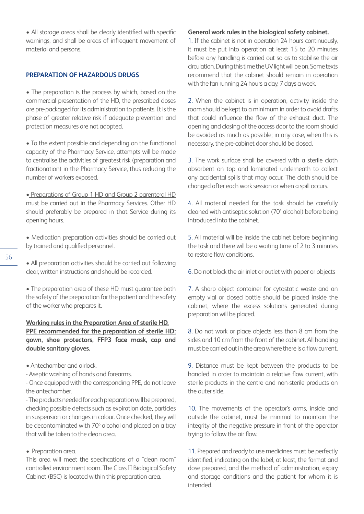• All storage areas shall be clearly identified with specific warnings, and shall be areas of infrequent movement of material and persons.

#### **PREPARATION OF HAZARDOUS DRUGS**

• The preparation is the process by which, based on the commercial presentation of the HD, the prescribed doses are pre-packaged for its administration to patients. It is the phase of greater relative risk if adequate prevention and protection measures are not adopted.

• To the extent possible and depending on the functional capacity of the Pharmacy Service, attempts will be made to centralise the activities of greatest risk (preparation and fractionation) in the Pharmacy Service, thus reducing the number of workers exposed.

• Preparations of Group 1 HD and Group 2 parenteral HD must be carried out in the Pharmacy Services. Other HD should preferably be prepared in that Service during its opening hours.

- Medication preparation activities should be carried out by trained and qualified personnel.
- All preparation activities should be carried out following clear, written instructions and should be recorded.

• The preparation area of these HD must guarantee both the safety of the preparation for the patient and the safety of the worker who prepares it.

## **Working rules in the Preparation Area of sterile HD. PPE recommended for the preparation of sterile HD: gown, shoe protectors, FFP3 face mask, cap and double sanitary gloves.**

- Antechamber and airlock.
- Aseptic washing of hands and forearms.

- Once equipped with the corresponding PPE, do not leave the antechamber.

- The products needed for each preparation will be prepared, checking possible defects such as expiration date, particles in suspension or changes in colour. Once checked, they will be decontaminated with 70º alcohol and placed on a tray that will be taken to the clean area.

## • Preparation area.

This area will meet the specifications of a "clean room" controlled environment room. The Class II Biological Safety Cabinet (BSC) is located within this preparation area.

#### **General work rules in the biological safety cabinet.**

1. If the cabinet is not in operation 24 hours continuously, it must be put into operation at least 15 to 20 minutes before any handling is carried out so as to stabilise the air circulation. During this time the UV light will be on. Some texts recommend that the cabinet should remain in operation with the fan running 24 hours a day, 7 days a week.

2. When the cabinet is in operation, activity inside the room should be kept to a minimum in order to avoid drafts that could influence the flow of the exhaust duct. The opening and closing of the access door to the room should be avoided as much as possible; in any case, when this is necessary, the pre-cabinet door should be closed.

3. The work surface shall be covered with a sterile cloth absorbent on top and laminated underneath to collect any accidental spills that may occur. The cloth should be changed after each work session or when a spill occurs.

4. All material needed for the task should be carefully cleaned with antiseptic solution (70° alcohol) before being introduced into the cabinet.

5. All material will be inside the cabinet before beginning the task and there will be a waiting time of 2 to 3 minutes to restore flow conditions.

6. Do not block the air inlet or outlet with paper or objects

7. A sharp object container for cytostatic waste and an empty vial or closed bottle should be placed inside the cabinet, where the excess solutions generated during preparation will be placed.

8. Do not work or place objects less than 8 cm from the sides and 10 cm from the front of the cabinet. All handling must be carried out in the area where there is a flow current.

9. Distance must be kept between the products to be handled in order to maintain a relative flow current, with sterile products in the centre and non-sterile products on the outer side.

10. The movements of the operator's arms, inside and outside the cabinet, must be minimal to maintain the integrity of the negative pressure in front of the operator trying to follow the air flow.

11. Prepared and ready to use medicines must be perfectly identified, indicating on the label, at least, the format and dose prepared, and the method of administration, expiry and storage conditions and the patient for whom it is intended.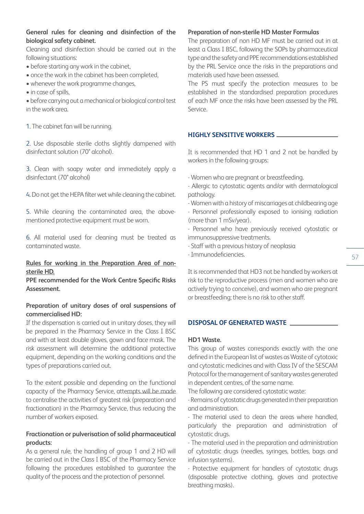## **General rules for cleaning and disinfection of the biological safety cabinet.**

Cleaning and disinfection should be carried out in the following situations:

- before starting any work in the cabinet,
- once the work in the cabinet has been completed,
- whenever the work programme changes,
- in case of spills,

• before carrying out a mechanical or biological control test in the work area.

1. The cabinet fan will be running.

2. Use disposable sterile cloths slightly dampened with disinfectant solution (70° alcohol).

3. Clean with soapy water and immediately apply a disinfectant (70° alcohol)

4. Do not get the HEPA filter wet while cleaning the cabinet.

5. While cleaning the contaminated area, the abovementioned protective equipment must be worn.

6. All material used for cleaning must be treated as contaminated waste.

## **Rules for working in the Preparation Area of nonsterile HD.**

**PPE recommended for the Work Centre Specific Risks Assessment.** 

## **Preparation of unitary doses of oral suspensions of commercialised HD:**

If the dispensation is carried out in unitary doses, they will be prepared in the Pharmacy Service in the Class I BSC and with at least double gloves, gown and face mask. The risk assessment will determine the additional protective equipment, depending on the working conditions and the types of preparations carried out.

To the extent possible and depending on the functional capacity of the Pharmacy Service, attempts will be made to centralise the activities of greatest risk (preparation and fractionation) in the Pharmacy Service, thus reducing the number of workers exposed.

## **Fractionation or pulverisation of solid pharmaceutical products:**

As a general rule, the handling of group 1 and 2 HD will be carried out in the Class I BSC of the Pharmacy Service following the procedures established to guarantee the quality of the process and the protection of personnel.

## **Preparation of non-sterile HD Master Formulas**

The preparation of non HD MF must be carried out in at least a Class I BSC, following the SOPs by pharmaceutical type and the safety and PPE recommendations established by the PRL Service once the risks in the preparations and materials used have been assessed.

The PS must specify the protection measures to be established in the standardised preparation procedures of each MF once the risks have been assessed by the PRL Service.

## **HIGHLY SENSITIVE WORKERS**

It is recommended that HD 1 and 2 not be handled by workers in the following groups:

- Women who are pregnant or breastfeeding.
- Allergic to cytostatic agents and/or with dermatological pathology.
- Women with a history of miscarriages at childbearing age
- Personnel professionally exposed to ionising radiation (more than 1 mSv/year).
- Personnel who have previously received cytostatic or immunosuppressive treatments.
- Staff with a previous history of neoplasia
- Immunodeficiencies.

It is recommended that HD3 not be handled by workers at risk to the reproductive process (men and women who are actively trying to conceive), and women who are pregnant or breastfeeding; there is no risk to other staff.

## **DISPOSAL OF GENERATED WASTE**

#### **HD1 Waste.**

This group of wastes corresponds exactly with the one defined in the European list of wastes as Waste of cytotoxic and cytostatic medicines and with Class IV of the SESCAM Protocol for the management of sanitary wastes generated in dependent centres, of the same name.

The following are considered cytostatic waste:

- Remains of cytostatic drugs generated in their preparation and administration.

- The material used to clean the areas where handled, particularly the preparation and administration of cytostatic drugs.

- The material used in the preparation and administration of cytostatic drugs (needles, syringes, bottles, bags and infusion systems).

- Protective equipment for handlers of cytostatic drugs (disposable protective clothing, gloves and protective breathing masks).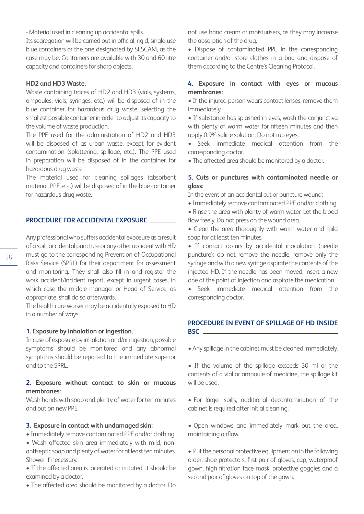- Material used in cleaning up accidental spills.

Its segregation will be carried out in official, rigid, single-use blue containers or the one designated by SESCAM, as the case may be. Containers are available with 30 and 60 litre capacity and containers for sharp objects.

## **HD2 and HD3 Waste.**

Waste containing traces of HD2 and HD3 (vials, systems, ampoules, vials, syringes, etc.) will be disposed of in the blue container for hazardous drug waste, selecting the smallest possible container in order to adjust its capacity to the volume of waste production.

The PPE used for the administration of HD2 and HD3 will be disposed of as urban waste, except for evident contamination (splattering, spillage, etc.). The PPE used in preparation will be disposed of in the container for hazardous drug waste.

The material used for cleaning spillages (absorbent material, PPE, etc.) will be disposed of in the blue container for hazardous drug waste.

#### **PROCEDURE FOR ACCIDENTAL EXPOSURE**

Any professional who suffers accidental exposure as a result of a spill, accidental puncture or any other accident with HD must go to the corresponding Prevention of Occupational Risks Service (SPRL) for their department for assessment and monitoring. They shall also fill in and register the work accident/incident report, except in urgent cases, in which case the middle manager or Head of Service, as appropriate, shall do so afterwards.

The health care worker may be accidentally exposed to HD in a number of ways:

#### **1. Exposure by inhalation or ingestion.**

In case of exposure by inhalation and/or ingestion, possible symptoms should be monitored and any abnormal symptoms should be reported to the immediate superior and to the SPRL.

#### **2. Exposure without contact to skin or mucous membranes:**

Wash hands with soap and plenty of water for ten minutes and put on new PPE.

#### **3. Exposure in contact with undamaged skin:**

- Immediately remove contaminated PPE and/or clothing.
- Wash affected skin area immediately with mild, nonantiseptic soap and plenty of water for at least ten minutes. Shower if necessary.
- If the affected area is lacerated or irritated, it should be examined by a doctor.
- The affected area should be monitored by a doctor. Do

not use hand cream or moisturisers, as they may increase the absorption of the drug.

• Dispose of contaminated PPE in the corresponding container and/or store clothes in a bag and dispose of them according to the Centre's Cleaning Protocol.

## **4. Exposure in contact with eyes or mucous membranes:**

• If the injured person wears contact lenses, remove them immediately.

• If substance has splashed in eyes, wash the conjunctiva with plenty of warm water for fifteen minutes and then apply 0.9% saline solution. Do not rub eyes.

• Seek immediate medical attention from the corresponding doctor.

• The affected area should be monitored by a doctor.

## **5. Cuts or punctures with contaminated needle or glass:**

In the event of an accidental cut or puncture wound:

- Immediately remove contaminated PPE and/or clothing.
- Rinse the area with plenty of warm water. Let the blood flow freely. Do not press on the wound area.
- Clean the area thoroughly with warm water and mild soap for at least ten minutes.
- If contact occurs by accidental inoculation (needle puncture): do not remove the needle, remove only the syringe and with a new syringe aspirate the contents of the injected HD. If the needle has been moved, insert a new one at the point of injection and aspirate the medication.

• Seek immediate medical attention from the corresponding doctor.

#### **PROCEDURE IN EVENT OF SPILLAGE OF HD INSIDE BSC**

- Any spillage in the cabinet must be cleaned immediately.
- If the volume of the spillage exceeds 30 ml or the contents of a vial or ampoule of medicine, the spillage kit will be used.
- For larger spills, additional decontamination of the cabinet is required after initial cleaning.
- Open windows and immediately mark out the area, maintaining airflow.
- Put the personal protective equipment on in the following order: shoe protectors, first pair of gloves, cap, waterproof gown, high filtration face mask, protective goggles and a second pair of gloves on top of the gown.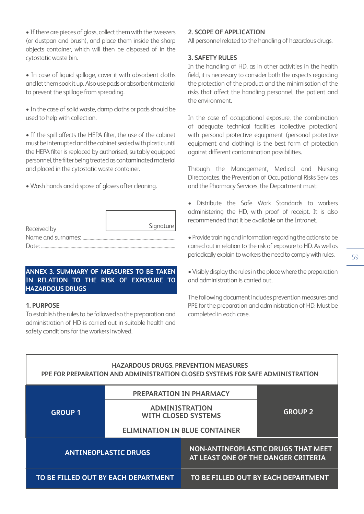• If there are pieces of glass, collect them with the tweezers (or dustpan and brush), and place them inside the sharp objects container, which will then be disposed of in the cytostatic waste bin.

• In case of liquid spillage, cover it with absorbent cloths and let them soak it up. Also use pads or absorbent material to prevent the spillage from spreading.

• In the case of solid waste, damp cloths or pads should be used to help with collection.

• If the spill affects the HEPA filter, the use of the cabinet must be interrupted and the cabinet sealed with plastic until the HEPA filter is replaced by authorised, suitably equipped personnel, the filter being treated as contaminated material and placed in the cytostatic waste container.

• Wash hands and dispose of gloves after cleaning.

| Received by        | Signature |
|--------------------|-----------|
| Name and surnames: |           |
| Date:              |           |

## **ANNEX 3. SUMMARY OF MEASURES TO BE TAKEN IN RELATION TO THE RISK OF EXPOSURE TO HAZARDOUS DRUGS**

## **1. PURPOSE**

To establish the rules to be followed so the preparation and administration of HD is carried out in suitable health and safety conditions for the workers involved.

## **2. SCOPE OF APPLICATION**

All personnel related to the handling of hazardous drugs.

## **3. SAFETY RULES**

In the handling of HD, as in other activities in the health field, it is necessary to consider both the aspects regarding the protection of the product and the minimisation of the risks that affect the handling personnel, the patient and the environment.

In the case of occupational exposure, the combination of adequate technical facilities (collective protection) with personal protective equipment (personal protective equipment and clothing) is the best form of protection against different contamination possibilities.

Through the Management, Medical and Nursing Directorates, the Prevention of Occupational Risks Services and the Pharmacy Services, the Department must:

- Distribute the Safe Work Standards to workers administering the HD, with proof of receipt. It is also recommended that it be available on the Intranet.
- Provide training and information regarding the actions to be carried out in relation to the risk of exposure to HD. As well as periodically explain to workers the need to comply with rules.
- Visibly display the rules in the place where the preparation and administration is carried out.

The following document includes prevention measures and PPE for the preparation and administration of HD. Must be completed in each case.

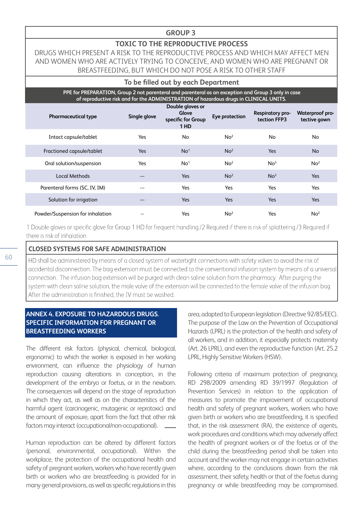## **GROUP 3**

## **TOXIC TO THE REPRODUCTIVE PROCESS**

DRUGS WHICH PRESENT A RISK TO THE REPRODUCTIVE PROCESS AND WHICH MAY AFFECT MEN AND WOMEN WHO ARE ACTIVELY TRYING TO CONCEIVE, AND WOMEN WHO ARE PREGNANT OR BREASTFEEDING, BUT WHICH DO NOT POSE A RISK TO OTHER STAFF

#### **To be filled out by each Department**

 **PPE for PREPARATION, Group 2 not parenteral and parenteral as an exception and Group 3 only in case of reproductive risk and for the ADMINISTRATION of hazardous drugs in CLINICAL UNITS.** 

| <b>Pharmaceutical type</b>       | Single glove | Double gloves or<br>Glove<br>specific for Group<br>1HD | Eye protection  | Respiratory pro-<br>tection FFP3 | Waterproof pro-<br>tective gown |
|----------------------------------|--------------|--------------------------------------------------------|-----------------|----------------------------------|---------------------------------|
| Intact capsule/tablet            | Yes          | No                                                     | No <sup>2</sup> | No.                              | No.                             |
| Fractioned capsule/tablet        | <b>Yes</b>   | No <sup>1</sup>                                        | No <sup>2</sup> | <b>Yes</b>                       | <b>No</b>                       |
| Oral solution/suspension         | Yes          | No <sup>1</sup>                                        | No <sup>2</sup> | No <sup>3</sup>                  | No <sup>2</sup>                 |
| Local Methods                    | $---$        | <b>Yes</b>                                             | No <sup>2</sup> | No <sup>3</sup>                  | Yes                             |
| Parenteral forms (SC, IV, IM)    | ---          | Yes                                                    | Yes             | Yes                              | Yes                             |
| Solution for irrigation          | $---$        | <b>Yes</b>                                             | <b>Yes</b>      | <b>Yes</b>                       | Yes                             |
| Powder/Suspension for inhalation | --           | Yes                                                    | No <sup>2</sup> | Yes                              | No <sup>2</sup>                 |

1 Double gloves or specific glove for Group 1 HD for frequent handling./2 Required if there is risk of splattering./3 Required if there is risk of inhalation

#### **CLOSED SYSTEMS FOR SAFE ADMINISTRATION**

HD shall be administered by means of a closed system of watertight connections with safety valves to avoid the risk of accidental disconnection. The bag extension must be connected to the conventional infusion system by means of a universal connection. The infusion bag extension will be purged with clean saline solution from the pharmacy. After purging the system with clean saline solution, the male valve of the extension will be connected to the female valve of the infusion bag. After the administration is finished, the IV must be washed.

## **ANNEX 4. EXPOSURE TO HAZARDOUS DRUGS. SPECIFIC INFORMATION FOR PREGNANT OR BREASTFEEDING WORKERS**

The different risk factors (physical, chemical, biological, ergonomic) to which the worker is exposed in her working environment, can influence the physiology of human reproduction causing alterations in conception, in the development of the embryo or foetus, or in the newborn. The consequences will depend on the stage of reproduction in which they act, as well as on the characteristics of the harmful agent (carcinogenic, mutagenic or reprotoxic) and the amount of exposure, apart from the fact that other risk factors may interact (occupational/non-occupational).

Human reproduction can be altered by different factors (personal, environmental, occupational). Within the workplace, the protection of the occupational health and safety of pregnant workers, workers who have recently given birth or workers who are breastfeeding is provided for in many general provisions, as well as specific regulations in this

area, adapted to European legislation (Directive 92/85/EEC). The purpose of the Law on the Prevention of Occupational Hazards (LPRL) is the protection of the health and safety of all workers, and in addition, it especially protects maternity (Art. 26 LPRL), and even the reproductive function (Art. 25.2 LPRL, Highly Sensitive Workers (HSW).

Following criteria of maximum protection of pregnancy, RD 298/2009 amending RD 39/1997 (Regulation of Prevention Services) in relation to the application of measures to promote the improvement of occupational health and safety of pregnant workers, workers who have given birth or workers who are breastfeeding, it is specified that, in the risk assessment (RA), the existence of agents, work procedures and conditions which may adversely affect the health of pregnant workers or of the foetus or of the child during the breastfeeding period shall be taken into account and the worker may not engage in certain activities where, according to the conclusions drawn from the risk assessment, their safety, health or that of the foetus during pregnancy or while breastfeeding may be compromised.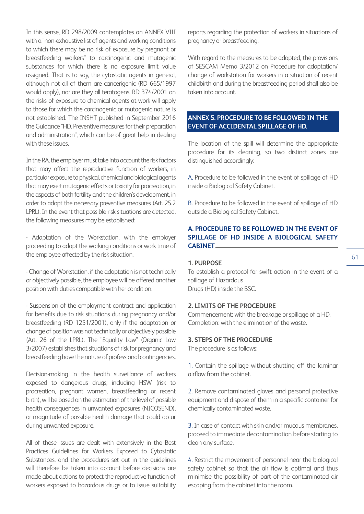In this sense, RD 298/2009 contemplates an ANNEX VIII with a "non-exhaustive list of agents and working conditions to which there may be no risk of exposure by pregnant or breastfeeding workers" to carcinogenic and mutagenic substances for which there is no exposure limit value assigned. That is to say, the cytostatic agents in general, although not all of them are cancerigenic (RD 665/1997 would apply), nor are they all teratogens. RD 374/2001 on the risks of exposure to chemical agents at work will apply to those for which the carcinogenic or mutagenic nature is not established. The INSHT published in September 2016 the Guidance "HD. Preventive measures for their preparation and administration", which can be of great help in dealing with these issues.

In the RA, the employer must take into account the risk factors that may affect the reproductive function of workers, in particular exposure to physical, chemical and biological agents that may exert mutagenic effects or toxicity for procreation, in the aspects of both fertility and the children's development, in order to adopt the necessary preventive measures (Art. 25.2 LPRL). In the event that possible risk situations are detected, the following measures may be established:

- Adaptation of the Workstation, with the employer proceeding to adapt the working conditions or work time of the employee affected by the risk situation.

- Change of Workstation, if the adaptation is not technically or objectively possible, the employee will be offered another position with duties compatible with her condition.

- Suspension of the employment contract and application for benefits due to risk situations during pregnancy and/or breastfeeding (RD 1251/2001), only if the adaptation or change of position was not technically or objectively possible (Art. 26 of the LPRL). The "Equality Law" (Organic Law 3/2007) establishes that situations of risk for pregnancy and breastfeeding have the nature of professional contingencies.

Decision-making in the health surveillance of workers exposed to dangerous drugs, including HSW (risk to procreation, pregnant women, breastfeeding or recent birth), will be based on the estimation of the level of possible health consequences in unwanted exposures (NICOSEND), or magnitude of possible health damage that could occur during unwanted exposure.

All of these issues are dealt with extensively in the Best Practices Guidelines for Workers Exposed to Cytostatic Substances, and the procedures set out in the guidelines will therefore be taken into account before decisions are made about actions to protect the reproductive function of workers exposed to hazardous drugs or to issue suitability reports regarding the protection of workers in situations of pregnancy or breastfeeding.

With regard to the measures to be adopted, the provisions of SESCAM Memo 3/2012 on Procedure for adaptation/ change of workstation for workers in a situation of recent childbirth and during the breastfeeding period shall also be taken into account.

# **ANNEX 5. PROCEDURE TO BE FOLLOWED IN THE EVENT OF ACCIDENTAL SPILLAGE OF HD.**

The location of the spill will determine the appropriate procedure for its cleaning, so two distinct zones are distinguished accordingly:

A. Procedure to be followed in the event of spillage of HD inside a Biological Safety Cabinet.

B. Procedure to be followed in the event of spillage of HD outside a Biological Safety Cabinet.

## **A. PROCEDURE TO BE FOLLOWED IN THE EVENT OF SPILLAGE OF HD INSIDE A BIOLOGICAL SAFETY CABINET**

#### **1. PURPOSE**

To establish a protocol for swift action in the event of a spillage of Hazardous Drugs (HD) inside the BSC.

#### **2. LIMITS OF THE PROCEDURE**

Commencement: with the breakage or spillage of a HD. Completion: with the elimination of the waste.

#### **3. STEPS OF THE PROCEDURE**

The procedure is as follows:

1. Contain the spillage without shutting off the laminar airflow from the cabinet.

2. Remove contaminated gloves and personal protective equipment and dispose of them in a specific container for chemically contaminated waste.

3. In case of contact with skin and/or mucous membranes, proceed to immediate decontamination before starting to clean any surface.

4. Restrict the movement of personnel near the biological safety cabinet so that the air flow is optimal and thus minimise the possibility of part of the contaminated air escaping from the cabinet into the room.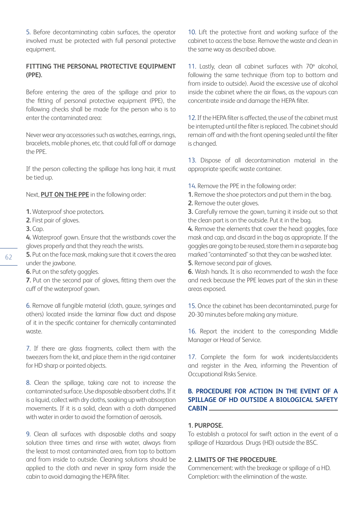5. Before decontaminating cabin surfaces, the operator involved must be protected with full personal protective equipment.

## **FITTING THE PERSONAL PROTECTIVE EQUIPMENT (PPE).**

Before entering the area of the spillage and prior to the fitting of personal protective equipment (PPE), the following checks shall be made for the person who is to enter the contaminated area:

Never wear any accessories such as watches, earrings, rings, bracelets, mobile phones, etc. that could fall off or damage the PPE.

If the person collecting the spillage has long hair, it must be tied up.

Next, **PUT ON THE PPE** in the following order:

- **1.** Waterproof shoe protectors.
- **2.** First pair of gloves.
- **3.** Cap.

**4.** Waterproof gown. Ensure that the wristbands cover the gloves properly and that they reach the wrists.

**5.** Put on the face mask, making sure that it covers the area under the jawbone.

**6.** Put on the safety goggles.

**7.** Put on the second pair of gloves, fitting them over the cuff of the waterproof gown.

6. Remove all fungible material (cloth, gauze, syringes and others) located inside the laminar flow duct and dispose of it in the specific container for chemically contaminated waste.

7. If there are glass fragments, collect them with the tweezers from the kit, and place them in the rigid container for HD sharp or pointed objects.

8. Clean the spillage, taking care not to increase the contaminated surface. Use disposable absorbent cloths. If it is a liquid, collect with dry cloths, soaking up with absorption movements. If it is a solid, clean with a cloth dampened with water in order to avoid the formation of aerosols.

9. Clean all surfaces with disposable cloths and soapy solution three times and rinse with water, always from the least to most contaminated area, from top to bottom and from inside to outside. Cleaning solutions should be applied to the cloth and never in spray form inside the cabin to avoid damaging the HEPA filter.

10. Lift the protective front and working surface of the cabinet to access the base. Remove the waste and clean in the same way as described above.

11. Lastly, clean all cabinet surfaces with 70º alcohol, following the same technique (from top to bottom and from inside to outside). Avoid the excessive use of alcohol inside the cabinet where the air flows, as the vapours can concentrate inside and damage the HEPA filter.

12. If the HEPA filter is affected, the use of the cabinet must be interrupted until the filter is replaced. The cabinet should remain off and with the front opening sealed until the filter is changed.

13. Dispose of all decontamination material in the appropriate specific waste container.

- 14. Remove the PPE in the following order:
- **1.** Remove the shoe protectors and put them in the bag.
- **2.** Remove the outer gloves.

**3.** Carefully remove the gown, turning it inside out so that the clean part is on the outside. Put it in the bag.

**4.** Remove the elements that cover the head: goggles, face mask and cap, and discard in the bag as appropriate. If the goggles are going to be reused, store them in a separate bag marked "contaminated" so that they can be washed later.

**5.** Remove second pair of gloves.

**6.** Wash hands. It is also recommended to wash the face and neck because the PPE leaves part of the skin in these areas exposed.

15. Once the cabinet has been decontaminated, purge for 20-30 minutes before making any mixture.

16. Report the incident to the corresponding Middle Manager or Head of Service.

17. Complete the form for work incidents/accidents and register in the Area, informing the Prevention of Occupational Risks Service.

# **B. PROCEDURE FOR ACTION IN THE EVENT OF A SPILLAGE OF HD OUTSIDE A BIOLOGICAL SAFETY CABIN**

## **1. PURPOSE.**

To establish a protocol for swift action in the event of a spillage of Hazardous Drugs (HD) outside the BSC.

#### **2. LIMITS OF THE PROCEDURE.**

Commencement: with the breakage or spillage of a HD. Completion: with the elimination of the waste.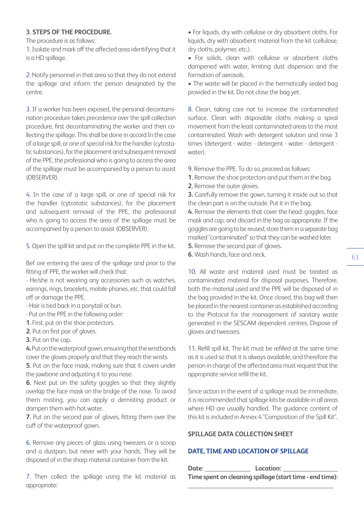## **3. STEPS OF THE PROCEDURE.**

The procedure is as follows:

1. Isolate and mark off the affected area identifying that it is a HD spillage.

2. Notify personnel in that area so that they do not extend the spillage and inform the person designated by the centre.

3. If a worker has been exposed, the personal decontamination procedure takes precedence over the spill collection procedure, first decontaminating the worker and then collecting the spillage. This shall be done in accord In the case of a large spill, or one of special risk for the handler (cytostatic substances), for the placement and subsequent removal of the PPE, the professional who is going to access the area of the spillage must be accompanied by a person to assist (OBSERVER).

4. In the case of a large spill, or one of special risk for the handler (cytostatic substances), for the placement and subsequent removal of the PPE, the professional who is going to access the area of the spillage must be accompanied by a person to assist (OBSERVER).

5. Open the spill kit and put on the complete PPE in the kit.

Bef ore entering the area of the spillage and prior to the fitting of PPE, the worker will check that:

- He/she is not wearing any accessories such as watches, earrings, rings, bracelets, mobile phones, etc. that could fall off or damage the PPE.

- Hair is tied back in a ponytail or bun.

- Put on the PPE in the following order:

**1.** First, put on the shoe protectors.

**2.** Put on first pair of gloves.

**3.** Put on the cap.

**4.** Put on the waterproof gown, ensuring that the wristbands cover the gloves properly and that they reach the wrists.

**5.** Put on the face mask, making sure that it covers under the jawbone and adjusting it to you nose.

**6.** Next put on the safety goggles so that they slightly overlap the face mask on the bridge of the nose. To avoid them misting, you can apply a demisting product or dampen them with hot water.

**7.** Put on the second pair of gloves, fitting them over the cuff of the waterproof gown.

6. Remove any pieces of glass using tweezers or a scoop and a dustpan, but never with your hands. They will be disposed of in the sharp material container from the kit.

7. Then collect the spillage using the kit material as appropriate:

• For liquids, dry with cellulose or dry absorbent cloths. For liquids, dry with absorbent material from the kit (cellulose, dry cloths, polymer, etc.).

• For solids, clean with cellulose or absorbent cloths dampened with water, limiting dust dispersion and the formation of aerosols.

• The waste will be placed in the hermetically sealed bag provided in the kit. Do not close the bag yet.

8. Clean, taking care not to increase the contaminated surface. Clean with disposable cloths making a spiral movement from the least contaminated areas to the most contaminated. Wash with detergent solution and rinse 3 times (detergent - water - detergent - water - detergent water).

- 9. Remove the PPE. To do so, proceed as follows:
- **1.** Remove the shoe protectors and put them in the bag.

**2.** Remove the outer gloves.

**3.** Carefully remove the gown, turning it inside out so that the clean part is on the outside. Put it in the bag.

**4.** Remove the elements that cover the head: goggles, face mask and cap, and discard in the bag as appropriate. If the goggles are going to be reused, store them in a separate bag marked "contaminated" so that they can be washed later.

**5.** Remove the second pair of gloves. **6.** Wash hands, face and neck.

10. All waste and material used must be treated as contaminated material for disposal purposes. Therefore, both the material used and the PPE will be disposed of in the bag provided in the kit. Once closed, this bag will then be placed in the nearest container as established according to the Protocol for the management of sanitary waste generated in the SESCAM dependent centres. Dispose of gloves and tweezers.

11. Refill spill kit. The kit must be refilled at the same time as it is used so that it is always available, and therefore the person in charge of the affected area must request that the appropriate service refill the kit.

Since action in the event of a spillage must be immediate, it is recommended that spillage kits be available in all areas where HD are usually handled. The guidance content of this kit is included in Annex 4 "Composition of the Spill Kit".

## **SPILLAGE DATA COLLECTION SHEET**

## **DATE, TIME AND LOCATION OF SPILLAGE**

| Date: | Location:                                                |
|-------|----------------------------------------------------------|
|       | Time spent on cleaning spillage (start time - end time): |
|       |                                                          |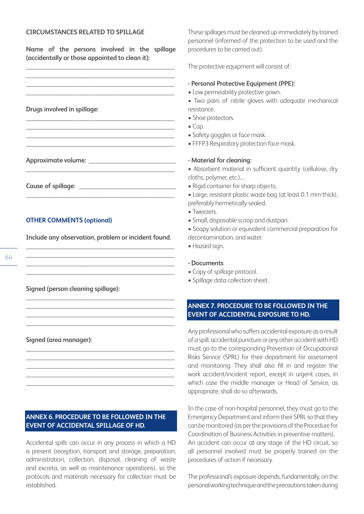#### **CIRCUMSTANCES RELATED TO SPILLAGE**

**Name of the persons involved in the spillage (accidentally or those appointed to clean it):**

**\_\_\_\_\_\_\_\_\_\_\_\_\_\_\_\_\_\_\_\_\_\_\_\_\_\_\_\_\_\_\_\_\_\_\_\_\_\_\_\_\_\_\_\_\_\_**

**\_\_\_\_\_\_\_\_\_\_\_\_\_\_\_\_\_\_\_\_\_\_\_\_\_\_\_\_\_\_\_\_\_\_\_\_\_\_\_\_\_\_\_\_\_\_**

**\_\_\_\_\_\_\_\_\_\_\_\_\_\_\_\_\_\_\_\_\_\_\_\_\_\_\_\_\_\_\_\_\_\_\_\_\_\_\_\_\_\_\_\_\_\_ \_\_\_\_\_\_\_\_\_\_\_\_\_\_\_\_\_\_\_\_\_\_\_\_\_\_\_\_\_\_\_\_\_\_\_\_\_\_\_\_\_\_\_\_\_\_ \_\_\_\_\_\_\_\_\_\_\_\_\_\_\_\_\_\_\_\_\_\_\_\_\_\_\_\_\_\_\_\_\_\_\_\_\_\_\_\_\_\_\_\_\_\_ \_\_\_\_\_\_\_\_\_\_\_\_\_\_\_\_\_\_\_\_\_\_\_\_\_\_\_\_\_\_\_\_\_\_\_\_\_\_\_\_\_\_\_\_\_\_**

**\_\_\_\_\_\_\_\_\_\_\_\_\_\_\_\_\_\_\_\_\_\_\_\_\_\_\_\_\_\_\_\_\_\_\_\_\_\_\_\_\_\_\_\_\_\_**

**Drugs involved in spillage:**

**Approximate volume: \_\_\_\_\_\_\_\_\_\_\_\_\_\_\_\_\_\_\_\_\_\_\_\_\_\_\_**

Cause of spillage: **We also cause of spillage:** 

## **OTHER COMMENTS (optional)**

**Include any observation, problem or incident found. \_\_\_\_\_\_\_\_\_\_\_\_\_\_\_\_\_\_\_\_\_\_\_\_\_\_\_\_\_\_\_\_\_\_\_\_\_\_\_\_\_\_\_\_\_\_**

**\_\_\_\_\_\_\_\_\_\_\_\_\_\_\_\_\_\_\_\_\_\_\_\_\_\_\_\_\_\_\_\_\_\_\_\_\_\_\_\_\_\_\_\_\_\_**

**\_\_\_\_\_\_\_\_\_\_\_\_\_\_\_\_\_\_\_\_\_\_\_\_\_\_\_\_\_\_\_\_\_\_\_\_\_\_\_\_\_\_\_\_\_\_**

**\_\_\_\_\_\_\_\_\_\_\_\_\_\_\_\_\_\_\_\_\_\_\_\_\_\_\_\_\_\_\_\_\_\_\_\_\_\_\_\_\_\_\_\_\_\_ \_\_\_\_\_\_\_\_\_\_\_\_\_\_\_\_\_\_\_\_\_\_\_\_\_\_\_\_\_\_\_\_\_\_\_\_\_\_\_\_\_\_\_\_\_\_**

**\_\_\_\_\_\_\_\_\_\_\_\_\_\_\_\_\_\_\_\_\_\_\_\_\_\_\_\_\_\_\_\_\_\_\_\_\_\_\_\_\_\_\_\_\_\_**

**\_\_\_\_\_\_\_\_\_\_\_\_\_\_\_\_\_\_\_\_\_\_\_\_\_\_\_\_\_\_\_\_\_\_\_\_\_\_\_\_\_\_\_\_\_\_ \_\_\_\_\_\_\_\_\_\_\_\_\_\_\_\_\_\_\_\_\_\_\_\_\_\_\_\_\_\_\_\_\_\_\_\_\_\_\_\_\_\_\_\_\_\_ \_\_\_\_\_\_\_\_\_\_\_\_\_\_\_\_\_\_\_\_\_\_\_\_\_\_\_\_\_\_\_\_\_\_\_\_\_\_\_\_\_\_\_\_\_\_ \_\_\_\_\_\_\_\_\_\_\_\_\_\_\_\_\_\_\_\_\_\_\_\_\_\_\_\_\_\_\_\_\_\_\_\_\_\_\_\_\_\_\_\_\_\_ \_\_\_\_\_\_\_\_\_\_\_\_\_\_\_\_\_\_\_\_\_\_\_\_\_\_\_\_\_\_\_\_\_\_\_\_\_\_\_\_\_\_\_\_\_\_**

**Signed (person cleaning spillage):**

**Signed (area manager):**

## **ANNEX 6. PROCEDURE TO BE FOLLOWED IN THE EVENT OF ACCIDENTAL SPILLAGE OF HD.**

Accidental spills can occur in any process in which a HD is present (reception, transport and storage, preparation, administration, collection, disposal, cleaning of waste and excreta, as well as maintenance operations), so the protocols and materials necessary for collection must be established.

These spillages must be cleaned up immediately by trained personnel (informed of the protection to be used and the procedures to be carried out).

The protective equipment will consist of:

## **- Personal Protective Equipment (PPE):**

- Low permeability protective gown.
- Two pairs of nitrile gloves with adequate mechanical resistance.
- Shoe protectors.
- $\bullet$  Cap.
- Safety goggles or face mask.
- FFFP3 Respiratory protection face mask.

## **- Material for cleaning:**

- Absorbent material in sufficient quantity (cellulose, dry cloths, polymer, etc.)…
- Rigid container for sharp objects.
- Large, resistant plastic waste bag (at least 0.1 mm thick),
- preferably hermetically sealed.
- Tweezers.
- Small, disposable scoop and dustpan.
- Soapy solution or equivalent commercial preparation for decontamination, and water.
- Hazard sign.

#### **- Documents**

- Copy of spillage protocol.
- Spillage data collection sheet.

## **ANNEX 7. PROCEDURE TO BE FOLLOWED IN THE EVENT OF ACCIDENTAL EXPOSURE TO HD.**

Any professional who suffers accidental exposure as a result of a spill, accidental puncture or any other accident with HD must go to the corresponding Prevention of Occupational Risks Service (SPRL) for their department for assessment and monitoring. They shall also fill in and register the work accident/incident report, except in urgent cases, in which case the middle manager or Head of Service, as appropriate, shall do so afterwards.

In the case of non-hospital personnel, they must go to the Emergency Department and inform their SPRL so that they can be monitored (as per the provisions of the Procedure for Coordination of Business Activities in preventive matters). An accident can occur at any stage of the HD circuit, so all personnel involved must be properly trained on the procedures of action if necessary.

The professional's exposure depends, fundamentally, on the personal working technique and the precautions taken during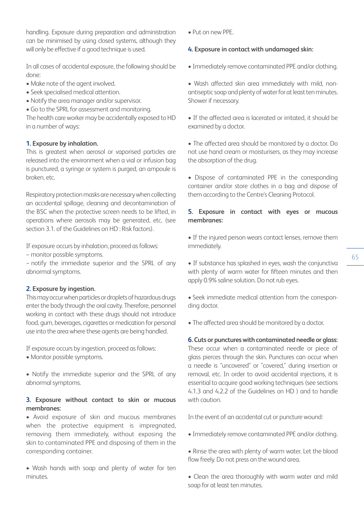handling. Exposure during preparation and administration can be minimised by using closed systems, although they will only be effective if a good technique is used.

In all cases of accidental exposure, the following should be done:

- Make note of the agent involved.
- Seek specialised medical attention.
- Notify the area manager and/or supervisor.
- Go to the SPRL for assessment and monitoring.

The health care worker may be accidentally exposed to HD in a number of ways:

## **1. Exposure by inhalation.**

This is greatest when aerosol or vaporised particles are released into the environment when a vial or infusion bag is punctured, a syringe or system is purged, an ampoule is broken, etc.

Respiratory protection masks are necessary when collecting an accidental spillage, cleaning and decontamination of the BSC when the protective screen needs to be lifted, in operations where aerosols may be generated, etc. (see section 3.1. of the Guidelines on HD : Risk factors).

If exposure occurs by inhalation, proceed as follows:

− monitor possible symptoms.

− notify the immediate superior and the SPRL of any abnormal symptoms.

## **2. Exposure by ingestion.**

This may occur when particles or droplets of hazardous drugs enter the body through the oral cavity. Therefore, personnel working in contact with these drugs should not introduce food, gum, beverages, cigarettes or medication for personal use into the area where these agents are being handled.

If exposure occurs by ingestion, proceed as follows:

• Monitor possible symptoms.

• Notify the immediate superior and the SPRL of any abnormal symptoms.

## **3. Exposure without contact to skin or mucous membranes:**

• Avoid exposure of skin and mucous membranes when the protective equipment is impregnated, removing them immediately, without exposing the skin to contaminated PPE and disposing of them in the corresponding container.

• Wash hands with soap and plenty of water for ten minutes.

• Put on new PPE.

## **4. Exposure in contact with undamaged skin:**

- Immediately remove contaminated PPE and/or clothing.
- Wash affected skin area immediately with mild, nonantiseptic soap and plenty of water for at least ten minutes. Shower if necessary.

• If the affected area is lacerated or irritated, it should be examined by a doctor.

• The affected area should be monitored by a doctor. Do not use hand cream or moisturisers, as they may increase the absorption of the drug.

• Dispose of contaminated PPE in the corresponding container and/or store clothes in a bag and dispose of them according to the Centre's Cleaning Protocol.

## **5. Exposure in contact with eyes or mucous membranes:**

• If the injured person wears contact lenses, remove them immediately.

• If substance has splashed in eyes, wash the conjunctiva with plenty of warm water for fifteen minutes and then apply 0.9% saline solution. Do not rub eyes.

• Seek immediate medical attention from the corresponding doctor.

• The affected area should be monitored by a doctor.

**6. Cuts or punctures with contaminated needle or glass:** These occur when a contaminated needle or piece of glass pierces through the skin. Punctures can occur when a needle is "uncovered" or "covered," during insertion or removal, etc. In order to avoid accidental injections, it is essential to acquire good working techniques (see sections 4.1.3 and 4.2.2 of the Guidelines on HD ) and to handle with caution

In the event of an accidental cut or puncture wound:

- Immediately remove contaminated PPE and/or clothing.
- Rinse the area with plenty of warm water. Let the blood flow freely. Do not press on the wound area.
- Clean the area thoroughly with warm water and mild soap for at least ten minutes.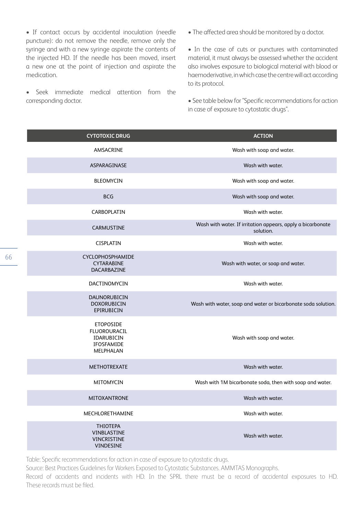• If contact occurs by accidental inoculation (needle puncture): do not remove the needle, remove only the syringe and with a new syringe aspirate the contents of the injected HD. If the needle has been moved, insert a new one at the point of injection and aspirate the medication.

• Seek immediate medical attention from the corresponding doctor.

• The affected area should be monitored by a doctor.

• In the case of cuts or punctures with contaminated material, it must always be assessed whether the accident also involves exposure to biological material with blood or haemoderivative, in which case the centre will act according to its protocol.

• See table below for ''Specific recommendations for action in case of exposure to cytostatic drugs''.

| <b>CYTOTOXIC DRUG</b>                                                     | <b>ACTION</b>                                                            |
|---------------------------------------------------------------------------|--------------------------------------------------------------------------|
| AMSACRINE                                                                 | Wash with soap and water.                                                |
| ASPARAGINASE                                                              | Wash with water.                                                         |
| <b>BLEOMYCIN</b>                                                          | Wash with soap and water.                                                |
| <b>BCG</b>                                                                | Wash with soap and water.                                                |
| CARBOPLATIN                                                               | Wash with water.                                                         |
| <b>CARMUSTINE</b>                                                         | Wash with water. If irritation appears, apply a bicarbonate<br>solution. |
| <b>CISPLATIN</b>                                                          | Wash with water.                                                         |
| CYCLOPHOSPHAMIDE<br>CYTARABINE<br>DACARBAZINE                             | Wash with water, or soap and water.                                      |
| DACTINOMYCIN                                                              | Wash with water.                                                         |
| DAUNORUBICIN<br><b>DOXORUBICIN</b><br>EPIRUBICIN                          | Wash with water, soap and water or bicarbonate soda solution.            |
| <b>ETOPOSIDE</b><br>FLUOROURACIL<br>IDARUBICIN<br>IFOSFAMIDE<br>MELPHALAN | Wash with soap and water.                                                |
| METHOTREXATE                                                              | Wash with water.                                                         |
| MITOMYCIN                                                                 | Wash with 1M bicarbonate soda, then with soap and water.                 |
| <b>MITOXANTRONE</b>                                                       | Wash with water.                                                         |
| <b>MECHLORETHAMINE</b>                                                    | Wash with water.                                                         |
| <b>THIOTEPA</b><br>VINBLASTINE<br>VINCRISTINE<br>VINDESINE                | Wash with water.                                                         |

Table: Specific recommendations for action in case of exposure to cytostatic drugs.

Source: Best Practices Guidelines for Workers Exposed to Cytostatic Substances. AMMTAS Monographs.

Record of accidents and incidents with HD. In the SPRL there must be a record of accidental exposures to HD. These records must be filed.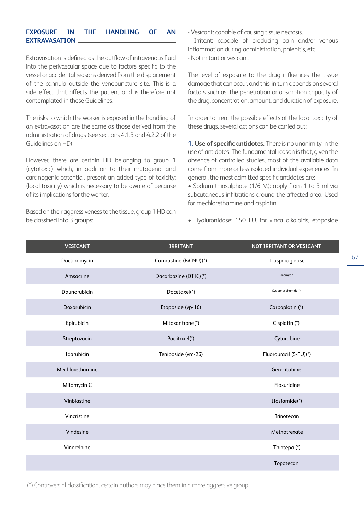## **EXPOSURE IN THE HANDLING OF AN EXTRAVASATION**

Extravasation is defined as the outflow of intravenous fluid into the perivascular space due to factors specific to the vessel or accidental reasons derived from the displacement of the cannula outside the venepuncture site. This is a side effect that affects the patient and is therefore not contemplated in these Guidelines.

The risks to which the worker is exposed in the handling of an extravasation are the same as those derived from the administration of drugs (see sections 4.1.3 and 4.2.2 of the Guidelines on HD).

However, there are certain HD belonging to group 1 (cytotoxic) which, in addition to their mutagenic and carcinogenic potential, present an added type of toxicity: (local toxicity) which is necessary to be aware of because of its implications for the worker.

Based on their aggressiveness to the tissue, group 1 HD can be classified into 3 groups:

- Vesicant: capable of causing tissue necrosis.
- Irritant: capable of producing pain and/or venous inflammation during administration, phlebitis, etc.
- Not irritant or vesicant.

The level of exposure to the drug influences the tissue damage that can occur, and this in turn depends on several factors such as: the penetration or absorption capacity of the drug, concentration, amount, and duration of exposure.

In order to treat the possible effects of the local toxicity of these drugs, several actions can be carried out:

**1. Use of specific antidotes.** There is no unanimity in the use of antidotes. The fundamental reason is that, given the absence of controlled studies, most of the available data come from more or less isolated individual experiences. In general, the most admitted specific antidotes are:

• Sodium thiosulphate (1/6 M): apply from 1 to 3 ml via subcutaneous infiltrations around the affected area. Used for mechlorethamine and cisplatin.

• Hyaluronidase: 150 I.U. for vinca alkaloids, etoposide

| <b>VESICANT</b> | <b>IRRITANT</b>       | NOT IRRITANT OR VESICANT |
|-----------------|-----------------------|--------------------------|
| Dactinomycin    | Carmustine (BiCNU)(*) | L-asparaginase           |
| Amsacrine       | Dacarbazine (DTIC)(*) | Bleomycin                |
| Daunorubicin    | Docetaxel(*)          | Cyclophosphamide(*)      |
| Doxorubicin     | Etoposide (vp-16)     | Carboplatin (*)          |
| Epirubicin      | Mitoxantrone(*)       | Cisplatin (*)            |
| Streptozocin    | Paclitaxel(*)         | Cytarabine               |
| Idarubicin      | Teniposide (vm-26)    | Fluorouracil (5-FU)(*)   |
| Mechlorethamine |                       | Gemcitabine              |
| Mitomycin C     |                       | Floxuridine              |
| Vinblastine     |                       | Ifosfamide(*)            |
| Vincristine     |                       | Irinotecan               |
| Vindesine       |                       | Methotrexate             |
| Vinorelbine     |                       | Thiotepa (*)             |
|                 |                       | Topotecan                |

(\*) Controversial classification, certain authors may place them in a more aggressive group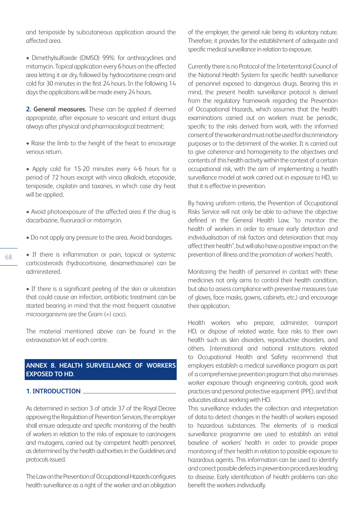and teniposide by subcutaneous application around the affected area.

• Dimethylsulfoxide (DMSO) 99%: for anthracyclines and mitomycin. Topical application every 6 hours on the affected area letting it air dry, followed by hydrocortisone cream and cold for 30 minutes in the first 24 hours. In the following 14 days the applications will be made every 24 hours.

**2. General measures.** These can be applied if deemed appropriate, after exposure to vesicant and irritant drugs always after physical and pharmacological treatment:

• Raise the limb to the height of the heart to encourage venous return.

• Apply cold for 15-20 minutes every 4-6 hours for a period of 72 hours except with vinca alkaloids, etoposide, teniposide, cisplatin and taxanes, in which case dry heat will be applied.

• Avoid photoexposure of the affected area if the drug is dacarbazine, fluoruracil or mitomycin.

- Do not apply any pressure to the area. Avoid bandages.
- If there is inflammation or pain, topical or systemic corticosteroids (hydrocortisone, dexamethasone) can be administered.

• If there is a significant peeling of the skin or ulceration that could cause an infection, antibiotic treatment can be started bearing in mind that the most frequent causative microorganisms are the Gram (+) cocci.

The material mentioned above can be found in the extravasation kit of each centre.

## **ANNEX 8. HEALTH SURVEILLANCE OF WORKERS EXPOSED TO HD.**

#### **1. INTRODUCTION**

As determined in section 3 of article 37 of the Royal Decree approving the Regulation of Prevention Services, the employer shall ensure adequate and specific monitoring of the health of workers in relation to the risks of exposure to carcinogens and mutagens, carried out by competent health personnel, as determined by the health authorities in the Guidelines and protocols issued.

The Law on the Prevention of Occupational Hazards configures health surveillance as a right of the worker and an obligation of the employer, the general rule being its voluntary nature. Therefore, it provides for the establishment of adequate and specific medical surveillance in relation to exposure.

Currently there is no Protocol of the Interterritorial Council of the National Health System for specific health surveillance of personnel exposed to dangerous drugs. Bearing this in mind, the present health surveillance protocol is derived from the regulatory framework regarding the Prevention of Occupational Hazards, which assumes that the health examinations carried out on workers must be periodic, specific to the risks derived from work, with the informed consent of the worker and must not be used for discriminatory purposes or to the detriment of the worker. It is carried out to give coherence and homogeneity to the objectives and contents of this health activity within the context of a certain occupational risk, with the aim of implementing a health surveillance model at work carried out in exposure to HD, so that it is effective in prevention.

By having uniform criteria, the Prevention of Occupational Risks Service will not only be able to achieve the objective defined in the General Health Law, "to monitor the health of workers in order to ensure early detection and individualisation of risk factors and deterioration that may affect their health", but will also have a positive impact on the prevention of illness and the promotion of workers' health.

Monitoring the health of personnel in contact with these medicines not only aims to control their health condition, but also to assess compliance with preventive measures (use of gloves, face masks, gowns, cabinets, etc.) and encourage their application.

Health workers who prepare, administer, transport HD, or dispose of related waste, face risks to their own health such as skin disorders, reproductive disorders, and others. International and national institutions related to Occupational Health and Safety recommend that employers establish a medical surveillance program as part of a comprehensive prevention program that also minimises worker exposure through engineering controls, good work practices and personal protective equipment (PPE), and that educates about working with HD.

This surveillance includes the collection and interpretation of data to detect changes in the health of workers exposed to hazardous substances. The elements of a medical surveillance programme are used to establish an initial baseline of workers' health in order to provide proper monitoring of their health in relation to possible exposure to hazardous agents. This information can be used to identify and correct possible defects in prevention procedures leading to disease. Early identification of health problems can also benefit the workers individually.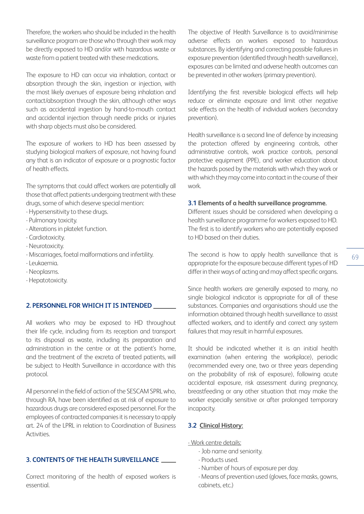Therefore, the workers who should be included in the health surveillance program are those who through their work may be directly exposed to HD and/or with hazardous waste or waste from a patient treated with these medications.

The exposure to HD can occur via inhalation, contact or absorption through the skin, ingestion or injection, with the most likely avenues of exposure being inhalation and contact/absorption through the skin, although other ways such as accidental ingestion by hand-to-mouth contact and accidental injection through needle pricks or injuries with sharp objects must also be considered.

The exposure of workers to HD has been assessed by studying biological markers of exposure, not having found any that is an indicator of exposure or a prognostic factor of health effects.

The symptoms that could affect workers are potentially all those that affect patients undergoing treatment with these drugs, some of which deserve special mention:

- Hypersensitivity to these drugs.

- Pulmonary toxicity.
- Alterations in platelet function.
- Cardiotoxicity.
- Neurotoxicity.
- Miscarriages, foetal malformations and infertility.
- Leukaemia.
- Neoplasms.
- Hepatotoxicity.

#### **2. PERSONNEL FOR WHICH IT IS INTENDED**

All workers who may be exposed to HD throughout their life cycle, including from its reception and transport to its disposal as waste, including its preparation and administration in the centre or at the patient's home, and the treatment of the excreta of treated patients, will be subject to Health Surveillance in accordance with this protocol.

All personnel in the field of action of the SESCAM SPRL who, through RA, have been identified as at risk of exposure to hazardous drugs are considered exposed personnel. For the employees of contracted companies it is necessary to apply art. 24 of the LPRL in relation to Coordination of Business Activities.

#### **3. CONTENTS OF THE HEALTH SURVEILLANCE**

Correct monitoring of the health of exposed workers is essential.

The objective of Health Surveillance is to avoid/minimise adverse effects on workers exposed to hazardous substances. By identifying and correcting possible failures in exposure prevention (identified through health surveillance), exposures can be limited and adverse health outcomes can be prevented in other workers (primary prevention).

Identifying the first reversible biological effects will help reduce or eliminate exposure and limit other negative side effects on the health of individual workers (secondary prevention).

Health surveillance is a second line of defence by increasing the protection offered by engineering controls, other administrative controls, work practice controls, personal protective equipment (PPE), and worker education about the hazards posed by the materials with which they work or with which they may come into contact in the course of their work.

#### **3.1 Elements of a health surveillance programme.**

Different issues should be considered when developing a health surveillance programme for workers exposed to HD. The first is to identify workers who are potentially exposed to HD based on their duties.

The second is how to apply health surveillance that is appropriate for the exposure because different types of HD differ in their ways of acting and may affect specific organs.

Since health workers are generally exposed to many, no single biological indicator is appropriate for all of these substances. Companies and organisations should use the information obtained through health surveillance to assist affected workers, and to identify and correct any system failures that may result in harmful exposures.

It should be indicated whether it is an initial health examination (when entering the workplace), periodic (recommended every one, two or three years depending on the probability of risk of exposure), following acute accidental exposure, risk assessment during pregnancy, breastfeeding or any other situation that may make the worker especially sensitive or after prolonged temporary incapacity.

#### **3.2 Clinical History:**

- Work centre details:
	- Job name and seniority.
	- Products used.
	- Number of hours of exposure per day.
	- Means of prevention used (gloves, face masks, gowns, cabinets, etc.)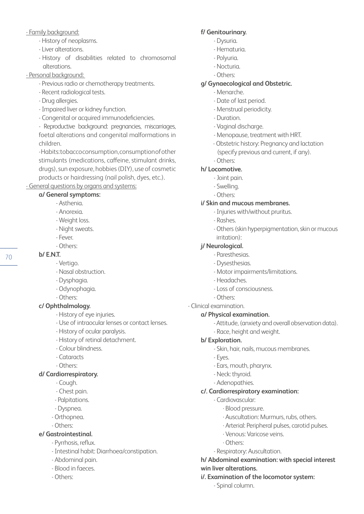# - Family background:

- History of neoplasms.
- Liver alterations.
- History of disabilities related to chromosomal alterations.

# - Personal background:

- Previous radio or chemotherapy treatments.
- Recent radiological tests.
- Drug allergies.
- Impaired liver or kidney function.
- Congenital or acquired immunodeficiencies.

- Reproductive background: pregnancies, miscarriages, foetal alterations and congenital malformations in children.

- Habits: tobacco consumption, consumption of other stimulants (medications, caffeine, stimulant drinks, drugs), sun exposure, hobbies (DIY), use of cosmetic products or hairdressing (nail polish, dyes, etc.).

- General questions by organs and systems:

# **a/ General symptoms:**

- Asthenia.
- Anorexia.
- Weight loss.
- Night sweats.
- Fever.
- Others:
- **b/ E.N.T.**
	- Vertigo.
	- Nasal obstruction.
	- Dysphagia.
	- Odynophagia.
	- Others:

# **c/ Ophthalmology.**

- History of eye injuries.
- Use of intraocular lenses or contact lenses.
- History of ocular paralysis.
- History of retinal detachment.
- Colour blindness.
- Cataracts
- Others:

# **d/ Cardiorrespiratory.**

- Cough.
- Chest pain.
- Palpitations.
- Dyspnea.
- Orthopnea.
- Others:

# **e/ Gastrointestinal.**

- Pyrrhosis, reflux.
- Intestinal habit: Diarrhoea/constipation.
- Abdominal pain.
- Blood in faeces.
- Others:

# **f/ Genitourinary.**

- Dysuria.
- Hematuria.
- Polyuria.
- Nocturia.
- Others:

# **g/ Gynaecological and Obstetric.**

- Menarche.
- Date of last period.
- Menstrual periodicity.
- Duration.
- Vaginal discharge.
- Menopause, treatment with HRT.
- Obstetric history: Pregnancy and lactation (specify previous and current, if any). - Others:

# **h/ Locomotive.**

- Joint pain.
- Swelling.
- Others:

# **i/ Skin and mucous membranes.**

- Injuries with/without pruritus.
- Rashes.
- Others (skin hyperpigmentation, skin or mucous irritation):

# **j/ Neurological.**

- Paresthesias.
- Dysesthesias.
- Motor impairments/limitations.
- Headaches.
- Loss of consciousness.
- Others:
- Clinical examination.

# **a/ Physical examination.**

- Attitude, (anxiety and overall observation data).
- Race, height and weight.

# **b/ Exploration.**

- Skin, hair, nails, mucous membranes.
- Eyes.
- Ears, mouth, pharynx.
- Neck: thyroid.
- Adenopathies.

# **c/. Cardiorrespiratory examination:**

- Cardiovascular:
	- · Blood pressure.
	- · Auscultation: Murmurs, rubs, others.
	- · Arterial: Peripheral pulses, carotid pulses.
	- · Venous: Varicose veins.
	- · Others:
- Respiratory: Auscultation.

# **h/ Abdominal examination: with special interest win liver alterations.**

# **i/. Examination of the locomotor system:**

- Spinal column.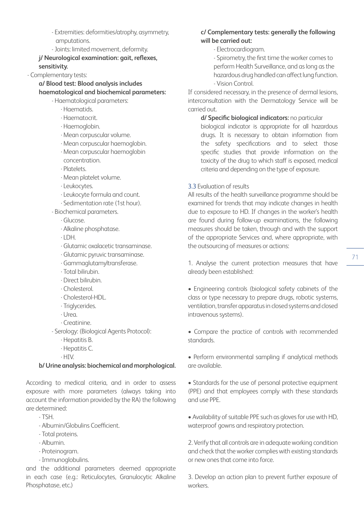- Extremities: deformities/atrophy, asymmetry, amputations.
- Joints: limited movement, deformity.

**j/ Neurological examination: gait, reflexes, sensitivity.**

- Complementary tests:

**a/ Blood test: Blood analysis includes haematological and biochemical parameters:**

- Haematological parameters:

- · Haematids.
- · Haematocrit.
- · Haemoglobin.
- · Mean corpuscular volume.
- · Mean corpuscular haemoglobin.
- · Mean corpuscular haemoglobin
- concentration.
- · Platelets.
- · Mean platelet volume.
- · Leukocytes.
- · Leukocyte formula and count.
- · Sedimentation rate (1st hour).
- Biochemical parameters.
	- · Glucose.
	- · Alkaline phosphatase.
	- · LDH.
	- · Glutamic oxalacetic transaminase.
	- · Glutamic pyruvic transaminase.
	- · Gammaglutamyltransferase.
	- · Total bilirubin.
	- · Direct bilirubin.
	- · Cholesterol.
	- · Cholesterol-HDL.
	- · Triglycerides.
	- · Urea.
	- · Creatinine.
- Serology: (Biological Agents Protocol):
	- · Hepatitis B.
	- · Hepatitis C.
	- · HIV.

## **b/ Urine analysis: biochemical and morphological.**

According to medical criteria, and in order to assess exposure with more parameters (always taking into account the information provided by the RA) the following are determined:

- TSH.
- Albumin/Globulins Coefficient.
- Total proteins.
- Albumin.
- Proteinogram.
- Immunoglobulins.

and the additional parameters deemed appropriate in each case (e.g.: Reticulocytes, Granulocytic Alkaline Phosphatase, etc.)

## **c/ Complementary tests: generally the following will be carried out:**

- Electrocardiogram.
- Spirometry, the first time the worker comes to perform Health Surveillance, and as long as the hazardous drug handled can affect lung function.
- Vision Control.

If considered necessary, in the presence of dermal lesions, interconsultation with the Dermatology Service will be carried out.

**d/ Specific biological indicators:** no particular

biological indicator is appropriate for all hazardous drugs. It is necessary to obtain information from the safety specifications and to select those specific studies that provide information on the toxicity of the drug to which staff is exposed, medical criteria and depending on the type of exposure.

## 3.3 Evaluation of results

All results of the health surveillance programme should be examined for trends that may indicate changes in health due to exposure to HD. If changes in the worker's health are found during follow-up examinations, the following measures should be taken, through and with the support of the appropriate Services and, where appropriate, with the outsourcing of measures or actions:

1. Analyse the current protection measures that have already been established:

• Engineering controls (biological safety cabinets of the class or type necessary to prepare drugs, robotic systems, ventilation, transfer apparatus in closed systems and closed intravenous systems).

• Compare the practice of controls with recommended standards.

• Perform environmental sampling if analytical methods are available.

• Standards for the use of personal protective equipment (PPE) and that employees comply with these standards and use PPE.

• Availability of suitable PPE such as gloves for use with HD, waterproof gowns and respiratory protection.

2. Verify that all controls are in adequate working condition and check that the worker complies with existing standards or new ones that come into force.

3. Develop an action plan to prevent further exposure of workers.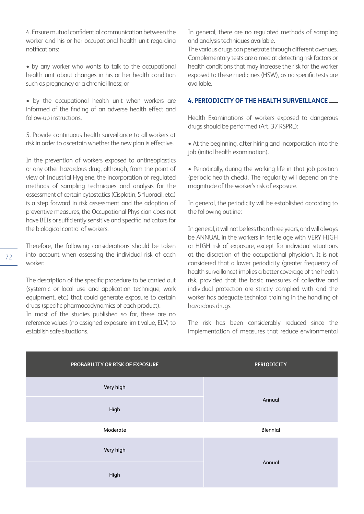4. Ensure mutual confidential communication between the worker and his or her occupational health unit regarding notifications:

• by any worker who wants to talk to the occupational health unit about changes in his or her health condition such as pregnancy or a chronic illness; or

• by the occupational health unit when workers are informed of the finding of an adverse health effect and follow-up instructions.

5. Provide continuous health surveillance to all workers at risk in order to ascertain whether the new plan is effective.

In the prevention of workers exposed to antineoplastics or any other hazardous drug, although, from the point of view of Industrial Hygiene, the incorporation of regulated methods of sampling techniques and analysis for the assessment of certain cytostatics (Cisplatin, 5 fluoracil, etc.) is a step forward in risk assessment and the adoption of preventive measures, the Occupational Physician does not have BEIs or sufficiently sensitive and specific indicators for the biological control of workers.

Therefore, the following considerations should be taken into account when assessing the individual risk of each worker:

The description of the specific procedure to be carried out (systemic or local use and application technique, work equipment, etc.) that could generate exposure to certain drugs (specific pharmacodynamics of each product).

In most of the studies published so far, there are no reference values (no assigned exposure limit value, ELV) to establish safe situations.

In general, there are no regulated methods of sampling and analysis techniques available.

The various drugs can penetrate through different avenues. Complementary tests are aimed at detecting risk factors or health conditions that may increase the risk for the worker exposed to these medicines (HSW), as no specific tests are available.

## **4. PERIODICITY OF THE HEALTH SURVEILLANCE**

Health Examinations of workers exposed to dangerous drugs should be performed (Art. 37 RSPRL):

• At the beginning, after hiring and incorporation into the job (initial health examination).

• Periodically, during the working life in that job position (periodic health check). The regularity will depend on the magnitude of the worker's risk of exposure.

In general, the periodicity will be established according to the following outline:

In general, it will not be less than three years, and will always be ANNUAL in the workers in fertile age with VERY HIGH or HIGH risk of exposure, except for individual situations at the discretion of the occupational physician. It is not considered that a lower periodicity (greater frequency of health surveillance) implies a better coverage of the health risk, provided that the basic measures of collective and individual protection are strictly complied with and the worker has adequate technical training in the handling of hazardous drugs.

The risk has been considerably reduced since the implementation of measures that reduce environmental

| PROBABILITY OR RISK OF EXPOSURE | <b>PERIODICITY</b> |
|---------------------------------|--------------------|
| Very high                       |                    |
| High                            | Annual             |
| Moderate                        | Biennial           |
| Very high                       |                    |
| High                            | Annual             |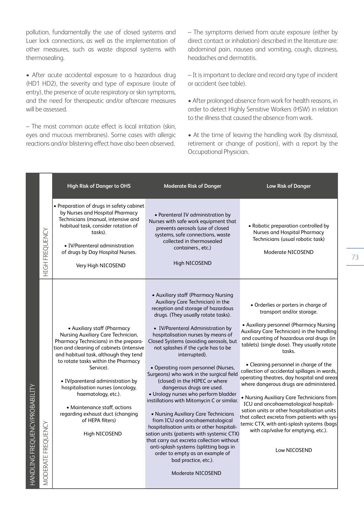pollution, fundamentally the use of closed systems and Luer lock connections, as well as the implementation of other measures, such as waste disposal systems with thermosealing.

• After acute accidental exposure to a hazardous drug (HD1 HD2), the severity and type of exposure (route of entry), the presence of acute respiratory or skin symptoms, and the need for therapeutic and/or aftercare measures will be assessed.

– The most common acute effect is local irritation (skin, eyes and mucous membranes). Some cases with allergic reactions and/or blistering effect have also been observed.

– The symptoms derived from acute exposure (either by direct contact or inhalation) described in the literature are: abdominal pain, nausea and vomiting, cough, dizziness, headaches and dermatitis.

– It is important to declare and record any type of incident or accident (see table).

• After prolonged absence from work for health reasons, in order to detect Highly Sensitive Workers (HSW) in relation to the illness that caused the absence from work.

• At the time of leaving the handling work (by dismissal, retirement or change of position), with a report by the Occupational Physician.

|                                                      | <b>High Risk of Danger to OHS</b>                                                                                                                                                                                                                                                                                                                                                                                                                             | <b>Moderate Risk of Danger</b>                                                                                                                                                                                                                                                                                                                                                                                                                                                                                                                                                                                                                                                                                                                                                                                                                                                                                         | <b>Low Risk of Danger</b>                                                                                                                                                                                                                                                                                                                                                                                                                                                                                                                                                                                                                                                                                                                 |
|------------------------------------------------------|---------------------------------------------------------------------------------------------------------------------------------------------------------------------------------------------------------------------------------------------------------------------------------------------------------------------------------------------------------------------------------------------------------------------------------------------------------------|------------------------------------------------------------------------------------------------------------------------------------------------------------------------------------------------------------------------------------------------------------------------------------------------------------------------------------------------------------------------------------------------------------------------------------------------------------------------------------------------------------------------------------------------------------------------------------------------------------------------------------------------------------------------------------------------------------------------------------------------------------------------------------------------------------------------------------------------------------------------------------------------------------------------|-------------------------------------------------------------------------------------------------------------------------------------------------------------------------------------------------------------------------------------------------------------------------------------------------------------------------------------------------------------------------------------------------------------------------------------------------------------------------------------------------------------------------------------------------------------------------------------------------------------------------------------------------------------------------------------------------------------------------------------------|
| <b>HIGH FREQUENCY</b>                                | • Preparation of drugs in safety cabinet<br>by Nurses and Hospital Pharmacy<br>Technicians (manual, intensive and<br>habitual task, consider rotation of<br>tasks).<br>• IV/Parenteral administration<br>of drugs by Day Hospital Nurses.<br>Very High NICOSEND                                                                                                                                                                                               | • Parenteral IV administration by<br>Nurses with safe work equipment that<br>prevents aerosols (use of closed<br>systems, safe connections, waste<br>collected in thermosealed<br>containers., etc.)<br>High NICOSEND                                                                                                                                                                                                                                                                                                                                                                                                                                                                                                                                                                                                                                                                                                  | • Robotic preparation controlled by<br>Nurses and Hospital Pharmacy<br>Technicians (usual robotic task)<br>Moderate NICOSEND                                                                                                                                                                                                                                                                                                                                                                                                                                                                                                                                                                                                              |
| HANDLING FREQUENCY/PROBABILITY<br>MODERATE FREQUENCY | • Auxiliary staff (Pharmacy<br>Nursing Auxiliary Care Technician,<br>Pharmacy Technicians) in the prepara-<br>tion and cleaning of cabinets (intensive<br>and habitual task, although they tend<br>to rotate tasks within the Pharmacy<br>Service).<br>· IV/parenteral administration by<br>hospitalisation nurses (oncology,<br>haematology, etc.).<br>• Maintenance staff, actions<br>regarding exhaust duct (changing<br>of HEPA filters)<br>High NICOSEND | • Auxiliary staff (Pharmacy Nursing<br>Auxiliary Care Technician) in the<br>reception and storage of hazardous<br>drugs. (They usually rotate tasks).<br>• IV/Parenteral Administration by<br>hospitalisation nurses by means of<br>Closed Systems (avoiding aerosols, but<br>not splashes if the cycle has to be<br>interrupted).<br>• Operating room personnel (Nurses,<br>Surgeons) who work in the surgical field<br>(closed) in the HIPEC or where<br>dangerous drugs are used.<br>• Urology nurses who perform bladder<br>instillations with Mitomycin C or similar.<br>• Nursing Auxiliary Care Technicians<br>from ICU and oncohaematological<br>hospitalisation units or other hospitali-<br>sation units (patients with systemic CTX)<br>that carry out excreta collection without<br>anti-splash systems (splitting bags in<br>order to empty as an example of<br>bad practice, etc.).<br>Moderate NICOSEND | • Orderlies or porters in charge of<br>transport and/or storage.<br>• Auxiliary personnel (Pharmacy Nursing<br>Auxiliary Care Technician) in the handling<br>and counting of hazardous oral drugs (in<br>tablets) (single dose). They usually rotate<br>tasks.<br>• Cleaning personnel in charge of the<br>collection of accidental spillages in wards,<br>operating theatres, day hospital and areas<br>where dangerous drugs are administered.<br>• Nursing Auxiliary Care Technicians from<br>ICU and oncohaematological hospitali-<br>sation units or other hospitalisation units<br>that collect excreta from patients with sys-<br>temic CTX, with anti-splash systems (bags<br>with cap/valve for emptying, etc.).<br>Low NICOSEND |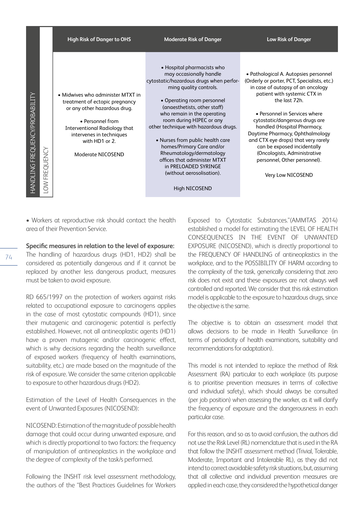| <b>High Risk of Danger to OHS</b>                                                                                                                                                                                                                                      | <b>Moderate Risk of Danger</b>                                                                                                                                                                                                                                                                                                                                                                                                                                                                  | <b>Low Risk of Danger</b>                                                                                                                                                                                                                                                                                                                                                                                                                                                  |
|------------------------------------------------------------------------------------------------------------------------------------------------------------------------------------------------------------------------------------------------------------------------|-------------------------------------------------------------------------------------------------------------------------------------------------------------------------------------------------------------------------------------------------------------------------------------------------------------------------------------------------------------------------------------------------------------------------------------------------------------------------------------------------|----------------------------------------------------------------------------------------------------------------------------------------------------------------------------------------------------------------------------------------------------------------------------------------------------------------------------------------------------------------------------------------------------------------------------------------------------------------------------|
| • Midwives who administer MTXT in<br>ENCYPROBABILITY<br>treatment of ectopic pregnancy<br>or any other hazardous drug.<br>• Personnel from<br><b>Interventional Radiology that</b><br>intervenes in techniques<br>with HD1 or 2.<br>LOW FREQUENCY<br>Moderate NICOSEND | • Hospital pharmacists who<br>may occasionally handle<br>cytostatic/hazardous drugs when perfor-<br>ming quality controls.<br>• Operating room personnel<br>(anaesthetists, other staff)<br>who remain in the operating<br>room during HIPEC or any<br>other technique with hazardous drugs.<br>• Nurses from public health care<br>homes/Primary Care and/or<br>Rheumatology/dermatology<br>offices that administer MTXT<br>in PRELOADED SYRINGE<br>(without aerosolisation).<br>High NICOSEND | • Pathological A. Autopsies personnel<br>(Orderly or porter, PCT, Specialists, etc.)<br>in case of autopsy of an oncology<br>patient with systemic CTX in<br>the last 72h.<br>• Personnel in Services where<br>cytostatic/dangerous drugs are<br>handled (Hospital Pharmacy,<br>Daytime Pharmacy, Ophthalmology<br>and CTX eye drops) that very rarely<br>can be exposed incidentally<br>(Oncologists, Administrative<br>personnel, Other personnel).<br>Very Low NICOSEND |

• Workers at reproductive risk should contact the health area of their Prevention Service.

**Specific measures in relation to the level of exposure:**

The handling of hazardous drugs (HD1, HD2) shall be considered as potentially dangerous and if it cannot be replaced by another less dangerous product, measures must be taken to avoid exposure.

RD 665/1997 on the protection of workers against risks related to occupational exposure to carcinogens applies in the case of most cytostatic compounds (HD1), since their mutagenic and carcinogenic potential is perfectly established. However, not all antineoplastic agents (HD1) have a proven mutagenic and/or carcinogenic effect, which is why decisions regarding the health surveillance of exposed workers (frequency of health examinations, suitability, etc.) are made based on the magnitude of the risk of exposure. We consider the same criterion applicable to exposure to other hazardous drugs (HD2).

Estimation of the Level of Health Consequences in the event of Unwanted Exposures (NICOSEND):

NICOSEND: Estimation of the magnitude of possible health damage that could occur during unwanted exposure, and which is directly proportional to two factors: the frequency of manipulation of antineoplastics in the workplace and the degree of complexity of the task/s performed.

Following the INSHT risk level assessment methodology, the authors of the "Best Practices Guidelines for Workers

Exposed to Cytostatic Substances."(AMMTAS 2014) established a model for estimating the LEVEL OF HEALTH CONSEQUENCES IN THE EVENT OF UNWANTED EXPOSURE (NICOSEND), which is directly proportional to the FREQUENCY OF HANDLING of antineoplastics in the workplace, and to the POSSIBILITY OF HARM according to the complexity of the task, generically considering that zero risk does not exist and these exposures are not always well controlled and reported. We consider that this risk estimation model is applicable to the exposure to hazardous drugs, since the objective is the same.

The objective is to obtain an assessment model that allows decisions to be made in Health Surveillance (in terms of periodicity of health examinations, suitability and recommendations for adaptation).

This model is not intended to replace the method of Risk Assessment (RA) particular to each workplace (its purpose is to prioritise prevention measures in terms of collective and individual safety), which should always be consulted (per job position) when assessing the worker, as it will clarify the frequency of exposure and the dangerousness in each particular case.

For this reason, and so as to avoid confusion, the authors did not use the Risk Level (RL) nomenclature that is used in the RA that follow the INSHT assessment method (Trivial, Tolerable, Moderate, Important and Intolerable RL), as they did not intend to correct avoidable safety risk situations, but, assuming that all collective and individual prevention measures are applied in each case, they considered the hypothetical danger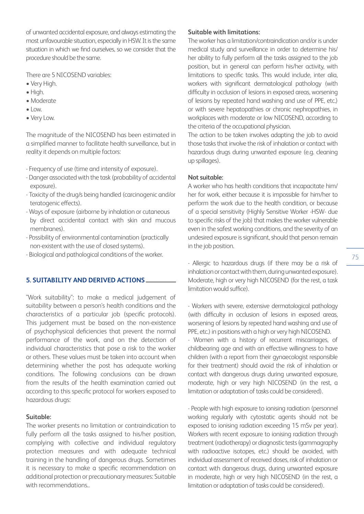of unwanted accidental exposure, and always estimating the most unfavourable situation, especially in HSW. It is the same situation in which we find ourselves, so we consider that the procedure should be the same.

There are 5 NICOSEND variables:

- Very High.
- High.
- Moderate
- Low.
- Very Low.

The magnitude of the NICOSEND has been estimated in a simplified manner to facilitate health surveillance, but in reality it depends on multiple factors:

- Frequency of use (time and intensity of exposure).

- Danger associated with the task (probability of accidental exposure).
- Toxicity of the drug/s being handled (carcinogenic and/or teratogenic effects).
- Ways of exposure (airborne by inhalation or cutaneous by direct accidental contact with skin and mucous membranes).
- Possibility of environmental contamination (practically non-existent with the use of closed systems).
- Biological and pathological conditions of the worker.

#### **5. SUITABILITY AND DERIVED ACTIONS**

"Work suitability": to make a medical judgement of suitability between a person's health conditions and the characteristics of a particular job (specific protocols). This judgement must be based on the non-existence of psychophysical deficiencies that prevent the normal performance of the work, and on the detection of individual characteristics that pose a risk to the worker or others. These values must be taken into account when determining whether the post has adequate working conditions. The following conclusions can be drawn from the results of the health examination carried out according to this specific protocol for workers exposed to hazardous drugs:

#### **Suitable:**

The worker presents no limitation or contraindication to fully perform all the tasks assigned to his/her position, complying with collective and individual regulatory protection measures and with adequate technical training in the handling of dangerous drugs. Sometimes it is necessary to make a specific recommendation on additional protection or precautionary measures: Suitable with recommendations.

#### **Suitable with limitations:**

The worker has a limitation/contraindication and/or is under medical study and surveillance in order to determine his/ her ability to fully perform all the tasks assigned to the job position, but in general can perform his/her activity, with limitations to specific tasks. This would include, inter alia, workers with significant dermatological pathology (with difficulty in occlusion of lesions in exposed areas, worsening of lesions by repeated hand washing and use of PPE, etc.) or with severe hepatopathies or chronic nephropathies, in workplaces with moderate or low NICOSEND, according to the criteria of the occupational physician.

The action to be taken involves adapting the job to avoid those tasks that involve the risk of inhalation or contact with hazardous drugs during unwanted exposure (e.g. cleaning up spillages).

#### **Not suitable:**

A worker who has health conditions that incapacitate him/ her for work, either because it is impossible for him/her to perform the work due to the health condition, or because of a special sensitivity (Highly Sensitive Worker -HSW- due to specific risks of the job) that makes the worker vulnerable even in the safest working conditions, and the severity of an undesired exposure is significant, should that person remain in the job position.

- Allergic to hazardous drugs (if there may be a risk of inhalation or contact with them, during unwanted exposure). Moderate, high or very high NICOSEND (for the rest, a task limitation would suffice).

- Workers with severe, extensive dermatological pathology (with difficulty in occlusion of lesions in exposed areas, worsening of lesions by repeated hand washing and use of PPE, etc.) in positions with a high or very high NICOSEND.

- Women with a history of recurrent miscarriages, of childbearing age and with an effective willingness to have children (with a report from their gynaecologist responsible for their treatment) should avoid the risk of inhalation or contact with dangerous drugs during unwanted exposure, moderate, high or very high NICOSEND (in the rest, a limitation or adaptation of tasks could be considered).

- People with high exposure to ionising radiation (personnel working regularly with cytostatic agents should not be exposed to ionising radiation exceeding 15 mSv per year). Workers with recent exposure to ionising radiation through treatment (radiotherapy) or diagnostic tests (gammagraphy with radioactive isotopes, etc.) should be avoided, with individual assessment of received doses, risk of inhalation or contact with dangerous drugs, during unwanted exposure in moderate, high or very high NICOSEND (in the rest, a limitation or adaptation of tasks could be considered).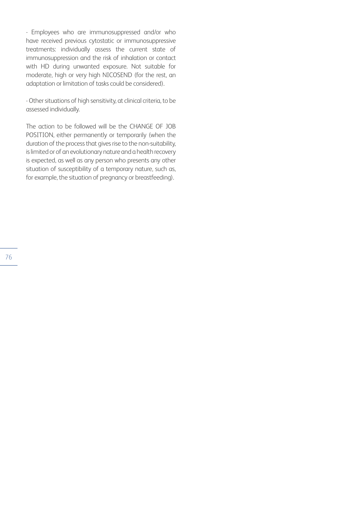- Employees who are immunosuppressed and/or who have received previous cytostatic or immunosuppressive treatments: individually assess the current state of immunosuppression and the risk of inhalation or contact with HD during unwanted exposure. Not suitable for moderate, high or very high NICOSEND (for the rest, an adaptation or limitation of tasks could be considered).

- Other situations of high sensitivity, at clinical criteria, to be assessed individually.

The action to be followed will be the CHANGE OF JOB POSITION, either permanently or temporarily (when the duration of the process that gives rise to the non-suitability, is limited or of an evolutionary nature and a health recovery is expected, as well as any person who presents any other situation of susceptibility of a temporary nature, such as, for example, the situation of pregnancy or breastfeeding).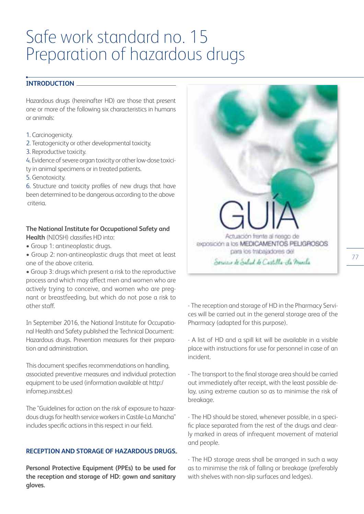# Safe work standard no. 15 Preparation of hazardous drugs

#### **INTRODUCTION**

Hazardous drugs (hereinafter HD) are those that present one or more of the following six characteristics in humans or animals:

- 1. Carcinogenicity.
- 2. Teratogenicity or other developmental toxicity.
- 3. Reproductive toxicity.
- 4. Evidence of severe organ toxicity or other low-dose toxici-
- ty in animal specimens or in treated patients.
- 5. Genotoxicity.

6. Structure and toxicity profiles of new drugs that have been determined to be dangerous according to the above criteria.

#### **The National Institute for Occupational Safety and Health** (NIOSH) classifies HD into:

- Group 1: antineoplastic drugs.
- Group 2: non-antineoplastic drugs that meet at least one of the above criteria.

• Group 3: drugs which present a risk to the reproductive process and which may affect men and women who are actively trying to conceive, and women who are pregnant or breastfeeding, but which do not pose a risk to other staff.

In September 2016, the National Institute for Occupational Health and Safety published the Technical Document: Hazardous drugs. Prevention measures for their preparation and administration.

This document specifies recommendations on handling, associated preventive measures and individual protection equipment to be used (information available at http:/ infomep.inssbt.es)

The "Guidelines for action on the risk of exposure to hazardous drugs for health service workers in Castile-La Mancha" includes specific actions in this respect in our field.

# **RECEPTION AND STORAGE OF HAZARDOUS DRUGS**

**Personal Protective Equipment (PPEs) to be used for the reception and storage of HD: gown and sanitary gloves.** 



- The reception and storage of HD in the Pharmacy Services will be carried out in the general storage area of the Pharmacy (adapted for this purpose).

- A list of HD and a spill kit will be available in a visible place with instructions for use for personnel in case of an incident.

- The transport to the final storage area should be carried out immediately after receipt, with the least possible delay, using extreme caution so as to minimise the risk of breakage.

- The HD should be stored, whenever possible, in a specific place separated from the rest of the drugs and clearly marked in areas of infrequent movement of material and people.

- The HD storage areas shall be arranged in such a way as to minimise the risk of falling or breakage (preferably with shelves with non-slip surfaces and ledges).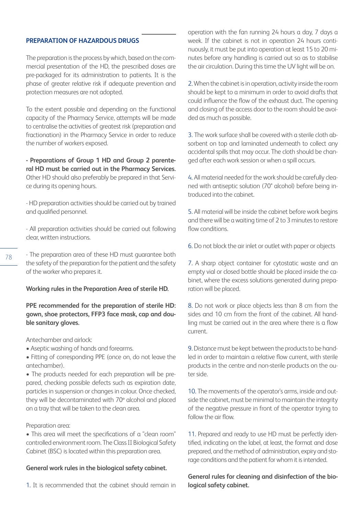### **PREPARATION OF HAZARDOUS DRUGS**

The preparation is the process by which, based on the commercial presentation of the HD, the prescribed doses are pre-packaged for its administration to patients. It is the phase of greater relative risk if adequate prevention and protection measures are not adopted.

To the extent possible and depending on the functional capacity of the Pharmacy Service, attempts will be made to centralise the activities of greatest risk (preparation and fractionation) in the Pharmacy Service in order to reduce the number of workers exposed.

**- Preparations of Group 1 HD and Group 2 parenteral HD must be carried out in the Pharmacy Services.**  Other HD should also preferably be prepared in that Service during its opening hours.

- HD preparation activities should be carried out by trained and qualified personnel.

- All preparation activities should be carried out following clear, written instructions.

- The preparation area of these HD must guarantee both the safety of the preparation for the patient and the safety of the worker who prepares it.

#### **Working rules in the Preparation Area of sterile HD.**

**PPE recommended for the preparation of sterile HD: gown, shoe protectors, FFP3 face mask, cap and double sanitary gloves.** 

Antechamber and airlock:

- Aseptic washing of hands and forearms.
- Fitting of corresponding PPE (once on, do not leave the antechamber).

• The products needed for each preparation will be prepared, checking possible defects such as expiration date, particles in suspension or changes in colour. Once checked, they will be decontaminated with 70º alcohol and placed on a tray that will be taken to the clean area.

#### Preparation area:

• This area will meet the specifications of a "clean room" controlled environment room. The Class II Biological Safety Cabinet (BSC) is located within this preparation area.

#### **General work rules in the biological safety cabinet.**

1. It is recommended that the cabinet should remain in

operation with the fan running 24 hours a day, 7 days a week. If the cabinet is not in operation 24 hours continuously, it must be put into operation at least 15 to 20 minutes before any handling is carried out so as to stabilise the air circulation. During this time the UV light will be on.

2. When the cabinet is in operation, activity inside the room should be kept to a minimum in order to avoid drafts that could influence the flow of the exhaust duct. The opening and closing of the access door to the room should be avoided as much as possible.

3. The work surface shall be covered with a sterile cloth absorbent on top and laminated underneath to collect any accidental spills that may occur. The cloth should be changed after each work session or when a spill occurs.

4. All material needed for the work should be carefully cleaned with antiseptic solution (70° alcohol) before being introduced into the cabinet.

5. All material will be inside the cabinet before work begins and there will be a waiting time of 2 to 3 minutes to restore flow conditions.

6. Do not block the air inlet or outlet with paper or objects

7. A sharp object container for cytostatic waste and an empty vial or closed bottle should be placed inside the cabinet, where the excess solutions generated during preparation will be placed.

8. Do not work or place objects less than 8 cm from the sides and 10 cm from the front of the cabinet. All handling must be carried out in the area where there is a flow current.

9. Distance must be kept between the products to be handled in order to maintain a relative flow current, with sterile products in the centre and non-sterile products on the outer side.

10. The movements of the operator's arms, inside and outside the cabinet, must be minimal to maintain the integrity of the negative pressure in front of the operator trying to follow the air flow.

11. Prepared and ready to use HD must be perfectly identified, indicating on the label, at least, the format and dose prepared, and the method of administration, expiry and storage conditions and the patient for whom it is intended.

**General rules for cleaning and disinfection of the biological safety cabinet.**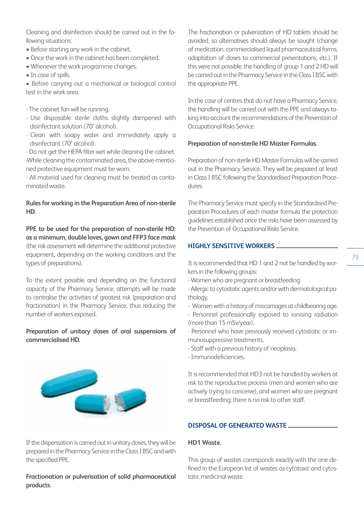Cleaning and disinfection should be carried out in the following situations:

- Before starting any work in the cabinet.
- Once the work in the cabinet has been completed.
- Whenever the work programme changes.
- In case of spills.

• Before carrying out a mechanical or biological control test in the work area.

- The cabinet fan will be running.
- Use disposable sterile cloths slightly dampened with disinfectant solution (70° alcohol).
- Clean with soapy water and immediately apply a disinfectant (70° alcohol).

- Do not get the HEPA filter wet while cleaning the cabinet. -While cleaning the contaminated area, the above-mentioned protective equipment must be worn.

- All material used for cleaning must be treated as contaminated waste.

# **Rules for working in the Preparation Area of non-sterile HD.**

**PPE to be used for the preparation of non-sterile HD: as a minimum, double loves, gown and FFP3 face mask** (the risk assessment will determine the additional protective equipment, depending on the working conditions and the types of preparations).

To the extent possible and depending on the functional capacity of the Pharmacy Service, attempts will be made to centralise the activities of greatest risk (preparation and fractionation) in the Pharmacy Service, thus reducing the number of workers exposed.

# **Preparation of unitary doses of oral suspensions of commercialised HD.**



If the dispensation is carried out in unitary doses, they will be prepared in the Pharmacy Service in the Class I BSC and with the specified PPE.

## **Fractionation or pulverisation of solid pharmaceutical products.**

The fractionation or pulverization of HD tablets should be avoided, so alternatives should always be sought (change of medication, commercialised liquid pharmaceutical forms, adaptation of doses to commercial presentations, etc.). If this were not possible, the handling of group 1 and 2 HD will be carried out in the Pharmacy Service in the Class I BSC with the appropriate PPE.

In the case of centres that do not have a Pharmacy Service, the handling will be carried out with the PPE and always taking into account the recommendations of the Prevention of Occupational Risks Service.

#### **Preparation of non-sterile HD Master Formulas.**

Preparation of non-sterile HD Master Formulas will be carried out in the Pharmacy Service. They will be prepared at least in Class I BSC following the Standardised Preparation Procedures.

The Pharmacy Service must specify in the Standardised Preparation Procedures of each master formula the protection guidelines established once the risks have been assessed by the Prevention of Occupational Risks Service.

# **HIGHLY SENSITIVE WORKERS**

It is recommended that HD 1 and 2 not be handled by workers in the following groups:

- 79
- Women who are pregnant or breastfeeding.
- Allergic to cytostatic agents and/or with dermatological pathology.
- Women with a history of miscarriages at childbearing age.
- Personnel professionally exposed to ionising radiation (more than 15 mSv/year).
- Personnel who have previously received cytostatic or immunosuppressive treatments.
- Staff with a previous history of neoplasia.
- Immunodeficiencies.

It is recommended that HD3 not be handled by workers at risk to the reproductive process (men and women who are actively trying to conceive), and women who are pregnant or breastfeeding; there is no risk to other staff.

# **DISPOSAL OF GENERATED WASTE**

# **HD1 Waste.**

This group of wastes corresponds exactly with the one defined in the European list of wastes as cytotoxic and cytostatic medicinal waste.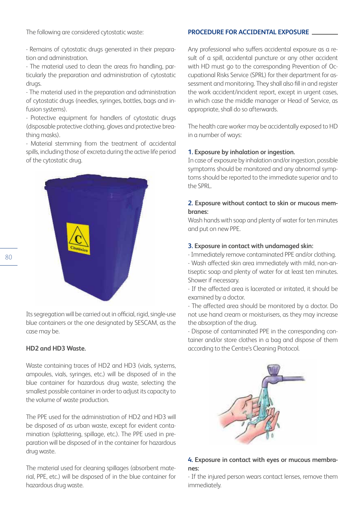The following are considered cytostatic waste:

- Remains of cytostatic drugs generated in their preparation and administration.

- The material used to clean the areas fro handling, particularly the preparation and administration of cytostatic drugs.

- The material used in the preparation and administration of cytostatic drugs (needles, syringes, bottles, bags and infusion systems).

- Protective equipment for handlers of cytostatic drugs (disposable protective clothing, gloves and protective breathing masks).

- Material stemming from the treatment of accidental spills, including those of excreta during the active life period of the cytostatic drug.



Its segregation will be carried out in official, rigid, single-use blue containers or the one designated by SESCAM, as the case may be.

## **HD2 and HD3 Waste.**

Waste containing traces of HD2 and HD3 (vials, systems, ampoules, vials, syringes, etc.) will be disposed of in the blue container for hazardous drug waste, selecting the smallest possible container in order to adjust its capacity to the volume of waste production.

The PPE used for the administration of HD2 and HD3 will be disposed of as urban waste, except for evident contamination (splattering, spillage, etc.). The PPE used in preparation will be disposed of in the container for hazardous drug waste.

The material used for cleaning spillages (absorbent material, PPE, etc.) will be disposed of in the blue container for hazardous drug waste.

#### **PROCEDURE FOR ACCIDENTAL EXPOSURE**

Any professional who suffers accidental exposure as a result of a spill, accidental puncture or any other accident with HD must go to the corresponding Prevention of Occupational Risks Service (SPRL) for their department for assessment and monitoring. They shall also fill in and register the work accident/incident report, except in urgent cases, in which case the middle manager or Head of Service, as appropriate, shall do so afterwards.

The health care worker may be accidentally exposed to HD in a number of ways:

#### **1. Exposure by inhalation or ingestion.**

In case of exposure by inhalation and/or ingestion, possible symptoms should be monitored and any abnormal symptoms should be reported to the immediate superior and to the SPRL.

#### **2. Exposure without contact to skin or mucous membranes:**

Wash hands with soap and plenty of water for ten minutes and put on new PPE.

#### **3. Exposure in contact with undamaged skin:**

- Immediately remove contaminated PPE and/or clothing. - Wash affected skin area immediately with mild, non-antiseptic soap and plenty of water for at least ten minutes. Shower if necessary.

- If the affected area is lacerated or irritated, it should be examined by a doctor.

- The affected area should be monitored by a doctor. Do not use hand cream or moisturisers, as they may increase the absorption of the drug.

- Dispose of contaminated PPE in the corresponding container and/or store clothes in a bag and dispose of them according to the Centre's Cleaning Protocol.



## **4. Exposure in contact with eyes or mucous membranes:**

- If the injured person wears contact lenses, remove them immediately.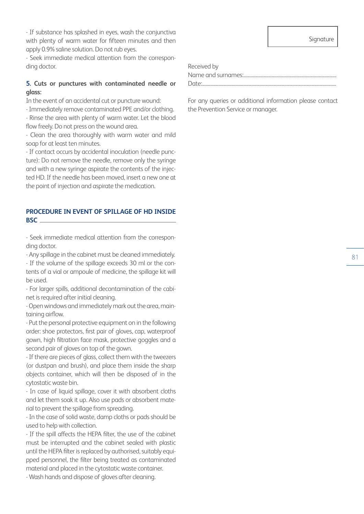- If substance has splashed in eyes, wash the conjunctiva with plenty of warm water for fifteen minutes and then apply 0.9% saline solution. Do not rub eyes.

- Seek immediate medical attention from the corresponding doctor.

#### **5. Cuts or punctures with contaminated needle or glass:**

In the event of an accidental cut or puncture wound:

- Immediately remove contaminated PPE and/or clothing.

- Rinse the area with plenty of warm water. Let the blood flow freely. Do not press on the wound area.

- Clean the area thoroughly with warm water and mild soap for at least ten minutes.

- If contact occurs by accidental inoculation (needle puncture): Do not remove the needle, remove only the syringe and with a new syringe aspirate the contents of the injected HD. If the needle has been moved, insert a new one at the point of injection and aspirate the medication.

## **PROCEDURE IN EVENT OF SPILLAGE OF HD INSIDE BSC**

- Seek immediate medical attention from the corresponding doctor.

- Any spillage in the cabinet must be cleaned immediately. - If the volume of the spillage exceeds 30 ml or the contents of a vial or ampoule of medicine, the spillage kit will be used.

- For larger spills, additional decontamination of the cabinet is required after initial cleaning.

- Open windows and immediately mark out the area, maintaining airflow.

- Put the personal protective equipment on in the following order: shoe protectors, first pair of gloves, cap, waterproof gown, high filtration face mask, protective goggles and a second pair of gloves on top of the gown.

- If there are pieces of glass, collect them with the tweezers (or dustpan and brush), and place them inside the sharp objects container, which will then be disposed of in the cytostatic waste bin.

- In case of liquid spillage, cover it with absorbent cloths and let them soak it up. Also use pads or absorbent material to prevent the spillage from spreading.

- In the case of solid waste, damp cloths or pads should be used to help with collection.

- If the spill affects the HEPA filter, the use of the cabinet must be interrupted and the cabinet sealed with plastic until the HEPA filter is replaced by authorised, suitably equipped personnel, the filter being treated as contaminated material and placed in the cytostatic waste container.

- Wash hands and dispose of gloves after cleaning.

Signature

Received by Name and surnames:............................................................................... Date:...........

For any queries or additional information please contact the Prevention Service or manager.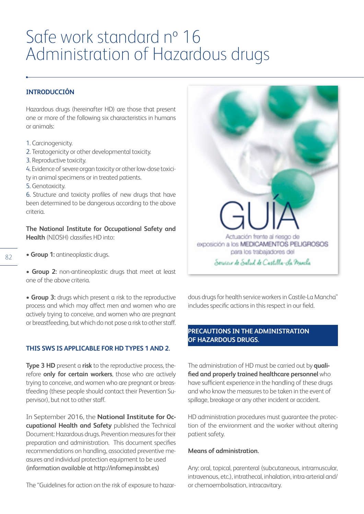# Safe work standard nº 16 Administration of Hazardous drugs

# **INTRODUCCIÓN**

Hazardous drugs (hereinafter HD) are those that present one or more of the following six characteristics in humans or animals:

- 1. Carcinogenicity.
- 2. Teratogenicity or other developmental toxicity.
- 3. Reproductive toxicity.
- 4. Evidence of severe organ toxicity or other low-dose toxici-
- ty in animal specimens or in treated patients.
- 5. Genotoxicity.

6. Structure and toxicity profiles of new drugs that have been determined to be dangerous according to the above criteria.

**The National Institute for Occupational Safety and Health** (NIOSH) classifies HD into:

**• Group 1:** antineoplastic drugs.

**• Group 2:** non-antineoplastic drugs that meet at least one of the above criteria.

**• Group 3:** drugs which present a risk to the reproductive process and which may affect men and women who are actively trying to conceive, and women who are pregnant or breastfeeding, but which do not pose a risk to other staff.

#### **THIS SWS IS APPLICABLE FOR HD TYPES 1 AND 2.**

**Type 3 HD** present a **risk** to the reproductive process, therefore **only for certain workers**, those who are actively trying to conceive, and women who are pregnant or breastfeeding (these people should contact their Prevention Supervisor), but not to other staff.

In September 2016, the **National Institute for Occupational Health and Safety** published the Technical Document: Hazardous drugs. Prevention measures for their preparation and administration. This document specifies recommendations on handling, associated preventive measures and individual protection equipment to be used (information available at http://infomep.inssbt.es)

The "Guidelines for action on the risk of exposure to hazar-



dous drugs for health service workers in Castile-La Mancha" includes specific actions in this respect in our field.

# **PRECAUTIONS IN THE ADMINISTRATION OF HAZARDOUS DRUGS.**

The administration of HD must be carried out by **qualified and properly trained healthcare personnel** who have sufficient experience in the handling of these drugs and who know the measures to be taken in the event of spillage, breakage or any other incident or accident.

HD administration procedures must guarantee the protection of the environment and the worker without altering patient safety.

#### **Means of administration.**

Any: oral, topical, parenteral (subcutaneous, intramuscular, intravenous, etc.), intrathecal, inhalation, intra-arterial and/ or chemoembolisation, intracavitary.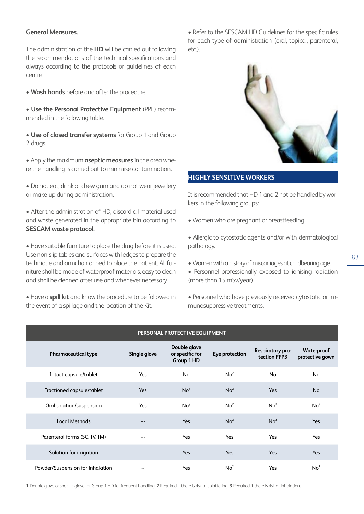#### **General Measures.**

The administration of the **HD** will be carried out following the recommendations of the technical specifications and always according to the protocols or guidelines of each centre:

• **Wash hands** before and after the procedure

• **Use the Personal Protective Equipment** (PPE) recommended in the following table.

• **Use of closed transfer systems** for Group 1 and Group 2 drugs.

• Apply the maximum **aseptic measures** in the area where the handling is carried out to minimise contamination.

• Do not eat, drink or chew gum and do not wear jewellery or make-up during administration.

• After the administration of HD, discard all material used and waste generated in the appropriate bin according to **SESCAM waste protocol.** 

• Have suitable furniture to place the drug before it is used. Use non-slip tables and surfaces with ledges to prepare the technique and armchair or bed to place the patient. All furniture shall be made of waterproof materials, easy to clean and shall be cleaned after use and whenever necessary.

• Have a **spill kit** and know the procedure to be followed in the event of a spillage and the location of the Kit.

• Refer to the SESCAM HD Guidelines for the specific rules for each type of administration (oral, topical, parenteral, etc.).



## **HIGHLY SENSITIVE WORKERS**

It is recommended that HD 1 and 2 not be handled by workers in the following groups:

• Women who are pregnant or breastfeeding.

• Allergic to cytostatic agents and/or with dermatological pathology.

• Women with a history of miscarriages at childbearing age.

• Personnel professionally exposed to ionising radiation (more than 15 mSv/year).

• Personnel who have previously received cytostatic or immunosuppressive treatments.

| PERSONAL PROTECTIVE EQUIPMENT    |              |                                               |                 |                                  |                               |  |  |
|----------------------------------|--------------|-----------------------------------------------|-----------------|----------------------------------|-------------------------------|--|--|
| <b>Pharmaceutical type</b>       | Single glove | Double glove<br>or specific for<br>Group 1 HD | Eye protection  | Respiratory pro-<br>tection FFP3 | Waterproof<br>protective gown |  |  |
| Intact capsule/tablet            | Yes          | <b>No</b>                                     | No <sup>2</sup> | <b>No</b>                        | <b>No</b>                     |  |  |
| Fractioned capsule/tablet        | Yes          | No <sup>1</sup>                               | No <sup>2</sup> | Yes                              | <b>No</b>                     |  |  |
| Oral solution/suspension         | Yes          | No <sup>1</sup>                               | No <sup>2</sup> | No <sup>3</sup>                  | No <sup>2</sup>               |  |  |
| Local Methods                    | ---          | Yes                                           | No <sup>2</sup> | No <sup>3</sup>                  | Yes                           |  |  |
| Parenteral forms (SC, IV, IM)    | ---          | Yes                                           | Yes             | Yes                              | Yes                           |  |  |
| Solution for irrigation          | ---          | Yes                                           | Yes             | Yes                              | Yes                           |  |  |
| Powder/Suspension for inhalation | --           | Yes                                           | No <sup>2</sup> | Yes                              | No <sup>2</sup>               |  |  |

**1** Double glove or specific glove for Group 1 HD for frequent handling. **2** Required if there is risk of splattering. **3** Required if there is risk of inhalation.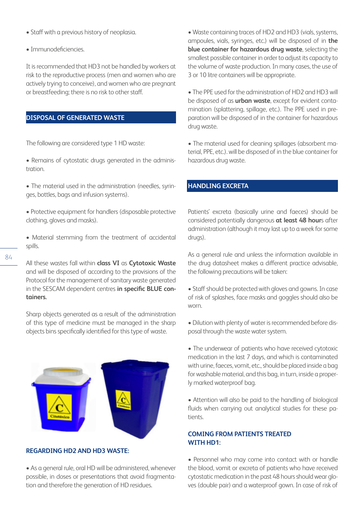- Staff with a previous history of neoplasia.
- Immunodeficiencies.

It is recommended that HD3 not be handled by workers at risk to the reproductive process (men and women who are actively trying to conceive), and women who are pregnant or breastfeeding; there is no risk to other staff.

# **DISPOSAL OF GENERATED WASTE**

The following are considered type 1 HD waste:

- Remains of cytostatic drugs generated in the administration.
- The material used in the administration (needles, syringes, bottles, bags and infusion systems).
- Protective equipment for handlers (disposable protective clothing, gloves and masks).
- Material stemming from the treatment of accidental spills.

All these wastes fall within **class VI** as **Cytotoxic Waste** and will be disposed of according to the provisions of the Protocol for the management of sanitary waste generated in the SESCAM dependent centres **in specific BLUE containers.**

Sharp objects generated as a result of the administration of this type of medicine must be managed in the sharp objects bins specifically identified for this type of waste.



#### **REGARDING HD2 AND HD3 WASTE:**

• As a general rule, oral HD will be administered, whenever possible, in doses or presentations that avoid fragmentation and therefore the generation of HD residues.

• Waste containing traces of HD2 and HD3 (vials, systems, ampoules, vials, syringes, etc.) will be disposed of in **the blue container for hazardous drug waste**, selecting the smallest possible container in order to adjust its capacity to the volume of waste production. In many cases, the use of 3 or 10 litre containers will be appropriate.

• The PPE used for the administration of HD2 and HD3 will be disposed of as **urban waste**, except for evident contamination (splattering, spillage, etc.). The PPE used in preparation will be disposed of in the container for hazardous drug waste.

• The material used for cleaning spillages (absorbent material, PPE, etc.). will be disposed of in the blue container for hazardous drug waste.

# **HANDLING EXCRETA**

Patients' excreta (basically urine and faeces) should be considered potentially dangerous **at least 48 hour**s after administration (although it may last up to a week for some drugs).

As a general rule and unless the information available in the drug datasheet makes a different practice advisable, the following precautions will be taken:

• Staff should be protected with gloves and gowns. In case of risk of splashes, face masks and goggles should also be worn.

• Dilution with plenty of water is recommended before disposal through the waste water system.

• The underwear of patients who have received cytotoxic medication in the last 7 days, and which is contaminated with urine, faeces, vomit, etc., should be placed inside a bag for washable material, and this bag, in turn, inside a properly marked waterproof bag.

• Attention will also be paid to the handling of biological fluids when carrying out analytical studies for these patients.

### **COMING FROM PATIENTS TREATED WITH HD1:**

• Personnel who may come into contact with or handle the blood, vomit or excreta of patients who have received cytostatic medication in the past 48 hours should wear gloves (double pair) and a waterproof gown. In case of risk of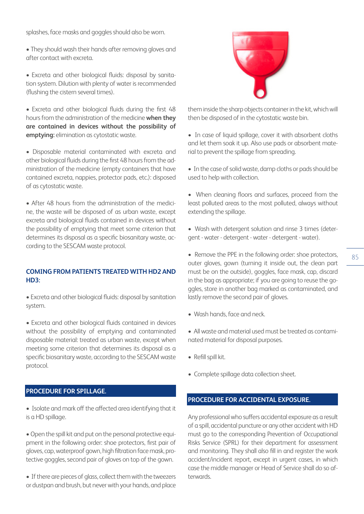splashes, face masks and goggles should also be worn.

- They should wash their hands after removing gloves and after contact with excreta.
- Excreta and other biological fluids: disposal by sanitation system. Dilution with plenty of water is recommended (flushing the cistern several times).
- Excreta and other biological fluids during the first 48 hours from the administration of the medicine **when they are contained in devices without the possibility of emptying:** elimination as cytostatic waste.
- Disposable material contaminated with excreta and other biological fluids during the first 48 hours from the administration of the medicine (empty containers that have contained excreta, nappies, protector pads, etc.): disposed of as cytostatic waste.
- After 48 hours from the administration of the medicine, the waste will be disposed of as urban waste, except excreta and biological fluids contained in devices without the possibility of emptying that meet some criterion that determines its disposal as a specific biosanitary waste, according to the SESCAM waste protocol.

#### **COMING FROM PATIENTS TREATED WITH HD2 AND HD3:**

• Excreta and other biological fluids: disposal by sanitation system.

• Excreta and other biological fluids contained in devices without the possibility of emptying and contaminated disposable material: treated as urban waste, except when meeting some criterion that determines its disposal as a specific biosanitary waste, according to the SESCAM waste protocol.

## **PROCEDURE FOR SPILLAGE.**

• Isolate and mark off the affected area identifying that it is a HD spillage.

• Open the spill kit and put on the personal protective equipment in the following order: shoe protectors, first pair of gloves, cap, waterproof gown, high filtration face mask, protective goggles, second pair of gloves on top of the gown.

• If there are pieces of glass, collect them with the tweezers or dustpan and brush, but never with your hands, and place



them inside the sharp objects container in the kit, which will then be disposed of in the cytostatic waste bin.

- In case of liquid spillage, cover it with absorbent cloths and let them soak it up. Also use pads or absorbent material to prevent the spillage from spreading.
- In the case of solid waste, damp cloths or pads should be used to help with collection.
- When cleaning floors and surfaces, proceed from the least polluted areas to the most polluted, always without extending the spillage.
- Wash with detergent solution and rinse 3 times (detergent - water - detergent - water - detergent - water).
- Remove the PPE in the following order: shoe protectors, outer gloves, gown (turning it inside out, the clean part must be on the outside), goggles, face mask, cap, discard in the bag as appropriate; if you are going to reuse the goggles, store in another bag marked as contaminated, and lastly remove the second pair of gloves.
- Wash hands, face and neck.
- All waste and material used must be treated as contaminated material for disposal purposes.
- Refill spill kit.
- Complete spillage data collection sheet.

## **PROCEDURE FOR ACCIDENTAL EXPOSURE.**

Any professional who suffers accidental exposure as a result of a spill, accidental puncture or any other accident with HD must go to the corresponding Prevention of Occupational Risks Service (SPRL) for their department for assessment and monitoring. They shall also fill in and register the work accident/incident report, except in urgent cases, in which case the middle manager or Head of Service shall do so afterwards.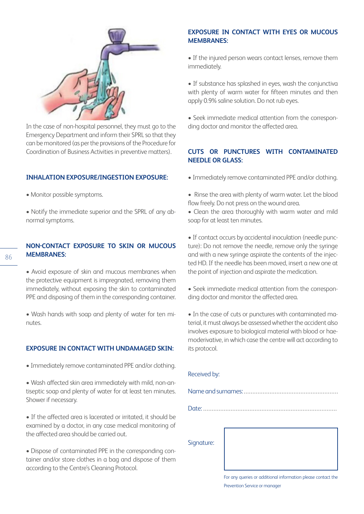

In the case of non-hospital personnel, they must go to the Emergency Department and inform their SPRL so that they can be monitored (as per the provisions of the Procedure for Coordination of Business Activities in preventive matters).

## **INHALATION EXPOSURE/INGESTION EXPOSURE:**

- Monitor possible symptoms.
- Notify the immediate superior and the SPRL of any abnormal symptoms.

# **NON-CONTACT EXPOSURE TO SKIN OR MUCOUS MEMBRANES:**

- Avoid exposure of skin and mucous membranes when the protective equipment is impregnated, removing them immediately, without exposing the skin to contaminated PPE and disposing of them in the corresponding container.
- Wash hands with soap and plenty of water for ten minutes.

#### **EXPOSURE IN CONTACT WITH UNDAMAGED SKIN:**

- Immediately remove contaminated PPE and/or clothing.
- Wash affected skin area immediately with mild, non-antiseptic soap and plenty of water for at least ten minutes. Shower if necessary.
- If the affected area is lacerated or irritated, it should be examined by a doctor, in any case medical monitoring of the affected area should be carried out.
- Dispose of contaminated PPE in the corresponding container and/or store clothes in a bag and dispose of them according to the Centre's Cleaning Protocol.

## **EXPOSURE IN CONTACT WITH EYES OR MUCOUS MEMBRANES:**

• If the injured person wears contact lenses, remove them immediately.

• If substance has splashed in eyes, wash the conjunctiva with plenty of warm water for fifteen minutes and then apply 0.9% saline solution. Do not rub eyes.

• Seek immediate medical attention from the corresponding doctor and monitor the affected area.

# **CUTS OR PUNCTURES WITH CONTAMINATED NEEDLE OR GLASS:**

- Immediately remove contaminated PPE and/or clothing.
- Rinse the area with plenty of warm water. Let the blood flow freely. Do not press on the wound area.
- Clean the area thoroughly with warm water and mild soap for at least ten minutes.

• If contact occurs by accidental inoculation (needle puncture): Do not remove the needle, remove only the syringe and with a new syringe aspirate the contents of the injected HD. If the needle has been moved, insert a new one at the point of injection and aspirate the medication.

• Seek immediate medical attention from the corresponding doctor and monitor the affected area.

• In the case of cuts or punctures with contaminated material, it must always be assessed whether the accident also involves exposure to biological material with blood or haemoderivative, in which case the centre will act according to its protocol.

| Received by: |                                                              |  |  |  |
|--------------|--------------------------------------------------------------|--|--|--|
|              |                                                              |  |  |  |
|              |                                                              |  |  |  |
| Signature:   |                                                              |  |  |  |
|              | For any queries or additional information please contact the |  |  |  |

Prevention Service or manager